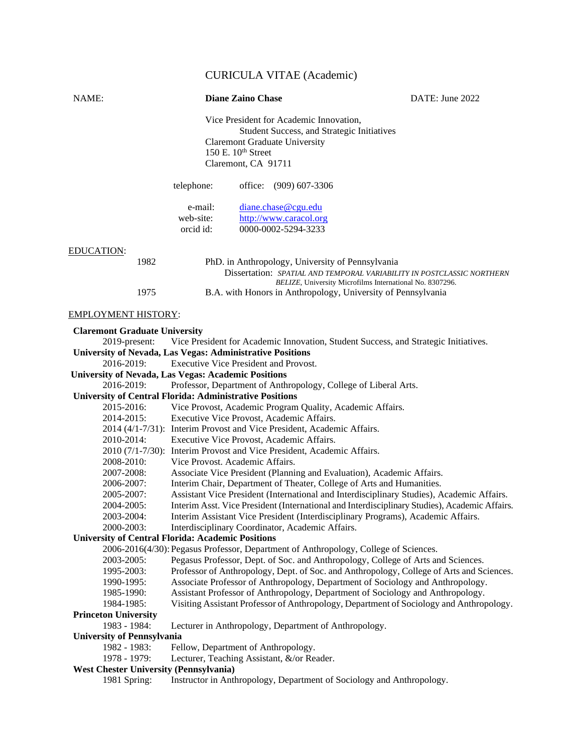# CURICULA VITAE (Academic)

| NAME:                                                          | <b>Diane Zaino Chase</b>                   |                                                                                      | DATE: June 2022                                                                                                                                                  |
|----------------------------------------------------------------|--------------------------------------------|--------------------------------------------------------------------------------------|------------------------------------------------------------------------------------------------------------------------------------------------------------------|
|                                                                |                                            | Vice President for Academic Innovation,                                              |                                                                                                                                                                  |
|                                                                |                                            | <b>Student Success, and Strategic Initiatives</b>                                    |                                                                                                                                                                  |
|                                                                |                                            | <b>Claremont Graduate University</b>                                                 |                                                                                                                                                                  |
|                                                                | 150 E. 10 <sup>th</sup> Street             |                                                                                      |                                                                                                                                                                  |
|                                                                | Claremont, CA 91711                        |                                                                                      |                                                                                                                                                                  |
|                                                                | telephone:                                 | office: (909) 607-3306                                                               |                                                                                                                                                                  |
|                                                                |                                            |                                                                                      |                                                                                                                                                                  |
|                                                                | e-mail:                                    | diane.chase@cgu.edu                                                                  |                                                                                                                                                                  |
|                                                                | web-site:                                  | http://www.caracol.org                                                               |                                                                                                                                                                  |
|                                                                | orcid id:                                  | 0000-0002-5294-3233                                                                  |                                                                                                                                                                  |
| <b>EDUCATION:</b>                                              |                                            |                                                                                      |                                                                                                                                                                  |
| 1982                                                           |                                            | PhD. in Anthropology, University of Pennsylvania                                     |                                                                                                                                                                  |
|                                                                |                                            |                                                                                      | Dissertation: SPATIAL AND TEMPORAL VARIABILITY IN POSTCLASSIC NORTHERN                                                                                           |
|                                                                |                                            | BELIZE, University Microfilms International No. 8307296.                             |                                                                                                                                                                  |
| 1975                                                           |                                            | B.A. with Honors in Anthropology, University of Pennsylvania                         |                                                                                                                                                                  |
| <u>EMPLOYMENT HISTORY:</u>                                     |                                            |                                                                                      |                                                                                                                                                                  |
| <b>Claremont Graduate University</b>                           |                                            |                                                                                      |                                                                                                                                                                  |
| 2019-present:                                                  |                                            |                                                                                      | Vice President for Academic Innovation, Student Success, and Strategic Initiatives.                                                                              |
| University of Nevada, Las Vegas: Administrative Positions      |                                            |                                                                                      |                                                                                                                                                                  |
| 2016-2019:                                                     | Executive Vice President and Provost.      |                                                                                      |                                                                                                                                                                  |
| <b>University of Nevada, Las Vegas: Academic Positions</b>     |                                            |                                                                                      |                                                                                                                                                                  |
| 2016-2019:                                                     |                                            | Professor, Department of Anthropology, College of Liberal Arts.                      |                                                                                                                                                                  |
| <b>University of Central Florida: Administrative Positions</b> |                                            |                                                                                      |                                                                                                                                                                  |
| 2015-2016:                                                     |                                            | Vice Provost, Academic Program Quality, Academic Affairs.                            |                                                                                                                                                                  |
| 2014-2015:                                                     | Executive Vice Provost, Academic Affairs.  | 2014 (4/1-7/31): Interim Provost and Vice President, Academic Affairs.               |                                                                                                                                                                  |
| 2010-2014:                                                     | Executive Vice Provost, Academic Affairs.  |                                                                                      |                                                                                                                                                                  |
|                                                                |                                            | 2010 (7/1-7/30): Interim Provost and Vice President, Academic Affairs.               |                                                                                                                                                                  |
| 2008-2010:                                                     | Vice Provost. Academic Affairs.            |                                                                                      |                                                                                                                                                                  |
| 2007-2008:                                                     |                                            | Associate Vice President (Planning and Evaluation), Academic Affairs.                |                                                                                                                                                                  |
| 2006-2007:                                                     |                                            | Interim Chair, Department of Theater, College of Arts and Humanities.                |                                                                                                                                                                  |
| 2005-2007:                                                     |                                            |                                                                                      | Assistant Vice President (International and Interdisciplinary Studies), Academic Affairs.                                                                        |
| 2004-2005:                                                     |                                            |                                                                                      | Interim Asst. Vice President (International and Interdisciplinary Studies), Academic Affairs.                                                                    |
| 2003-2004:                                                     |                                            |                                                                                      | Interim Assistant Vice President (Interdisciplinary Programs), Academic Affairs.                                                                                 |
| 2000-2003:                                                     |                                            | Interdisciplinary Coordinator, Academic Affairs.                                     |                                                                                                                                                                  |
| <b>University of Central Florida: Academic Positions</b>       |                                            |                                                                                      |                                                                                                                                                                  |
|                                                                |                                            | 2006-2016(4/30): Pegasus Professor, Department of Anthropology, College of Sciences. |                                                                                                                                                                  |
| 2003-2005:                                                     |                                            |                                                                                      | Pegasus Professor, Dept. of Soc. and Anthropology, College of Arts and Sciences.                                                                                 |
| 1995-2003:                                                     |                                            |                                                                                      | Professor of Anthropology, Dept. of Soc. and Anthropology, College of Arts and Sciences.                                                                         |
| 1990-1995:<br>1985-1990:                                       |                                            |                                                                                      | Associate Professor of Anthropology, Department of Sociology and Anthropology.<br>Assistant Professor of Anthropology, Department of Sociology and Anthropology. |
| 1984-1985:                                                     |                                            |                                                                                      | Visiting Assistant Professor of Anthropology, Department of Sociology and Anthropology.                                                                          |
| <b>Princeton University</b>                                    |                                            |                                                                                      |                                                                                                                                                                  |
| 1983 - 1984:                                                   |                                            | Lecturer in Anthropology, Department of Anthropology.                                |                                                                                                                                                                  |
| <b>University of Pennsylvania</b>                              |                                            |                                                                                      |                                                                                                                                                                  |
| 1982 - 1983:                                                   | Fellow, Department of Anthropology.        |                                                                                      |                                                                                                                                                                  |
| 1978 - 1979:                                                   | Lecturer, Teaching Assistant, &/or Reader. |                                                                                      |                                                                                                                                                                  |
| <b>West Chester University (Pennsylvania)</b>                  |                                            |                                                                                      |                                                                                                                                                                  |
| 1981 Spring:                                                   |                                            | Instructor in Anthropology, Department of Sociology and Anthropology.                |                                                                                                                                                                  |
|                                                                |                                            |                                                                                      |                                                                                                                                                                  |
|                                                                |                                            |                                                                                      |                                                                                                                                                                  |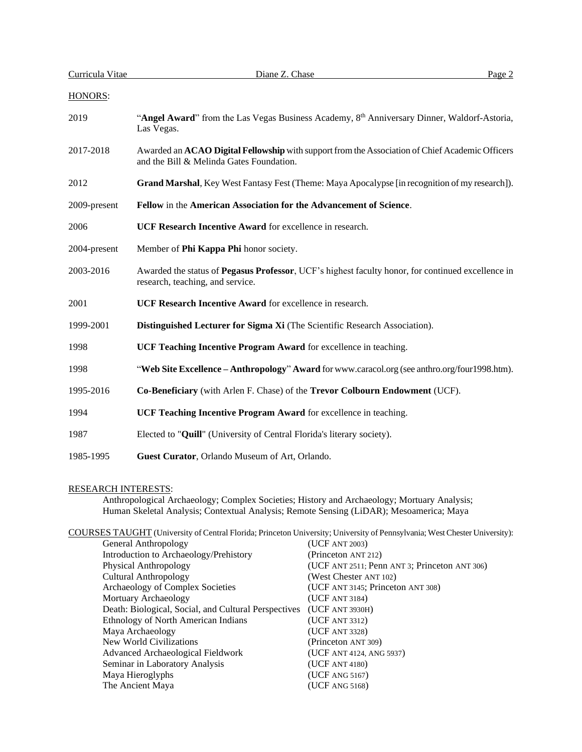| Curricula Vitae | Diane Z. Chase                                                                                                                                | Page 2 |
|-----------------|-----------------------------------------------------------------------------------------------------------------------------------------------|--------|
| HONORS:         |                                                                                                                                               |        |
| 2019            | "Angel Award" from the Las Vegas Business Academy, $8th$ Anniversary Dinner, Waldorf-Astoria,<br>Las Vegas.                                   |        |
| 2017-2018       | Awarded an ACAO Digital Fellowship with support from the Association of Chief Academic Officers<br>and the Bill & Melinda Gates Foundation.   |        |
| 2012            | Grand Marshal, Key West Fantasy Fest (Theme: Maya Apocalypse [in recognition of my research]).                                                |        |
| 2009-present    | Fellow in the American Association for the Advancement of Science.                                                                            |        |
| 2006            | UCF Research Incentive Award for excellence in research.                                                                                      |        |
| 2004-present    | Member of Phi Kappa Phi honor society.                                                                                                        |        |
| 2003-2016       | Awarded the status of <b>Pegasus Professor</b> , UCF's highest faculty honor, for continued excellence in<br>research, teaching, and service. |        |
| 2001            | <b>UCF Research Incentive Award</b> for excellence in research.                                                                               |        |
| 1999-2001       | Distinguished Lecturer for Sigma Xi (The Scientific Research Association).                                                                    |        |
| 1998            | UCF Teaching Incentive Program Award for excellence in teaching.                                                                              |        |
| 1998            | "Web Site Excellence - Anthropology" Award for www.caracol.org (see anthro.org/four1998.htm).                                                 |        |
| 1995-2016       | Co-Beneficiary (with Arlen F. Chase) of the Trevor Colbourn Endowment (UCF).                                                                  |        |
| 1994            | UCF Teaching Incentive Program Award for excellence in teaching.                                                                              |        |
| 1987            | Elected to "Quill" (University of Central Florida's literary society).                                                                        |        |
| 1985-1995       | Guest Curator, Orlando Museum of Art, Orlando.                                                                                                |        |

## RESEARCH INTERESTS:

Anthropological Archaeology; Complex Societies; History and Archaeology; Mortuary Analysis; Human Skeletal Analysis; Contextual Analysis; Remote Sensing (LiDAR); Mesoamerica; Maya

COURSES TAUGHT (University of Central Florida; Princeton University; University of Pennsylvania; West Chester University):

|                                                      | ---- , ,                                      |
|------------------------------------------------------|-----------------------------------------------|
| General Anthropology                                 | (UCF ANT 2003)                                |
| Introduction to Archaeology/Prehistory               | (Princeton ANT 212)                           |
| Physical Anthropology                                | (UCF ANT 2511; Penn ANT 3; Princeton ANT 306) |
| <b>Cultural Anthropology</b>                         | (West Chester ANT 102)                        |
| Archaeology of Complex Societies                     | (UCF ANT 3145; Princeton ANT 308)             |
| Mortuary Archaeology                                 | (UCF ANT 3184)                                |
| Death: Biological, Social, and Cultural Perspectives | (UCF ANT 3930H)                               |
| Ethnology of North American Indians                  | (UCF ANT 3312)                                |
| Maya Archaeology                                     | (UCF ANT 3328)                                |
| New World Civilizations                              | (Princeton ANT 309)                           |
| Advanced Archaeological Fieldwork                    | (UCF ANT 4124, ANG 5937)                      |
| Seminar in Laboratory Analysis                       | (UCF ANT 4180)                                |
| Maya Hieroglyphs                                     | (UCF ANG 5167)                                |
| The Ancient Maya                                     | (UCF ANG 5168)                                |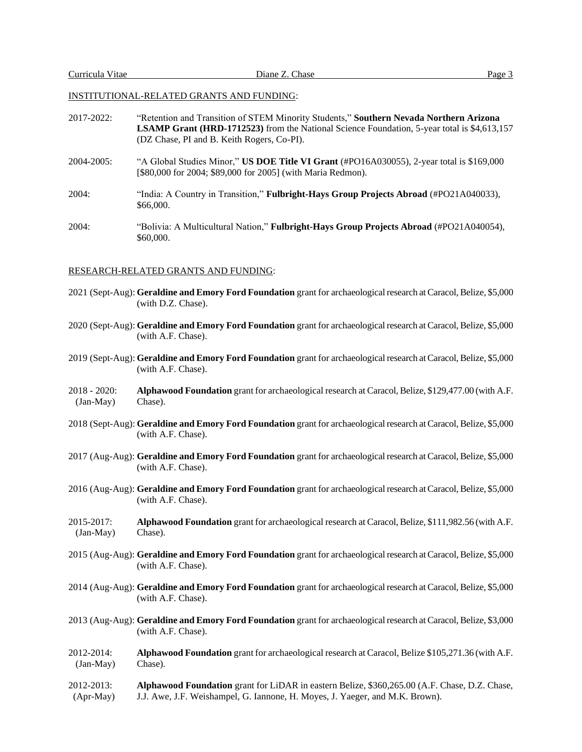### INSTITUTIONAL-RELATED GRANTS AND FUNDING:

- 2017-2022: "Retention and Transition of STEM Minority Students," **Southern Nevada Northern Arizona LSAMP Grant (HRD-1712523)** from the National Science Foundation, 5-year total is \$4,613,157 (DZ Chase, PI and B. Keith Rogers, Co-PI).
- 2004-2005: "A Global Studies Minor," **US DOE Title VI Grant** (#PO16A030055), 2-year total is \$169,000 [\$80,000 for 2004; \$89,000 for 2005] (with Maria Redmon).
- 2004: "India: A Country in Transition," **Fulbright-Hays Group Projects Abroad** (#PO21A040033), \$66,000.
- 2004: "Bolivia: A Multicultural Nation," **Fulbright-Hays Group Projects Abroad** (#PO21A040054), \$60,000.

#### RESEARCH-RELATED GRANTS AND FUNDING:

- 2021 (Sept-Aug): **Geraldine and Emory Ford Foundation** grant for archaeological research at Caracol, Belize, \$5,000 (with D.Z. Chase).
- 2020 (Sept-Aug): **Geraldine and Emory Ford Foundation** grant for archaeological research at Caracol, Belize, \$5,000 (with A.F. Chase).
- 2019 (Sept-Aug): **Geraldine and Emory Ford Foundation** grant for archaeological research at Caracol, Belize, \$5,000 (with A.F. Chase).
- 2018 2020: **Alphawood Foundation** grant for archaeological research at Caracol, Belize, \$129,477.00 (with A.F. (Jan-May) Chase).
- 2018 (Sept-Aug): **Geraldine and Emory Ford Foundation** grant for archaeological research at Caracol, Belize, \$5,000 (with A.F. Chase).
- 2017 (Aug-Aug): **Geraldine and Emory Ford Foundation** grant for archaeological research at Caracol, Belize, \$5,000 (with A.F. Chase).
- 2016 (Aug-Aug): **Geraldine and Emory Ford Foundation** grant for archaeological research at Caracol, Belize, \$5,000 (with A.F. Chase).
- 2015-2017: **Alphawood Foundation** grant for archaeological research at Caracol, Belize, \$111,982.56 (with A.F. (Jan-May) Chase).
- 2015 (Aug-Aug): **Geraldine and Emory Ford Foundation** grant for archaeological research at Caracol, Belize, \$5,000 (with A.F. Chase).
- 2014 (Aug-Aug): **Geraldine and Emory Ford Foundation** grant for archaeological research at Caracol, Belize, \$5,000 (with A.F. Chase).
- 2013 (Aug-Aug): **Geraldine and Emory Ford Foundation** grant for archaeological research at Caracol, Belize, \$3,000 (with A.F. Chase).
- 2012-2014: **Alphawood Foundation** grant for archaeological research at Caracol, Belize \$105,271.36 (with A.F. (Jan-May) Chase).
- 2012-2013: **Alphawood Foundation** grant for LiDAR in eastern Belize, \$360,265.00 (A.F. Chase, D.Z. Chase, (Apr-May) J.J. Awe, J.F. Weishampel, G. Iannone, H. Moyes, J. Yaeger, and M.K. Brown).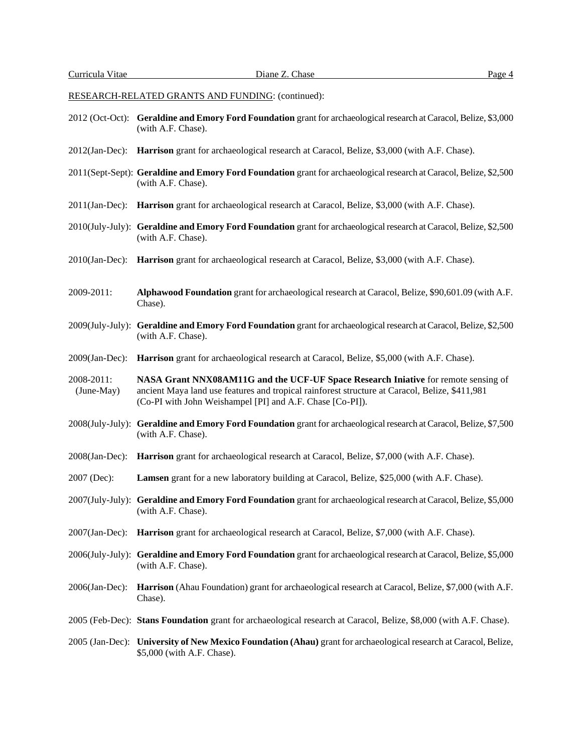- 2012 (Oct-Oct): **Geraldine and Emory Ford Foundation** grant for archaeological research at Caracol, Belize, \$3,000 (with A.F. Chase).
- 2012(Jan-Dec): **Harrison** grant for archaeological research at Caracol, Belize, \$3,000 (with A.F. Chase).
- 2011(Sept-Sept): **Geraldine and Emory Ford Foundation** grant for archaeological research at Caracol, Belize, \$2,500 (with A.F. Chase).
- 2011(Jan-Dec): **Harrison** grant for archaeological research at Caracol, Belize, \$3,000 (with A.F. Chase).
- 2010(July-July): **Geraldine and Emory Ford Foundation** grant for archaeological research at Caracol, Belize, \$2,500 (with A.F. Chase).
- 2010(Jan-Dec): **Harrison** grant for archaeological research at Caracol, Belize, \$3,000 (with A.F. Chase).
- 2009-2011: **Alphawood Foundation** grant for archaeological research at Caracol, Belize, \$90,601.09 (with A.F. Chase).
- 2009(July-July): **Geraldine and Emory Ford Foundation** grant for archaeological research at Caracol, Belize, \$2,500 (with A.F. Chase).
- 2009(Jan-Dec): **Harrison** grant for archaeological research at Caracol, Belize, \$5,000 (with A.F. Chase).
- 2008-2011: **NASA Grant NNX08AM11G and the UCF-UF Space Research Iniative** for remote sensing of (June-May) ancient Maya land use features and tropical rainforest structure at Caracol, Belize, \$411,981 (Co-PI with John Weishampel [PI] and A.F. Chase [Co-PI]).
- 2008(July-July): **Geraldine and Emory Ford Foundation** grant for archaeological research at Caracol, Belize, \$7,500 (with A.F. Chase).
- 2008(Jan-Dec): **Harrison** grant for archaeological research at Caracol, Belize, \$7,000 (with A.F. Chase).
- 2007 (Dec): **Lamsen** grant for a new laboratory building at Caracol, Belize, \$25,000 (with A.F. Chase).
- 2007(July-July): **Geraldine and Emory Ford Foundation** grant for archaeological research at Caracol, Belize, \$5,000 (with A.F. Chase).
- 2007(Jan-Dec): **Harrison** grant for archaeological research at Caracol, Belize, \$7,000 (with A.F. Chase).
- 2006(July-July): **Geraldine and Emory Ford Foundation** grant for archaeological research at Caracol, Belize, \$5,000 (with A.F. Chase).
- 2006(Jan-Dec): **Harrison** (Ahau Foundation) grant for archaeological research at Caracol, Belize, \$7,000 (with A.F. Chase).
- 2005 (Feb-Dec): **Stans Foundation** grant for archaeological research at Caracol, Belize, \$8,000 (with A.F. Chase).
- 2005 (Jan-Dec): **University of New Mexico Foundation (Ahau)** grant for archaeological research at Caracol, Belize, \$5,000 (with A.F. Chase).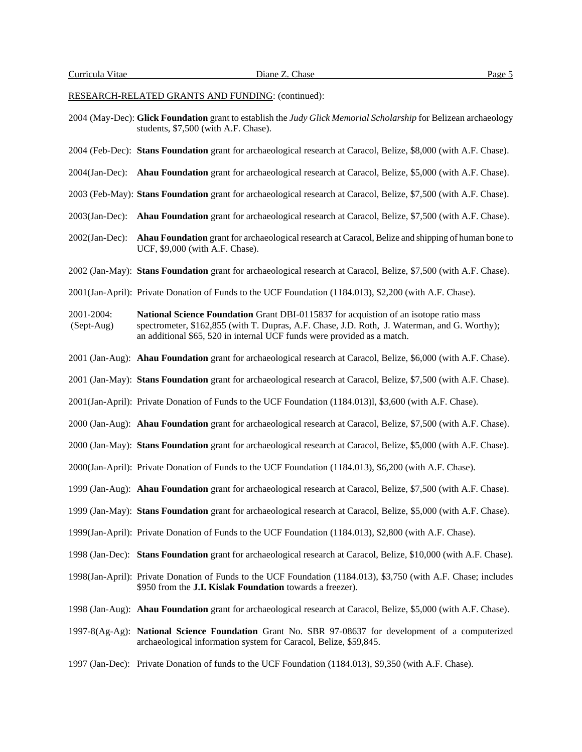- 2004 (May-Dec): **Glick Foundation** grant to establish the *Judy Glick Memorial Scholarship* for Belizean archaeology students, \$7,500 (with A.F. Chase).
- 2004 (Feb-Dec): **Stans Foundation** grant for archaeological research at Caracol, Belize, \$8,000 (with A.F. Chase).
- 2004(Jan-Dec): **Ahau Foundation** grant for archaeological research at Caracol, Belize, \$5,000 (with A.F. Chase).
- 2003 (Feb-May): **Stans Foundation** grant for archaeological research at Caracol, Belize, \$7,500 (with A.F. Chase).
- 2003(Jan-Dec): **Ahau Foundation** grant for archaeological research at Caracol, Belize, \$7,500 (with A.F. Chase).
- 2002(Jan-Dec): **Ahau Foundation** grant for archaeological research at Caracol, Belize and shipping of human bone to UCF, \$9,000 (with A.F. Chase).
- 2002 (Jan-May): **Stans Foundation** grant for archaeological research at Caracol, Belize, \$7,500 (with A.F. Chase).
- 2001(Jan-April): Private Donation of Funds to the UCF Foundation (1184.013), \$2,200 (with A.F. Chase).
- 2001-2004: **National Science Foundation** Grant DBI-0115837 for acquistion of an isotope ratio mass (Sept-Aug) spectrometer, \$162,855 (with T. Dupras, A.F. Chase, J.D. Roth, J. Waterman, and G. Worthy); an additional \$65, 520 in internal UCF funds were provided as a match.
- 2001 (Jan-Aug): **Ahau Foundation** grant for archaeological research at Caracol, Belize, \$6,000 (with A.F. Chase).
- 2001 (Jan-May): **Stans Foundation** grant for archaeological research at Caracol, Belize, \$7,500 (with A.F. Chase).
- 2001(Jan-April): Private Donation of Funds to the UCF Foundation (1184.013)l, \$3,600 (with A.F. Chase).
- 2000 (Jan-Aug): **Ahau Foundation** grant for archaeological research at Caracol, Belize, \$7,500 (with A.F. Chase).
- 2000 (Jan-May): **Stans Foundation** grant for archaeological research at Caracol, Belize, \$5,000 (with A.F. Chase).
- 2000(Jan-April): Private Donation of Funds to the UCF Foundation (1184.013), \$6,200 (with A.F. Chase).
- 1999 (Jan-Aug): **Ahau Foundation** grant for archaeological research at Caracol, Belize, \$7,500 (with A.F. Chase).
- 1999 (Jan-May): **Stans Foundation** grant for archaeological research at Caracol, Belize, \$5,000 (with A.F. Chase).
- 1999(Jan-April): Private Donation of Funds to the UCF Foundation (1184.013), \$2,800 (with A.F. Chase).
- 1998 (Jan-Dec): **Stans Foundation** grant for archaeological research at Caracol, Belize, \$10,000 (with A.F. Chase).
- 1998(Jan-April): Private Donation of Funds to the UCF Foundation (1184.013), \$3,750 (with A.F. Chase; includes \$950 from the **J.I. Kislak Foundation** towards a freezer).
- 1998 (Jan-Aug): **Ahau Foundation** grant for archaeological research at Caracol, Belize, \$5,000 (with A.F. Chase).
- 1997-8(Ag-Ag): **National Science Foundation** Grant No. SBR 97-08637 for development of a computerized archaeological information system for Caracol, Belize, \$59,845.
- 1997 (Jan-Dec): Private Donation of funds to the UCF Foundation (1184.013), \$9,350 (with A.F. Chase).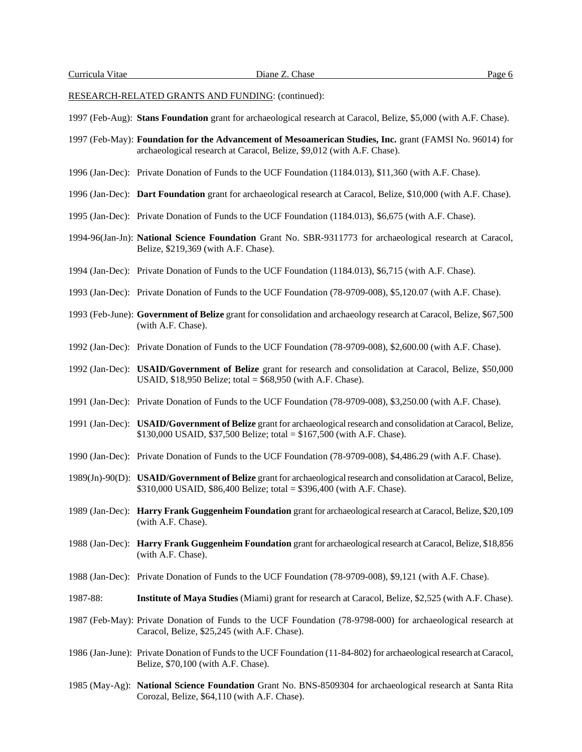- 1997 (Feb-Aug): **Stans Foundation** grant for archaeological research at Caracol, Belize, \$5,000 (with A.F. Chase).
- 1997 (Feb-May): **Foundation for the Advancement of Mesoamerican Studies, Inc.** grant (FAMSI No. 96014) for archaeological research at Caracol, Belize, \$9,012 (with A.F. Chase).
- 1996 (Jan-Dec): Private Donation of Funds to the UCF Foundation (1184.013), \$11,360 (with A.F. Chase).
- 1996 (Jan-Dec): **Dart Foundation** grant for archaeological research at Caracol, Belize, \$10,000 (with A.F. Chase).
- 1995 (Jan-Dec): Private Donation of Funds to the UCF Foundation (1184.013), \$6,675 (with A.F. Chase).
- 1994-96(Jan-Jn): **National Science Foundation** Grant No. SBR-9311773 for archaeological research at Caracol, Belize, \$219,369 (with A.F. Chase).
- 1994 (Jan-Dec): Private Donation of Funds to the UCF Foundation (1184.013), \$6,715 (with A.F. Chase).
- 1993 (Jan-Dec): Private Donation of Funds to the UCF Foundation (78-9709-008), \$5,120.07 (with A.F. Chase).
- 1993 (Feb-June): **Government of Belize** grant for consolidation and archaeology research at Caracol, Belize, \$67,500 (with A.F. Chase).
- 1992 (Jan-Dec): Private Donation of Funds to the UCF Foundation (78-9709-008), \$2,600.00 (with A.F. Chase).
- 1992 (Jan-Dec): **USAID/Government of Belize** grant for research and consolidation at Caracol, Belize, \$50,000 USAID, \$18,950 Belize; total = \$68,950 (with A.F. Chase).
- 1991 (Jan-Dec): Private Donation of Funds to the UCF Foundation (78-9709-008), \$3,250.00 (with A.F. Chase).
- 1991 (Jan-Dec): **USAID/Government of Belize** grant for archaeological research and consolidation at Caracol, Belize, \$130,000 USAID, \$37,500 Belize; total = \$167,500 (with A.F. Chase).
- 1990 (Jan-Dec): Private Donation of Funds to the UCF Foundation (78-9709-008), \$4,486.29 (with A.F. Chase).
- 1989(Jn)-90(D): **USAID/Government of Belize** grant for archaeological research and consolidation at Caracol, Belize, \$310,000 USAID, \$86,400 Belize; total = \$396,400 (with A.F. Chase).
- 1989 (Jan-Dec): **Harry Frank Guggenheim Foundation** grant for archaeological research at Caracol,Belize, \$20,109 (with A.F. Chase).
- 1988 (Jan-Dec): **Harry Frank Guggenheim Foundation** grant for archaeological research at Caracol, Belize, \$18,856 (with A.F. Chase).
- 1988 (Jan-Dec): Private Donation of Funds to the UCF Foundation (78-9709-008), \$9,121 (with A.F. Chase).
- 1987-88: **Institute of Maya Studies** (Miami) grant for research at Caracol, Belize, \$2,525 (with A.F. Chase).
- 1987 (Feb-May): Private Donation of Funds to the UCF Foundation (78-9798-000) for archaeological research at Caracol, Belize, \$25,245 (with A.F. Chase).
- 1986 (Jan-June): Private Donation of Funds to the UCF Foundation (11-84-802) for archaeological research at Caracol, Belize, \$70,100 (with A.F. Chase).
- 1985 (May-Ag): **National Science Foundation** Grant No. BNS-8509304 for archaeological research at Santa Rita Corozal, Belize, \$64,110 (with A.F. Chase).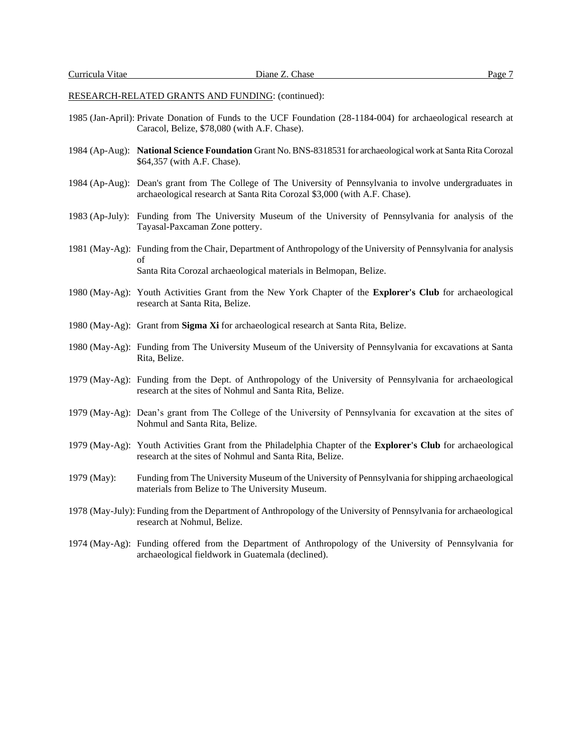- 1985 (Jan-April): Private Donation of Funds to the UCF Foundation (28-1184-004) for archaeological research at Caracol, Belize, \$78,080 (with A.F. Chase).
- 1984 (Ap-Aug): **National Science Foundation** Grant No. BNS-8318531 for archaeological work at Santa Rita Corozal \$64,357 (with A.F. Chase).
- 1984 (Ap-Aug): Dean's grant from The College of The University of Pennsylvania to involve undergraduates in archaeological research at Santa Rita Corozal \$3,000 (with A.F. Chase).
- 1983 (Ap-July): Funding from The University Museum of the University of Pennsylvania for analysis of the Tayasal-Paxcaman Zone pottery.
- 1981 (May-Ag): Funding from the Chair, Department of Anthropology of the University of Pennsylvania for analysis of Santa Rita Corozal archaeological materials in Belmopan, Belize.
- 1980 (May-Ag): Youth Activities Grant from the New York Chapter of the **Explorer's Club** for archaeological research at Santa Rita, Belize.
- 1980 (May-Ag): Grant from **Sigma Xi** for archaeological research at Santa Rita, Belize.
- 1980 (May-Ag): Funding from The University Museum of the University of Pennsylvania for excavations at Santa Rita, Belize.
- 1979 (May-Ag): Funding from the Dept. of Anthropology of the University of Pennsylvania for archaeological research at the sites of Nohmul and Santa Rita, Belize.
- 1979 (May-Ag): Dean's grant from The College of the University of Pennsylvania for excavation at the sites of Nohmul and Santa Rita, Belize.
- 1979 (May-Ag): Youth Activities Grant from the Philadelphia Chapter of the **Explorer's Club** for archaeological research at the sites of Nohmul and Santa Rita, Belize.
- 1979 (May): Funding from The University Museum of the University of Pennsylvania for shipping archaeological materials from Belize to The University Museum.
- 1978 (May-July): Funding from the Department of Anthropology of the University of Pennsylvania for archaeological research at Nohmul, Belize.
- 1974 (May-Ag): Funding offered from the Department of Anthropology of the University of Pennsylvania for archaeological fieldwork in Guatemala (declined).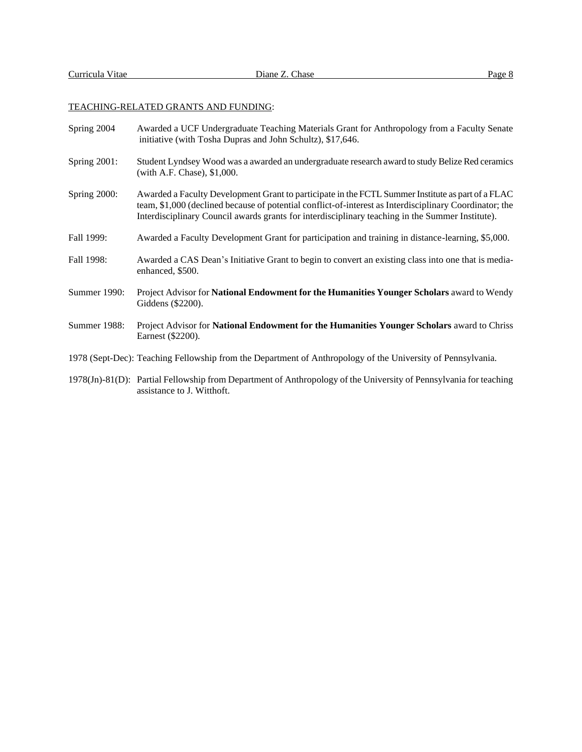## TEACHING-RELATED GRANTS AND FUNDING:

| Spring 2004         | Awarded a UCF Undergraduate Teaching Materials Grant for Anthropology from a Faculty Senate<br>initiative (with Tosha Dupras and John Schultz), \$17,646.                                                                                                                                                        |
|---------------------|------------------------------------------------------------------------------------------------------------------------------------------------------------------------------------------------------------------------------------------------------------------------------------------------------------------|
| <b>Spring 2001:</b> | Student Lyndsey Wood was a awarded an undergraduate research award to study Belize Red ceramics<br>(with A.F. Chase), \$1,000.                                                                                                                                                                                   |
| Spring 2000:        | Awarded a Faculty Development Grant to participate in the FCTL Summer Institute as part of a FLAC<br>team, \$1,000 (declined because of potential conflict-of-interest as Interdisciplinary Coordinator; the<br>Interdisciplinary Council awards grants for interdisciplinary teaching in the Summer Institute). |
| Fall 1999:          | Awarded a Faculty Development Grant for participation and training in distance-learning, \$5,000.                                                                                                                                                                                                                |
| Fall 1998:          | Awarded a CAS Dean's Initiative Grant to begin to convert an existing class into one that is media-<br>enhanced, \$500.                                                                                                                                                                                          |
| Summer 1990:        | Project Advisor for National Endowment for the Humanities Younger Scholars award to Wendy<br>Giddens (\$2200).                                                                                                                                                                                                   |
| Summer 1988:        | Project Advisor for National Endowment for the Humanities Younger Scholars award to Chriss<br>Earnest (\$2200).                                                                                                                                                                                                  |
|                     | 1978 (Sept-Dec): Teaching Fellowship from the Department of Anthropology of the University of Pennsylvania.                                                                                                                                                                                                      |
|                     | 1978(Jn)-81(D): Partial Fellowship from Department of Anthropology of the University of Pennsylvania for teaching<br>assistance to J. Witthoft.                                                                                                                                                                  |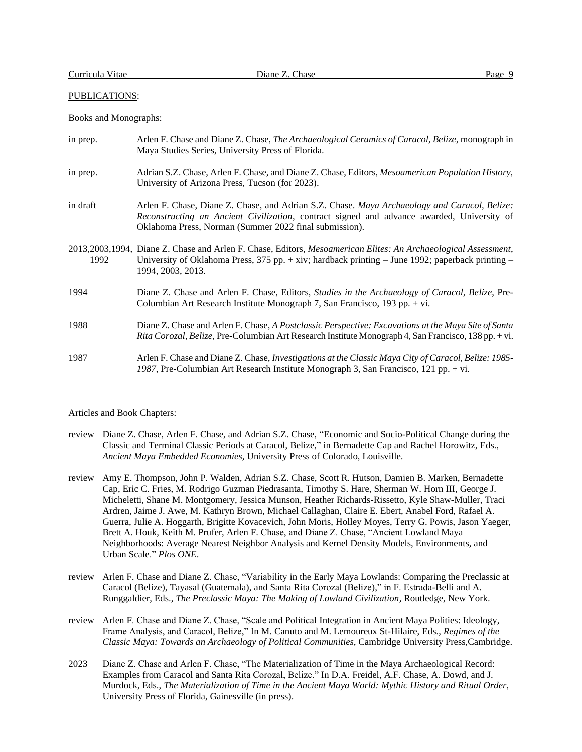## PUBLICATIONS:

## Books and Monographs:

| in prep. | Arlen F. Chase and Diane Z. Chase, <i>The Archaeological Ceramics of Caracol</i> , <i>Belize</i> , monograph in<br>Maya Studies Series, University Press of Florida.                                                                                 |
|----------|------------------------------------------------------------------------------------------------------------------------------------------------------------------------------------------------------------------------------------------------------|
| in prep. | Adrian S.Z. Chase, Arlen F. Chase, and Diane Z. Chase, Editors, Mesoamerican Population History,<br>University of Arizona Press, Tucson (for 2023).                                                                                                  |
| in draft | Arlen F. Chase, Diane Z. Chase, and Adrian S.Z. Chase. Maya Archaeology and Caracol, Belize:<br>Reconstructing an Ancient Civilization, contract signed and advance awarded, University of<br>Oklahoma Press, Norman (Summer 2022 final submission). |
| 1992     | 2013,2003,1994, Diane Z. Chase and Arlen F. Chase, Editors, Mesoamerican Elites: An Archaeological Assessment,<br>University of Oklahoma Press, 375 pp. $+$ xiv; hardback printing $-$ June 1992; paperback printing $-$<br>1994, 2003, 2013.        |
| 1994     | Diane Z. Chase and Arlen F. Chase, Editors, <i>Studies in the Archaeology of Caracol, Belize</i> , Pre-<br>Columbian Art Research Institute Monograph 7, San Francisco, 193 pp. + vi.                                                                |
| 1988     | Diane Z. Chase and Arlen F. Chase, A Postclassic Perspective: Excavations at the Maya Site of Santa<br>Rita Corozal, Belize, Pre-Columbian Art Research Institute Monograph 4, San Francisco, 138 pp. + vi.                                          |
| 1987     | Arlen F. Chase and Diane Z. Chase, Investigations at the Classic Maya City of Caracol, Belize: 1985-<br>1987, Pre-Columbian Art Research Institute Monograph 3, San Francisco, 121 pp. + vi.                                                         |

#### Articles and Book Chapters:

- review Diane Z. Chase, Arlen F. Chase, and Adrian S.Z. Chase, "Economic and Socio-Political Change during the Classic and Terminal Classic Periods at Caracol, Belize," in Bernadette Cap and Rachel Horowitz, Eds., *Ancient Maya Embedded Economies,* University Press of Colorado, Louisville.
- review Amy E. Thompson, John P. Walden, Adrian S.Z. Chase, Scott R. Hutson, Damien B. Marken, Bernadette Cap, Eric C. Fries, M. Rodrigo Guzman Piedrasanta, Timothy S. Hare, Sherman W. Horn III, George J. Micheletti, Shane M. Montgomery, Jessica Munson, Heather Richards-Rissetto, Kyle Shaw-Muller, Traci Ardren, Jaime J. Awe, M. Kathryn Brown, Michael Callaghan, Claire E. Ebert, Anabel Ford, Rafael A. Guerra, Julie A. Hoggarth, Brigitte Kovacevich, John Moris, Holley Moyes, Terry G. Powis, Jason Yaeger, Brett A. Houk, Keith M. Prufer, Arlen F. Chase, and Diane Z. Chase, "Ancient Lowland Maya Neighborhoods: Average Nearest Neighbor Analysis and Kernel Density Models, Environments, and Urban Scale." *Plos ONE*.
- review Arlen F. Chase and Diane Z. Chase, "Variability in the Early Maya Lowlands: Comparing the Preclassic at Caracol (Belize), Tayasal (Guatemala), and Santa Rita Corozal (Belize)," in F. Estrada-Belli and A. Runggaldier, Eds., *The Preclassic Maya: The Making of Lowland Civilization,* Routledge, New York.
- review Arlen F. Chase and Diane Z. Chase, "Scale and Political Integration in Ancient Maya Polities: Ideology, Frame Analysis, and Caracol, Belize," In M. Canuto and M. Lemoureux St-Hilaire, Eds., *Regimes of the Classic Maya: Towards an Archaeology of Political Communities*, Cambridge University Press,Cambridge.
- 2023 Diane Z. Chase and Arlen F. Chase, "The Materialization of Time in the Maya Archaeological Record: Examples from Caracol and Santa Rita Corozal, Belize." In D.A. Freidel, A.F. Chase, A. Dowd, and J. Murdock, Eds., *The Materialization of Time in the Ancient Maya World: Mythic History and Ritual Order,*  University Press of Florida, Gainesville (in press).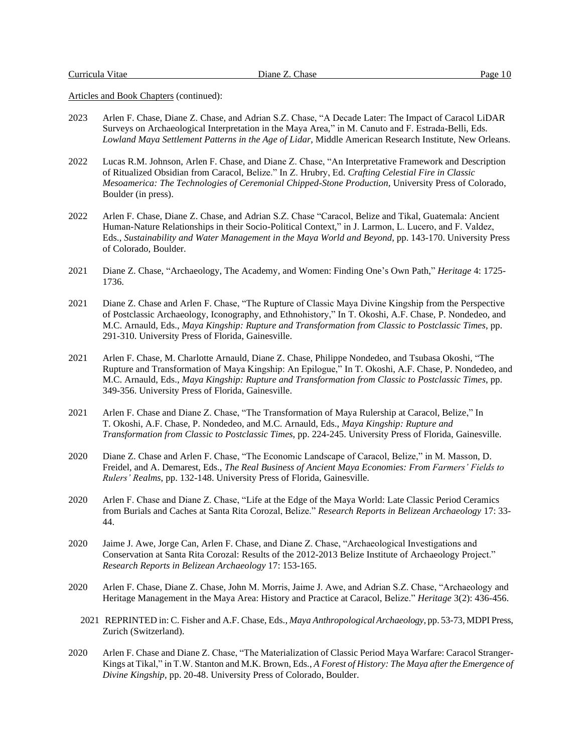- 2023 Arlen F. Chase, Diane Z. Chase, and Adrian S.Z. Chase, "A Decade Later: The Impact of Caracol LiDAR Surveys on Archaeological Interpretation in the Maya Area," in M. Canuto and F. Estrada-Belli, Eds. *Lowland Maya Settlement Patterns in the Age of Lidar,* Middle American Research Institute, New Orleans.
- 2022 Lucas R.M. Johnson, Arlen F. Chase, and Diane Z. Chase, "An Interpretative Framework and Description of Ritualized Obsidian from Caracol, Belize." In Z. Hrubry, Ed. *Crafting Celestial Fire in Classic Mesoamerica: The Technologies of Ceremonial Chipped-Stone Production,* University Press of Colorado, Boulder (in press).
- 2022 Arlen F. Chase, Diane Z. Chase, and Adrian S.Z. Chase "Caracol, Belize and Tikal, Guatemala: Ancient Human-Nature Relationships in their Socio-Political Context," in J. Larmon, L. Lucero, and F. Valdez, Eds., *Sustainability and Water Management in the Maya World and Beyond*, pp. 143-170. University Press of Colorado, Boulder.
- 2021 Diane Z. Chase, "Archaeology, The Academy, and Women: Finding One's Own Path," *Heritage* 4: 1725- 1736*.*
- 2021 Diane Z. Chase and Arlen F. Chase, "The Rupture of Classic Maya Divine Kingship from the Perspective of Postclassic Archaeology, Iconography, and Ethnohistory," In T. Okoshi, A.F. Chase, P. Nondedeo, and M.C. Arnauld, Eds., *Maya Kingship: Rupture and Transformation from Classic to Postclassic Times*, pp. 291-310. University Press of Florida, Gainesville.
- 2021 Arlen F. Chase, M. Charlotte Arnauld, Diane Z. Chase, Philippe Nondedeo, and Tsubasa Okoshi, "The Rupture and Transformation of Maya Kingship: An Epilogue," In T. Okoshi, A.F. Chase, P. Nondedeo, and M.C. Arnauld, Eds., *Maya Kingship: Rupture and Transformation from Classic to Postclassic Times*, pp. 349-356. University Press of Florida, Gainesville.
- 2021 Arlen F. Chase and Diane Z. Chase, "The Transformation of Maya Rulership at Caracol, Belize," In T. Okoshi, A.F. Chase, P. Nondedeo, and M.C. Arnauld, Eds., *Maya Kingship: Rupture and Transformation from Classic to Postclassic Times*, pp. 224-245. University Press of Florida, Gainesville.
- 2020 Diane Z. Chase and Arlen F. Chase, "The Economic Landscape of Caracol, Belize," in M. Masson, D. Freidel, and A. Demarest, Eds., *The Real Business of Ancient Maya Economies: From Farmers' Fields to Rulers' Realms*, pp. 132-148. University Press of Florida, Gainesville.
- 2020 Arlen F. Chase and Diane Z. Chase, "Life at the Edge of the Maya World: Late Classic Period Ceramics from Burials and Caches at Santa Rita Corozal, Belize." *Research Reports in Belizean Archaeology* 17: 33- 44.
- 2020 Jaime J. Awe, Jorge Can, Arlen F. Chase, and Diane Z. Chase, "Archaeological Investigations and Conservation at Santa Rita Corozal: Results of the 2012-2013 Belize Institute of Archaeology Project." *Research Reports in Belizean Archaeology* 17: 153-165.
- 2020 Arlen F. Chase, Diane Z. Chase, John M. Morris, Jaime J. Awe, and Adrian S.Z. Chase, "Archaeology and Heritage Management in the Maya Area: History and Practice at Caracol, Belize." *Heritage* 3(2): 436-456.
	- 2021 REPRINTED in: C. Fisher and A.F. Chase, Eds., *Maya Anthropological Archaeology*, pp. 53-73, MDPI Press, Zurich (Switzerland).
- 2020 Arlen F. Chase and Diane Z. Chase, "The Materialization of Classic Period Maya Warfare: Caracol Stranger-Kings at Tikal," in T.W. Stanton and M.K. Brown, Eds., *A Forest of History: The Maya after the Emergence of Divine Kingship*, pp. 20-48. University Press of Colorado, Boulder.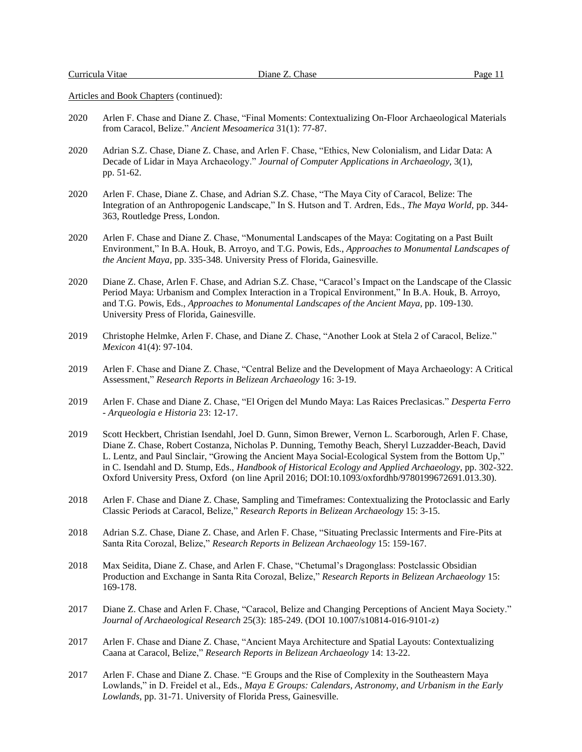- 2020 Arlen F. Chase and Diane Z. Chase, "Final Moments: Contextualizing On-Floor Archaeological Materials from Caracol, Belize." *Ancient Mesoamerica* 31(1): 77-87.
- 2020 Adrian S.Z. Chase, Diane Z. Chase, and Arlen F. Chase, "Ethics, New Colonialism, and Lidar Data: A Decade of Lidar in Maya Archaeology." *Journal of Computer Applications in Archaeology,* 3(1), pp. 51-62.
- 2020 Arlen F. Chase, Diane Z. Chase, and Adrian S.Z. Chase, "The Maya City of Caracol, Belize: The Integration of an Anthropogenic Landscape," In S. Hutson and T. Ardren, Eds., *The Maya World,* pp. 344- 363, Routledge Press, London.
- 2020 Arlen F. Chase and Diane Z. Chase, "Monumental Landscapes of the Maya: Cogitating on a Past Built Environment," In B.A. Houk, B. Arroyo, and T.G. Powis, Eds., *Approaches to Monumental Landscapes of the Ancient Maya,* pp. 335-348. University Press of Florida, Gainesville.
- 2020 Diane Z. Chase, Arlen F. Chase, and Adrian S.Z. Chase, "Caracol's Impact on the Landscape of the Classic Period Maya: Urbanism and Complex Interaction in a Tropical Environment," In B.A. Houk, B. Arroyo, and T.G. Powis, Eds., *Approaches to Monumental Landscapes of the Ancient Maya,* pp. 109-130. University Press of Florida, Gainesville.
- 2019 Christophe Helmke, Arlen F. Chase, and Diane Z. Chase, "Another Look at Stela 2 of Caracol, Belize." *Mexicon* 41(4): 97-104.
- 2019 Arlen F. Chase and Diane Z. Chase, "Central Belize and the Development of Maya Archaeology: A Critical Assessment," *Research Reports in Belizean Archaeology* 16: 3-19.
- 2019 Arlen F. Chase and Diane Z. Chase, "El Origen del Mundo Maya: Las Raices Preclasicas." *Desperta Ferro - Arqueologia e Historia* 23: 12-17.
- 2019 Scott Heckbert, Christian Isendahl, Joel D. Gunn, Simon Brewer, Vernon L. Scarborough, Arlen F. Chase, Diane Z. Chase, Robert Costanza, Nicholas P. Dunning, Temothy Beach, Sheryl Luzzadder-Beach, David L. Lentz, and Paul Sinclair, "Growing the Ancient Maya Social-Ecological System from the Bottom Up," in C. Isendahl and D. Stump, Eds., *Handbook of Historical Ecology and Applied Archaeology*, pp. 302-322. Oxford University Press, Oxford (on line April 2016; DOI:10.1093/oxfordhb/9780199672691.013.30).
- 2018 Arlen F. Chase and Diane Z. Chase, Sampling and Timeframes: Contextualizing the Protoclassic and Early Classic Periods at Caracol, Belize," *Research Reports in Belizean Archaeology* 15: 3-15.
- 2018 Adrian S.Z. Chase, Diane Z. Chase, and Arlen F. Chase, "Situating Preclassic Interments and Fire-Pits at Santa Rita Corozal, Belize," *Research Reports in Belizean Archaeology* 15: 159-167.
- 2018 Max Seidita, Diane Z. Chase, and Arlen F. Chase, "Chetumal's Dragonglass: Postclassic Obsidian Production and Exchange in Santa Rita Corozal, Belize," *Research Reports in Belizean Archaeology* 15: 169-178.
- 2017 Diane Z. Chase and Arlen F. Chase, "Caracol, Belize and Changing Perceptions of Ancient Maya Society." *Journal of Archaeological Research* 25(3): 185-249. (DOI 10.1007/s10814-016-9101-z)
- 2017 Arlen F. Chase and Diane Z. Chase, "Ancient Maya Architecture and Spatial Layouts: Contextualizing Caana at Caracol, Belize," *Research Reports in Belizean Archaeology* 14: 13-22.
- 2017 Arlen F. Chase and Diane Z. Chase. "E Groups and the Rise of Complexity in the Southeastern Maya Lowlands," in D. Freidel et al., Eds., *Maya E Groups: Calendars, Astronomy, and Urbanism in the Early Lowlands*, pp. 31-71. University of Florida Press, Gainesville.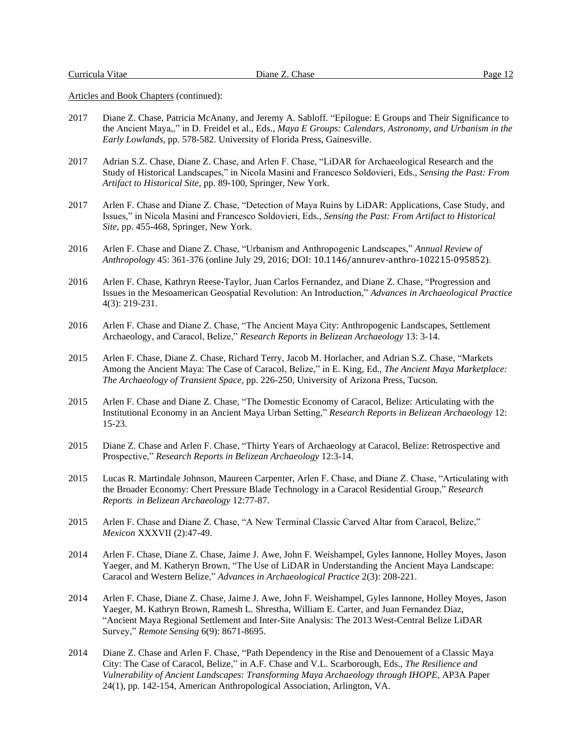- 2017 Diane Z. Chase, Patricia McAnany, and Jeremy A. Sabloff. "Epilogue: E Groups and Their Significance to the Ancient Maya,," in D. Freidel et al., Eds., *Maya E Groups: Calendars, Astronomy, and Urbanism in the Early Lowlands*, pp. 578-582. University of Florida Press, Gainesville.
- 2017 Adrian S.Z. Chase, Diane Z. Chase, and Arlen F. Chase, "LiDAR for Archaeological Research and the Study of Historical Landscapes," in Nicola Masini and Francesco Soldovieri, Eds., *Sensing the Past: From Artifact to Historical Site,* pp. 89-100, Springer, New York.
- 2017 Arlen F. Chase and Diane Z. Chase, "Detection of Maya Ruins by LiDAR: Applications, Case Study, and Issues," in Nicola Masini and Francesco Soldovieri, Eds., *Sensing the Past: From Artifact to Historical Site*, pp. 455-468, Springer, New York.
- 2016 Arlen F. Chase and Diane Z. Chase, "Urbanism and Anthropogenic Landscapes," *Annual Review of Anthropology* 45: 361-376 (online July 29, 2016; DOI: 10.1146/annurev-anthro-102215-095852).
- 2016 Arlen F. Chase, Kathryn Reese-Taylor, Juan Carlos Fernandez, and Diane Z. Chase, "Progression and Issues in the Mesoamerican Geospatial Revolution: An Introduction," *Advances in Archaeological Practice* 4(3): 219-231.
- 2016 Arlen F. Chase and Diane Z. Chase, "The Ancient Maya City: Anthropogenic Landscapes, Settlement Archaeology, and Caracol, Belize," *Research Reports in Belizean Archaeology* 13: 3-14.
- 2015 Arlen F. Chase, Diane Z. Chase, Richard Terry, Jacob M. Horlacher, and Adrian S.Z. Chase, "Markets Among the Ancient Maya: The Case of Caracol, Belize," in E. King, Ed., *The Ancient Maya Marketplace: The Archaeology of Transient Space*, pp. 226-250, University of Arizona Press, Tucson.
- 2015 Arlen F. Chase and Diane Z. Chase, "The Domestic Economy of Caracol, Belize: Articulating with the Institutional Economy in an Ancient Maya Urban Setting," *Research Reports in Belizean Archaeology* 12: 15-23.
- 2015 Diane Z. Chase and Arlen F. Chase, "Thirty Years of Archaeology at Caracol, Belize: Retrospective and Prospective," *Research Reports in Belizean Archaeology* 12:3-14.
- 2015 Lucas R. Martindale Johnson, Maureen Carpenter, Arlen F. Chase, and Diane Z. Chase, "Articulating with the Broader Economy: Chert Pressure Blade Technology in a Caracol Residential Group," *Research Reports in Belizean Archaeology* 12:77-87.
- 2015 Arlen F. Chase and Diane Z. Chase, "A New Terminal Classic Carved Altar from Caracol, Belize," *Mexicon* XXXVII (2):47-49.
- 2014 Arlen F. Chase, Diane Z. Chase, Jaime J. Awe, John F. Weishampel, Gyles Iannone, Holley Moyes, Jason Yaeger, and M. Katheryn Brown, "The Use of LiDAR in Understanding the Ancient Maya Landscape: Caracol and Western Belize," *Advances in Archaeological Practice* 2(3): 208-221.
- 2014 Arlen F. Chase, Diane Z. Chase, Jaime J. Awe, John F. Weishampel, Gyles Iannone, Holley Moyes, Jason Yaeger, M. Kathryn Brown, Ramesh L. Shrestha, William E. Carter, and Juan Fernandez Diaz, "Ancient Maya Regional Settlement and Inter-Site Analysis: The 2013 West-Central Belize LiDAR Survey," *Remote Sensing* 6(9): 8671-8695.
- 2014 Diane Z. Chase and Arlen F. Chase, "Path Dependency in the Rise and Denouement of a Classic Maya City: The Case of Caracol, Belize," in A.F. Chase and V.L. Scarborough, Eds., *The Resilience and Vulnerability of Ancient Landscapes: Transforming Maya Archaeology through IHOPE*, AP3A Paper 24(1), pp. 142-154, American Anthropological Association, Arlington, VA.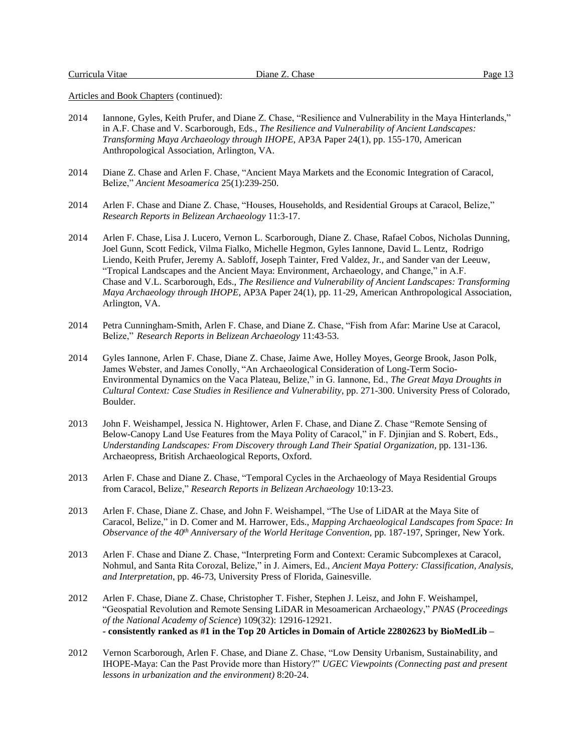- 2014 Iannone, Gyles, Keith Prufer, and Diane Z. Chase, "Resilience and Vulnerability in the Maya Hinterlands," in A.F. Chase and V. Scarborough, Eds., *The Resilience and Vulnerability of Ancient Landscapes: Transforming Maya Archaeology through IHOPE*, AP3A Paper 24(1), pp. 155-170, American Anthropological Association, Arlington, VA.
- 2014 Diane Z. Chase and Arlen F. Chase, "Ancient Maya Markets and the Economic Integration of Caracol, Belize," *Ancient Mesoamerica* 25(1):239-250.
- 2014 Arlen F. Chase and Diane Z. Chase, "Houses, Households, and Residential Groups at Caracol, Belize," *Research Reports in Belizean Archaeology* 11:3-17.
- 2014 Arlen F. Chase, Lisa J. Lucero, Vernon L. Scarborough, Diane Z. Chase, Rafael Cobos, Nicholas Dunning, Joel Gunn, Scott Fedick, Vilma Fialko, Michelle Hegmon, Gyles Iannone, David L. Lentz, Rodrigo Liendo, Keith Prufer, Jeremy A. Sabloff, Joseph Tainter, Fred Valdez, Jr., and Sander van der Leeuw, "Tropical Landscapes and the Ancient Maya: Environment, Archaeology, and Change," in A.F. Chase and V.L. Scarborough, Eds., *The Resilience and Vulnerability of Ancient Landscapes: Transforming Maya Archaeology through IHOPE*, AP3A Paper 24(1), pp. 11-29, American Anthropological Association, Arlington, VA.
- 2014 Petra Cunningham-Smith, Arlen F. Chase, and Diane Z. Chase, "Fish from Afar: Marine Use at Caracol, Belize," *Research Reports in Belizean Archaeology* 11:43-53.
- 2014 Gyles Iannone, Arlen F. Chase, Diane Z. Chase, Jaime Awe, Holley Moyes, George Brook, Jason Polk, James Webster, and James Conolly, "An Archaeological Consideration of Long-Term Socio-Environmental Dynamics on the Vaca Plateau, Belize," in G. Iannone, Ed., *The Great Maya Droughts in Cultural Context: Case Studies in Resilience and Vulnerability*, pp. 271-300. University Press of Colorado, Boulder.
- 2013 John F. Weishampel, Jessica N. Hightower, Arlen F. Chase, and Diane Z. Chase "Remote Sensing of Below-Canopy Land Use Features from the Maya Polity of Caracol," in F. Djinjian and S. Robert, Eds., *Understanding Landscapes: From Discovery through Land Their Spatial Organization,* pp. 131-136. Archaeopress, British Archaeological Reports, Oxford.
- 2013 Arlen F. Chase and Diane Z. Chase, "Temporal Cycles in the Archaeology of Maya Residential Groups from Caracol, Belize," *Research Reports in Belizean Archaeology* 10:13-23.
- 2013 Arlen F. Chase, Diane Z. Chase, and John F. Weishampel, "The Use of LiDAR at the Maya Site of Caracol, Belize," in D. Comer and M. Harrower, Eds., *Mapping Archaeological Landscapes from Space: In Observance of the 40th Anniversary of the World Heritage Convention,* pp. 187-197, Springer, New York.
- 2013 Arlen F. Chase and Diane Z. Chase, "Interpreting Form and Context: Ceramic Subcomplexes at Caracol, Nohmul, and Santa Rita Corozal, Belize," in J. Aimers, Ed., *Ancient Maya Pottery: Classification, Analysis, and Interpretation*, pp. 46-73, University Press of Florida, Gainesville.
- 2012 Arlen F. Chase, Diane Z. Chase, Christopher T. Fisher, Stephen J. Leisz, and John F. Weishampel, "Geospatial Revolution and Remote Sensing LiDAR in Mesoamerican Archaeology," *PNAS* (*Proceedings of the National Academy of Science*) 109(32): 12916-12921. **- consistently ranked as #1 in the Top 20 Articles in Domain of Article 22802623 by BioMedLib –**
- 2012 Vernon Scarborough, Arlen F. Chase, and Diane Z. Chase, "Low Density Urbanism, Sustainability, and IHOPE-Maya: Can the Past Provide more than History?" *UGEC Viewpoints (Connecting past and present lessons in urbanization and the environment)* 8:20-24.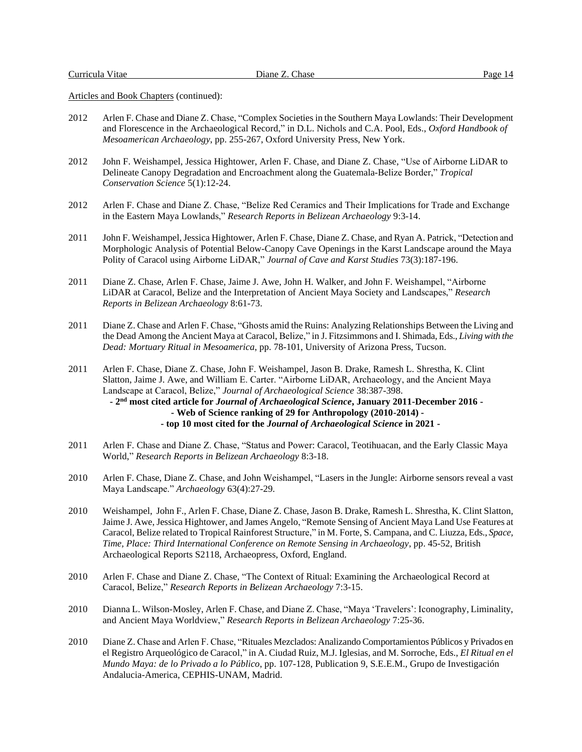- 2012 Arlen F. Chase and Diane Z. Chase, "Complex Societiesin the Southern Maya Lowlands: Their Development and Florescence in the Archaeological Record," in D.L. Nichols and C.A. Pool, Eds., *Oxford Handbook of Mesoamerican Archaeology*, pp. 255-267, Oxford University Press, New York.
- 2012 John F. Weishampel, Jessica Hightower, Arlen F. Chase, and Diane Z. Chase, "Use of Airborne LiDAR to Delineate Canopy Degradation and Encroachment along the Guatemala-Belize Border," *Tropical Conservation Science* 5(1):12-24.
- 2012 Arlen F. Chase and Diane Z. Chase, "Belize Red Ceramics and Their Implications for Trade and Exchange in the Eastern Maya Lowlands," *Research Reports in Belizean Archaeology* 9:3-14.
- 2011 John F. Weishampel, Jessica Hightower, Arlen F. Chase, Diane Z. Chase, and Ryan A. Patrick, "Detection and Morphologic Analysis of Potential Below-Canopy Cave Openings in the Karst Landscape around the Maya Polity of Caracol using Airborne LiDAR," *Journal of Cave and Karst Studies* 73(3):187-196.
- 2011 Diane Z. Chase, Arlen F. Chase, Jaime J. Awe, John H. Walker, and John F. Weishampel, "Airborne LiDAR at Caracol, Belize and the Interpretation of Ancient Maya Society and Landscapes," *Research Reports in Belizean Archaeology* 8:61-73.
- 2011 Diane Z. Chase and Arlen F. Chase, "Ghosts amid the Ruins: Analyzing Relationships Between the Living and the Dead Among the Ancient Maya at Caracol, Belize," in J. Fitzsimmons and I. Shimada, Eds., *Living with the Dead: Mortuary Ritual in Mesoamerica*, pp. 78-101, University of Arizona Press, Tucson.
- 2011 Arlen F. Chase, Diane Z. Chase, John F. Weishampel, Jason B. Drake, Ramesh L. Shrestha, K. Clint Slatton, Jaime J. Awe, and William E. Carter. "Airborne LiDAR, Archaeology, and the Ancient Maya Landscape at Caracol, Belize," *Journal of Archaeological Science* 38:387-398. **- 2 nd most cited article for** *Journal of Archaeological Science***, January 2011-December 2016 - - Web of Science ranking of 29 for Anthropology (2010-2014) - - top 10 most cited for the** *Journal of Archaeological Science* **in 2021 -**
- 2011 Arlen F. Chase and Diane Z. Chase, "Status and Power: Caracol, Teotihuacan, and the Early Classic Maya World," *Research Reports in Belizean Archaeology* 8:3-18.
- 2010 Arlen F. Chase, Diane Z. Chase, and John Weishampel, "Lasers in the Jungle: Airborne sensors reveal a vast Maya Landscape." *Archaeology* 63(4):27-29.
- 2010 Weishampel, John F., Arlen F. Chase, Diane Z. Chase, Jason B. Drake, Ramesh L. Shrestha, K. Clint Slatton, Jaime J. Awe, Jessica Hightower, and James Angelo, "Remote Sensing of Ancient Maya Land Use Features at Caracol, Belize related to Tropical Rainforest Structure," in M. Forte, S. Campana, and C. Liuzza, Eds., *Space, Time, Place: Third International Conference on Remote Sensing in Archaeology*, pp. 45-52, British Archaeological Reports S2118, Archaeopress, Oxford, England.
- 2010 Arlen F. Chase and Diane Z. Chase, "The Context of Ritual: Examining the Archaeological Record at Caracol, Belize," *Research Reports in Belizean Archaeology* 7:3-15.
- 2010 Dianna L. Wilson-Mosley, Arlen F. Chase, and Diane Z. Chase, "Maya 'Travelers': Iconography, Liminality, and Ancient Maya Worldview," *Research Reports in Belizean Archaeology* 7:25-36.
- 2010 Diane Z. Chase and Arlen F. Chase, "Rituales Mezclados: Analizando Comportamientos Públicos y Privados en el Registro Arqueológico de Caracol," in A. Ciudad Ruiz, M.J. Iglesias, and M. Sorroche, Eds., *El Ritual en el Mundo Maya: de lo Privado a lo Público*, pp. 107-128, Publication 9, S.E.E.M., Grupo de Investigación Andalucia-America, CEPHIS-UNAM, Madrid.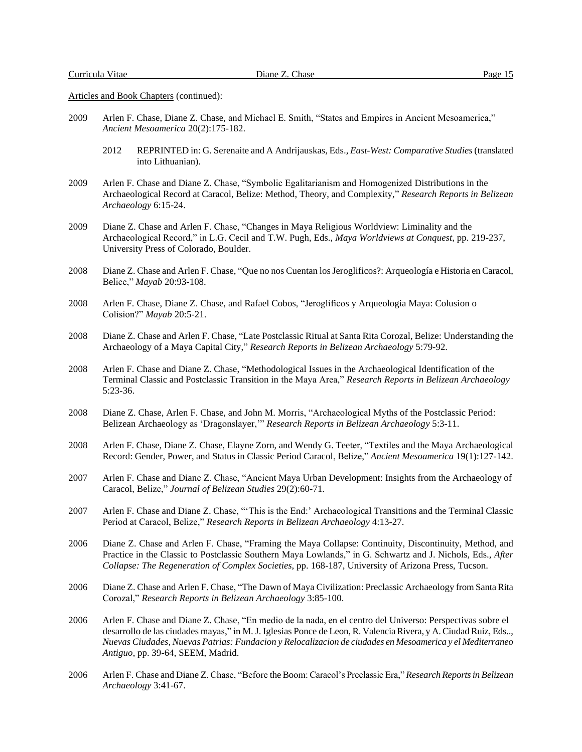- 2009 Arlen F. Chase, Diane Z. Chase, and Michael E. Smith, "States and Empires in Ancient Mesoamerica," *Ancient Mesoamerica* 20(2):175-182.
	- 2012 REPRINTED in: G. Serenaite and A Andrijauskas, Eds., *East-West: Comparative Studies* (translated into Lithuanian).
- 2009 Arlen F. Chase and Diane Z. Chase, "Symbolic Egalitarianism and Homogenized Distributions in the Archaeological Record at Caracol, Belize: Method, Theory, and Complexity," *Research Reports in Belizean Archaeology* 6:15-24.
- 2009 Diane Z. Chase and Arlen F. Chase, "Changes in Maya Religious Worldview: Liminality and the Archaeological Record," in L.G. Cecil and T.W. Pugh, Eds., *Maya Worldviews at Conquest*, pp. 219-237, University Press of Colorado, Boulder.
- 2008 Diane Z. Chase and Arlen F. Chase, "Que no nos Cuentan los Jeroglificos?: Arqueología e Historia en Caracol, Belice," *Mayab* 20:93-108.
- 2008 Arlen F. Chase, Diane Z. Chase, and Rafael Cobos, "Jeroglificos y Arqueologia Maya: Colusion o Colision?" *Mayab* 20:5-21.
- 2008 Diane Z. Chase and Arlen F. Chase, "Late Postclassic Ritual at Santa Rita Corozal, Belize: Understanding the Archaeology of a Maya Capital City," *Research Reports in Belizean Archaeology* 5:79-92.
- 2008 Arlen F. Chase and Diane Z. Chase, "Methodological Issues in the Archaeological Identification of the Terminal Classic and Postclassic Transition in the Maya Area," *Research Reports in Belizean Archaeology* 5:23-36.
- 2008 Diane Z. Chase, Arlen F. Chase, and John M. Morris, "Archaeological Myths of the Postclassic Period: Belizean Archaeology as 'Dragonslayer,'" *Research Reports in Belizean Archaeology* 5:3-11.
- 2008 Arlen F. Chase, Diane Z. Chase, Elayne Zorn, and Wendy G. Teeter, "Textiles and the Maya Archaeological Record: Gender, Power, and Status in Classic Period Caracol, Belize," *Ancient Mesoamerica* 19(1):127-142.
- 2007 Arlen F. Chase and Diane Z. Chase, "Ancient Maya Urban Development: Insights from the Archaeology of Caracol, Belize," *Journal of Belizean Studies* 29(2):60-71.
- 2007 Arlen F. Chase and Diane Z. Chase, "'This is the End:' Archaeological Transitions and the Terminal Classic Period at Caracol, Belize," *Research Reports in Belizean Archaeology* 4:13-27.
- 2006 Diane Z. Chase and Arlen F. Chase, "Framing the Maya Collapse: Continuity, Discontinuity, Method, and Practice in the Classic to Postclassic Southern Maya Lowlands," in G. Schwartz and J. Nichols, Eds., *After Collapse: The Regeneration of Complex Societies*, pp. 168-187, University of Arizona Press, Tucson.
- 2006 Diane Z. Chase and Arlen F. Chase, "The Dawn of Maya Civilization: Preclassic Archaeology from Santa Rita Corozal," *Research Reports in Belizean Archaeology* 3:85-100.
- 2006 Arlen F. Chase and Diane Z. Chase, "En medio de la nada, en el centro del Universo: Perspectivas sobre el desarrollo de las ciudades mayas," in M. J. Iglesias Ponce de Leon, R. Valencia Rivera, y A. Ciudad Ruiz, Eds.., *Nuevas Ciudades, Nuevas Patrias: Fundacion y Relocalizacion de ciudades en Mesoamerica y el Mediterraneo Antiguo*, pp. 39-64, SEEM, Madrid.
- 2006 Arlen F. Chase and Diane Z. Chase, "Before the Boom: Caracol's Preclassic Era," *Research Reports in Belizean Archaeology* 3:41-67.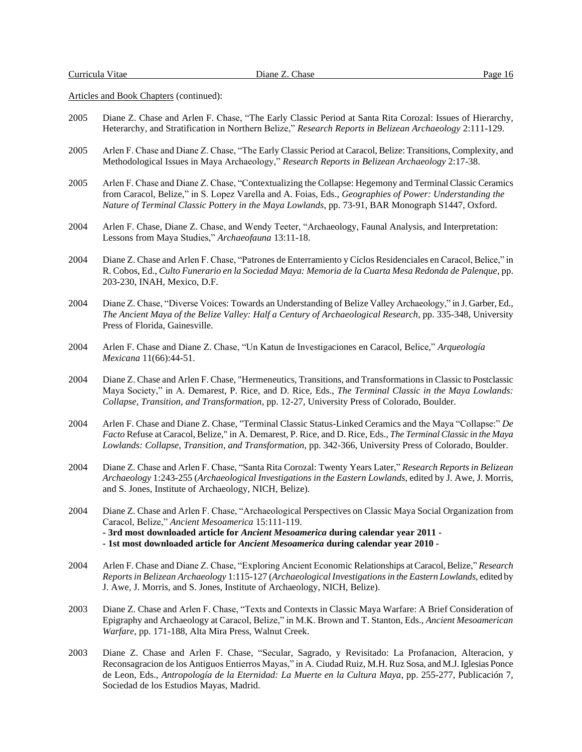- 2005 Diane Z. Chase and Arlen F. Chase, "The Early Classic Period at Santa Rita Corozal: Issues of Hierarchy, Heterarchy, and Stratification in Northern Belize," *Research Reports in Belizean Archaeology* 2:111-129.
- 2005 Arlen F. Chase and Diane Z. Chase, "The Early Classic Period at Caracol, Belize: Transitions, Complexity, and Methodological Issues in Maya Archaeology," *Research Reports in Belizean Archaeology* 2:17-38.
- 2005 Arlen F. Chase and Diane Z. Chase, "Contextualizing the Collapse: Hegemony and Terminal Classic Ceramics from Caracol, Belize," in S. Lopez Varella and A. Foias, Eds., *Geographies of Power: Understanding the Nature of Terminal Classic Pottery in the Maya Lowlands*, pp. 73-91, BAR Monograph S1447, Oxford.
- 2004 Arlen F. Chase, Diane Z. Chase, and Wendy Teeter, "Archaeology, Faunal Analysis, and Interpretation: Lessons from Maya Studies," *Archaeofauna* 13:11-18.
- 2004 Diane Z. Chase and Arlen F. Chase, "Patrones de Enterramiento y Cíclos Residenciales en Caracol, Belice," in R. Cobos, Ed., *Culto Funerario en la Sociedad Maya: Memoria de la Cuarta Mesa Redonda de Palenque*, pp. 203-230, INAH, Mexico, D.F.
- 2004 Diane Z. Chase, "Diverse Voices: Towards an Understanding of Belize Valley Archaeology," in J. Garber, Ed., *The Ancient Maya of the Belize Valley: Half a Century of Archaeological Research*, pp. 335-348, University Press of Florida, Gainesville.
- 2004 Arlen F. Chase and Diane Z. Chase, "Un Katun de Investigaciones en Caracol, Belice," *Arqueología Mexicana* 11(66):44-51.
- 2004 Diane Z. Chase and Arlen F. Chase, "Hermeneutics, Transitions, and Transformations in Classic to Postclassic Maya Society," in A. Demarest, P. Rice, and D. Rice, Eds., *The Terminal Classic in the Maya Lowlands: Collapse, Transition, and Transformation*, pp. 12-27, University Press of Colorado, Boulder.
- 2004 Arlen F. Chase and Diane Z. Chase, "Terminal Classic Status-Linked Ceramics and the Maya "Collapse:" *De Facto* Refuse at Caracol, Belize," in A. Demarest, P. Rice, and D. Rice, Eds., *The Terminal Classic in the Maya Lowlands: Collapse, Transition, and Transformation*, pp. 342-366, University Press of Colorado, Boulder.
- 2004 Diane Z. Chase and Arlen F. Chase, "Santa Rita Corozal: Twenty Years Later," *Research Reports in Belizean Archaeology* 1:243-255 (*Archaeological Investigations in the Eastern Lowlands*, edited by J. Awe, J. Morris, and S. Jones, Institute of Archaeology, NICH, Belize).
- 2004 Diane Z. Chase and Arlen F. Chase, "Archaeological Perspectives on Classic Maya Social Organization from Caracol, Belize," *Ancient Mesoamerica* 15:111-119. **- 3rd most downloaded article for** *Ancient Mesoamerica* **during calendar year 2011 - - 1st most downloaded article for** *Ancient Mesoamerica* **during calendar year 2010 -**
- 2004 Arlen F. Chase and Diane Z. Chase, "Exploring Ancient Economic Relationships at Caracol, Belize," *Research Reports in Belizean Archaeology* 1:115-127 (*Archaeological Investigations in the Eastern Lowlands*, edited by J. Awe, J. Morris, and S. Jones, Institute of Archaeology, NICH, Belize).
- 2003 Diane Z. Chase and Arlen F. Chase, "Texts and Contexts in Classic Maya Warfare: A Brief Consideration of Epigraphy and Archaeology at Caracol, Belize," in M.K. Brown and T. Stanton, Eds., *Ancient Mesoamerican Warfare*, pp. 171-188, Alta Mira Press, Walnut Creek.
- 2003 Diane Z. Chase and Arlen F. Chase, "Secular, Sagrado, y Revisitado: La Profanacion, Alteracion, y Reconsagracion de los Antiguos Entierros Mayas," in A. Ciudad Ruiz, M.H. Ruz Sosa, and M.J. Iglesias Ponce de Leon, Eds., *Antropología de la Eternidad: La Muerte en la Cultura Maya*, pp. 255-277, Publicación 7, Sociedad de los Estudios Mayas, Madrid.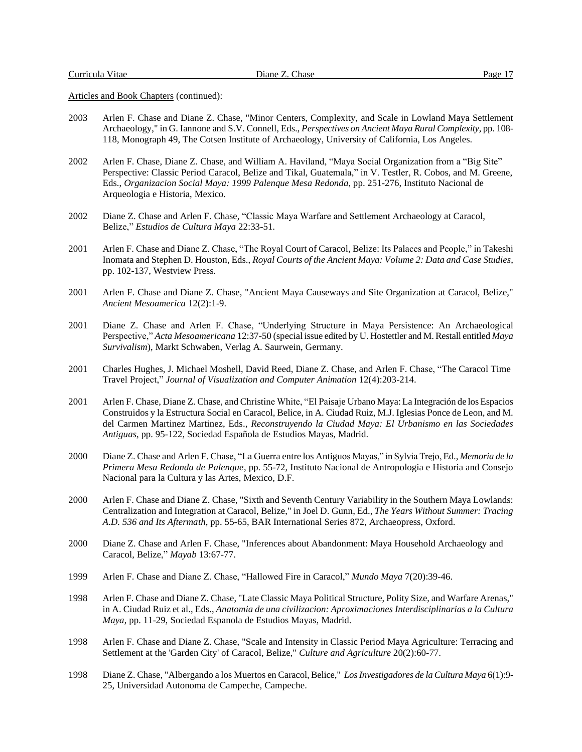- 2003 Arlen F. Chase and Diane Z. Chase, "Minor Centers, Complexity, and Scale in Lowland Maya Settlement Archaeology," in G. Iannone and S.V. Connell, Eds., *Perspectives on Ancient Maya Rural Complexity*, pp. 108- 118, Monograph 49, The Cotsen Institute of Archaeology, University of California, Los Angeles.
- 2002 Arlen F. Chase, Diane Z. Chase, and William A. Haviland, "Maya Social Organization from a "Big Site" Perspective: Classic Period Caracol, Belize and Tikal, Guatemala," in V. Testler, R. Cobos, and M. Greene, Eds., *Organizacion Social Maya: 1999 Palenque Mesa Redonda*, pp. 251-276, Instituto Nacional de Arqueologia e Historia, Mexico.
- 2002 Diane Z. Chase and Arlen F. Chase, "Classic Maya Warfare and Settlement Archaeology at Caracol, Belize," *Estudios de Cultura Maya* 22:33-51.
- 2001 Arlen F. Chase and Diane Z. Chase, "The Royal Court of Caracol, Belize: Its Palaces and People," in Takeshi Inomata and Stephen D. Houston, Eds., *Royal Courts of the Ancient Maya: Volume 2: Data and Case Studies*, pp. 102-137, Westview Press.
- 2001 Arlen F. Chase and Diane Z. Chase, "Ancient Maya Causeways and Site Organization at Caracol, Belize," *Ancient Mesoamerica* 12(2):1-9.
- 2001 Diane Z. Chase and Arlen F. Chase, "Underlying Structure in Maya Persistence: An Archaeological Perspective," *Acta Mesoamericana* 12:37-50 (special issue edited by U. Hostettler and M. Restall entitled *Maya Survivalism*), Markt Schwaben, Verlag A. Saurwein, Germany.
- 2001 Charles Hughes, J. Michael Moshell, David Reed, Diane Z. Chase, and Arlen F. Chase, "The Caracol Time Travel Project," *Journal of Visualization and Computer Animation* 12(4):203-214.
- 2001 Arlen F. Chase, Diane Z. Chase, and Christine White, "El Paisaje Urbano Maya: La Integración de los Espacios Construidos y la Estructura Social en Caracol, Belice, in A. Ciudad Ruiz, M.J. Iglesias Ponce de Leon, and M. del Carmen Martinez Martinez, Eds., *Reconstruyendo la Ciudad Maya: El Urbanismo en las Sociedades Antiguas*, pp. 95-122, Sociedad Española de Estudios Mayas, Madrid.
- 2000 Diane Z. Chase and Arlen F. Chase, "La Guerra entre los Antiguos Mayas," in Sylvia Trejo, Ed., *Memoria de la Primera Mesa Redonda de Palenque*, pp. 55-72, Instituto Nacional de Antropologia e Historia and Consejo Nacional para la Cultura y las Artes, Mexico, D.F.
- 2000 Arlen F. Chase and Diane Z. Chase, "Sixth and Seventh Century Variability in the Southern Maya Lowlands: Centralization and Integration at Caracol, Belize," in Joel D. Gunn, Ed., *The Years Without Summer: Tracing A.D. 536 and Its Aftermath*, pp. 55-65, BAR International Series 872, Archaeopress, Oxford.
- 2000 Diane Z. Chase and Arlen F. Chase, "Inferences about Abandonment: Maya Household Archaeology and Caracol, Belize," *Mayab* 13:67-77.
- 1999 Arlen F. Chase and Diane Z. Chase, "Hallowed Fire in Caracol," *Mundo Maya* 7(20):39-46.
- 1998 Arlen F. Chase and Diane Z. Chase, "Late Classic Maya Political Structure, Polity Size, and Warfare Arenas," in A. Ciudad Ruiz et al., Eds., *Anatomia de una civilizacion: Aproximaciones Interdisciplinarias a la Cultura Maya*, pp. 11-29, Sociedad Espanola de Estudios Mayas, Madrid.
- 1998 Arlen F. Chase and Diane Z. Chase, "Scale and Intensity in Classic Period Maya Agriculture: Terracing and Settlement at the 'Garden City' of Caracol, Belize," *Culture and Agriculture* 20(2):60-77.
- 1998 Diane Z. Chase, "Albergando a los Muertos en Caracol, Belice," *Los Investigadores de la Cultura Maya* 6(1):9- 25, Universidad Autonoma de Campeche, Campeche.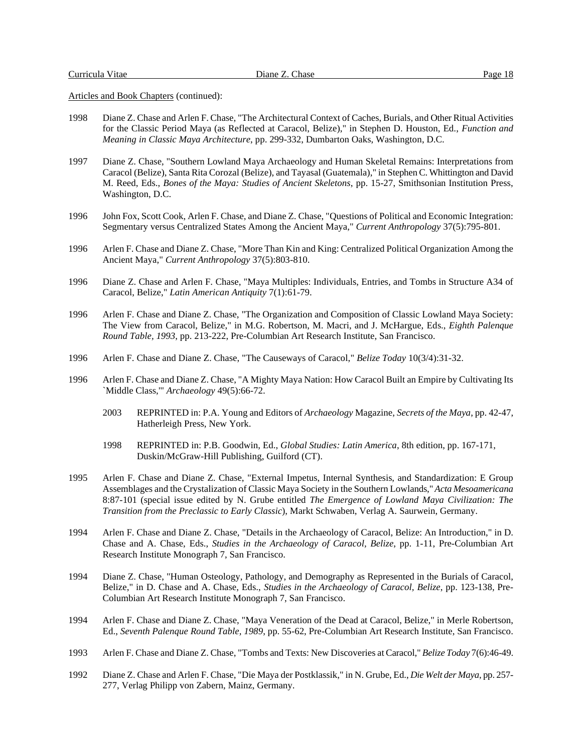Curricula Vitae Diane Z. Chase Page 18

- 1998 Diane Z. Chase and Arlen F. Chase, "The Architectural Context of Caches, Burials, and Other Ritual Activities for the Classic Period Maya (as Reflected at Caracol, Belize)," in Stephen D. Houston, Ed., *Function and Meaning in Classic Maya Architecture*, pp. 299-332, Dumbarton Oaks, Washington, D.C.
- 1997 Diane Z. Chase, "Southern Lowland Maya Archaeology and Human Skeletal Remains: Interpretations from Caracol (Belize), Santa Rita Corozal (Belize), and Tayasal (Guatemala)," in Stephen C. Whittington and David M. Reed, Eds., *Bones of the Maya: Studies of Ancient Skeletons*, pp. 15-27, Smithsonian Institution Press, Washington, D.C.
- 1996 John Fox, Scott Cook, Arlen F. Chase, and Diane Z. Chase, "Questions of Political and Economic Integration: Segmentary versus Centralized States Among the Ancient Maya," *Current Anthropology* 37(5):795-801.
- 1996 Arlen F. Chase and Diane Z. Chase, "More Than Kin and King: Centralized Political Organization Among the Ancient Maya," *Current Anthropology* 37(5):803-810.
- 1996 Diane Z. Chase and Arlen F. Chase, "Maya Multiples: Individuals, Entries, and Tombs in Structure A34 of Caracol, Belize," *Latin American Antiquity* 7(1):61-79.
- 1996 Arlen F. Chase and Diane Z. Chase, "The Organization and Composition of Classic Lowland Maya Society: The View from Caracol, Belize," in M.G. Robertson, M. Macri, and J. McHargue, Eds., *Eighth Palenque Round Table, 1993*, pp. 213-222, Pre-Columbian Art Research Institute, San Francisco.
- 1996 Arlen F. Chase and Diane Z. Chase, "The Causeways of Caracol," *Belize Today* 10(3/4):31-32.
- 1996 Arlen F. Chase and Diane Z. Chase, "A Mighty Maya Nation: How Caracol Built an Empire by Cultivating Its `Middle Class,'" *Archaeology* 49(5):66-72.
	- 2003 REPRINTED in: P.A. Young and Editors of *Archaeology* Magazine, *Secrets of the Maya*, pp. 42-47, Hatherleigh Press, New York.
	- 1998 REPRINTED in: P.B. Goodwin, Ed., *Global Studies: Latin America*, 8th edition, pp. 167-171, Duskin/McGraw-Hill Publishing, Guilford (CT).
- 1995 Arlen F. Chase and Diane Z. Chase, "External Impetus, Internal Synthesis, and Standardization: E Group Assemblages and the Crystalization of Classic Maya Society in the Southern Lowlands," *Acta Mesoamericana* 8:87-101 (special issue edited by N. Grube entitled *The Emergence of Lowland Maya Civilization: The Transition from the Preclassic to Early Classic*), Markt Schwaben, Verlag A. Saurwein, Germany.
- 1994 Arlen F. Chase and Diane Z. Chase, "Details in the Archaeology of Caracol, Belize: An Introduction," in D. Chase and A. Chase, Eds., *Studies in the Archaeology of Caracol, Belize*, pp. 1-11, Pre-Columbian Art Research Institute Monograph 7, San Francisco.
- 1994 Diane Z. Chase, "Human Osteology, Pathology, and Demography as Represented in the Burials of Caracol, Belize," in D. Chase and A. Chase, Eds., *Studies in the Archaeology of Caracol, Belize*, pp. 123-138, Pre-Columbian Art Research Institute Monograph 7, San Francisco.
- 1994 Arlen F. Chase and Diane Z. Chase, "Maya Veneration of the Dead at Caracol, Belize," in Merle Robertson, Ed., *Seventh Palenque Round Table, 1989*, pp. 55-62, Pre-Columbian Art Research Institute, San Francisco.
- 1993 Arlen F. Chase and Diane Z. Chase, "Tombs and Texts: New Discoveries at Caracol," *Belize Today* 7(6):46-49.
- 1992 Diane Z. Chase and Arlen F. Chase, "Die Maya der Postklassik," in N. Grube, Ed., *Die Welt der Maya*, pp. 257- 277, Verlag Philipp von Zabern, Mainz, Germany.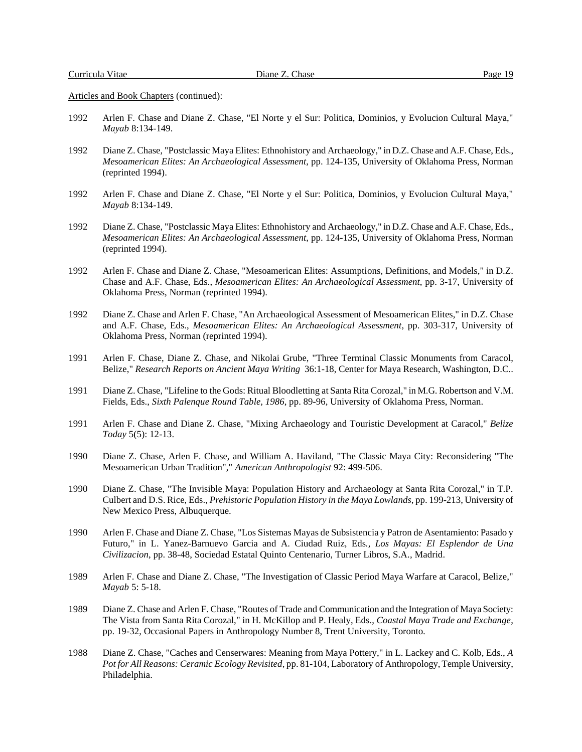- 1992 Arlen F. Chase and Diane Z. Chase, "El Norte y el Sur: Politica, Dominios, y Evolucion Cultural Maya," *Mayab* 8:134-149.
- 1992 Diane Z. Chase, "Postclassic Maya Elites: Ethnohistory and Archaeology," in D.Z. Chase and A.F. Chase, Eds., *Mesoamerican Elites: An Archaeological Assessment*, pp. 124-135, University of Oklahoma Press, Norman (reprinted 1994).
- 1992 Arlen F. Chase and Diane Z. Chase, "El Norte y el Sur: Politica, Dominios, y Evolucion Cultural Maya," *Mayab* 8:134-149.
- 1992 Diane Z. Chase, "Postclassic Maya Elites: Ethnohistory and Archaeology," in D.Z. Chase and A.F. Chase, Eds., *Mesoamerican Elites: An Archaeological Assessment*, pp. 124-135, University of Oklahoma Press, Norman (reprinted 1994).
- 1992 Arlen F. Chase and Diane Z. Chase, "Mesoamerican Elites: Assumptions, Definitions, and Models," in D.Z. Chase and A.F. Chase, Eds., *Mesoamerican Elites: An Archaeological Assessment*, pp. 3-17, University of Oklahoma Press, Norman (reprinted 1994).
- 1992 Diane Z. Chase and Arlen F. Chase, "An Archaeological Assessment of Mesoamerican Elites," in D.Z. Chase and A.F. Chase, Eds., *Mesoamerican Elites: An Archaeological Assessment*, pp. 303-317, University of Oklahoma Press, Norman (reprinted 1994).
- 1991 Arlen F. Chase, Diane Z. Chase, and Nikolai Grube, "Three Terminal Classic Monuments from Caracol, Belize," *Research Reports on Ancient Maya Writing* 36:1-18, Center for Maya Research, Washington, D.C..
- 1991 Diane Z. Chase, "Lifeline to the Gods: Ritual Bloodletting at Santa Rita Corozal," in M.G. Robertson and V.M. Fields, Eds., *Sixth Palenque Round Table, 1986*, pp. 89-96, University of Oklahoma Press, Norman.
- 1991 Arlen F. Chase and Diane Z. Chase, "Mixing Archaeology and Touristic Development at Caracol," *Belize Today* 5(5): 12-13.
- 1990 Diane Z. Chase, Arlen F. Chase, and William A. Haviland, "The Classic Maya City: Reconsidering "The Mesoamerican Urban Tradition"," *American Anthropologist* 92: 499-506.
- 1990 Diane Z. Chase, "The Invisible Maya: Population History and Archaeology at Santa Rita Corozal," in T.P. Culbert and D.S. Rice, Eds., *Prehistoric Population History in the Maya Lowlands*, pp. 199-213, University of New Mexico Press, Albuquerque.
- 1990 Arlen F. Chase and Diane Z. Chase, "Los Sistemas Mayas de Subsistencia y Patron de Asentamiento: Pasado y Futuro," in L. Yanez-Barnuevo Garcia and A. Ciudad Ruiz, Eds*., Los Mayas: El Esplendor de Una Civilizacion*, pp. 38-48, Sociedad Estatal Quinto Centenario, Turner Libros, S.A., Madrid.
- 1989 Arlen F. Chase and Diane Z. Chase, "The Investigation of Classic Period Maya Warfare at Caracol, Belize," *Mayab* 5: 5-18.
- 1989 Diane Z. Chase and Arlen F. Chase, "Routes of Trade and Communication and the Integration of Maya Society: The Vista from Santa Rita Corozal," in H. McKillop and P. Healy, Eds., *Coastal Maya Trade and Exchange*, pp. 19-32, Occasional Papers in Anthropology Number 8, Trent University, Toronto.
- 1988 Diane Z. Chase, "Caches and Censerwares: Meaning from Maya Pottery," in L. Lackey and C. Kolb, Eds., *A Pot for All Reasons: Ceramic Ecology Revisited*, pp. 81-104, Laboratory of Anthropology, Temple University, Philadelphia.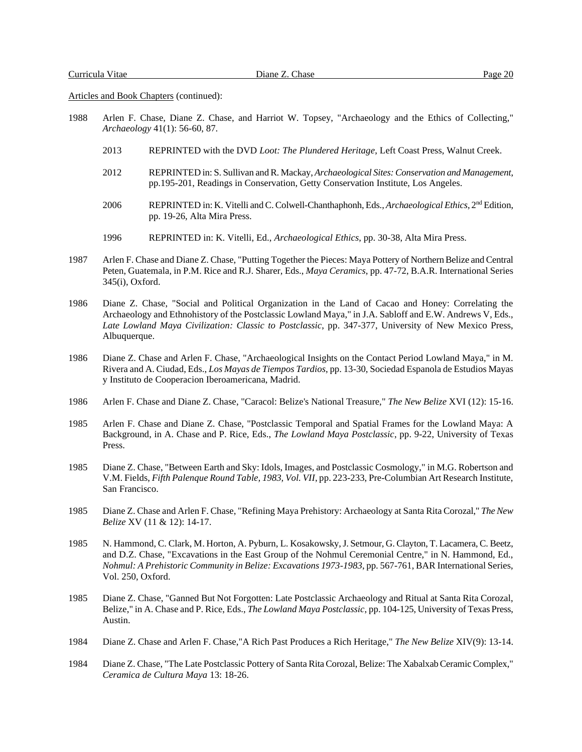- 1988 Arlen F. Chase, Diane Z. Chase, and Harriot W. Topsey, "Archaeology and the Ethics of Collecting," *Archaeology* 41(1): 56-60, 87.
	- 2013 REPRINTED with the DVD *Loot: The Plundered Heritage*, Left Coast Press, Walnut Creek.
	- 2012 REPRINTED in: S. Sullivan and R. Mackay, *Archaeological Sites: Conservation and Management*, pp.195-201, Readings in Conservation, Getty Conservation Institute, Los Angeles.
	- 2006 REPRINTED in: K. Vitelli and C. Colwell-Chanthaphonh, Eds., *Archaeological Ethics*, 2nd Edition, pp. 19-26, Alta Mira Press.
	- 1996 REPRINTED in: K. Vitelli, Ed., *Archaeological Ethics*, pp. 30-38, Alta Mira Press.
- 1987 Arlen F. Chase and Diane Z. Chase, "Putting Together the Pieces: Maya Pottery of Northern Belize and Central Peten, Guatemala, in P.M. Rice and R.J. Sharer, Eds., *Maya Ceramics*, pp. 47-72, B.A.R. International Series 345(i), Oxford.
- 1986 Diane Z. Chase, "Social and Political Organization in the Land of Cacao and Honey: Correlating the Archaeology and Ethnohistory of the Postclassic Lowland Maya," in J.A. Sabloff and E.W. Andrews V, Eds., *Late Lowland Maya Civilization: Classic to Postclassic*, pp. 347-377, University of New Mexico Press, Albuquerque.
- 1986 Diane Z. Chase and Arlen F. Chase, "Archaeological Insights on the Contact Period Lowland Maya," in M. Rivera and A. Ciudad, Eds., *Los Mayas de Tiempos Tardios*, pp. 13-30, Sociedad Espanola de Estudios Mayas y Instituto de Cooperacion Iberoamericana, Madrid.
- 1986 Arlen F. Chase and Diane Z. Chase, "Caracol: Belize's National Treasure," *The New Belize* XVI (12): 15-16.
- 1985 Arlen F. Chase and Diane Z. Chase, "Postclassic Temporal and Spatial Frames for the Lowland Maya: A Background, in A. Chase and P. Rice, Eds., *The Lowland Maya Postclassic*, pp. 9-22, University of Texas Press.
- 1985 Diane Z. Chase, "Between Earth and Sky: Idols, Images, and Postclassic Cosmology," in M.G. Robertson and V.M. Fields, *Fifth Palenque Round Table, 1983, Vol. VII*, pp. 223-233, Pre-Columbian Art Research Institute, San Francisco.
- 1985 Diane Z. Chase and Arlen F. Chase, "Refining Maya Prehistory: Archaeology at Santa Rita Corozal," *The New Belize* XV (11 & 12): 14-17.
- 1985 N. Hammond, C. Clark, M. Horton, A. Pyburn, L. Kosakowsky, J. Setmour, G. Clayton, T. Lacamera, C. Beetz, and D.Z. Chase, "Excavations in the East Group of the Nohmul Ceremonial Centre," in N. Hammond, Ed., *Nohmul: A Prehistoric Community in Belize: Excavations 1973-1983*, pp. 567-761, BAR International Series, Vol. 250, Oxford.
- 1985 Diane Z. Chase, "Ganned But Not Forgotten: Late Postclassic Archaeology and Ritual at Santa Rita Corozal, Belize," in A. Chase and P. Rice, Eds., *The Lowland Maya Postclassic*, pp. 104-125, University of Texas Press, Austin.
- 1984 Diane Z. Chase and Arlen F. Chase,"A Rich Past Produces a Rich Heritage," *The New Belize* XIV(9): 13-14.
- 1984 Diane Z. Chase, "The Late Postclassic Pottery of Santa Rita Corozal, Belize: The Xabalxab Ceramic Complex," *Ceramica de Cultura Maya* 13: 18-26.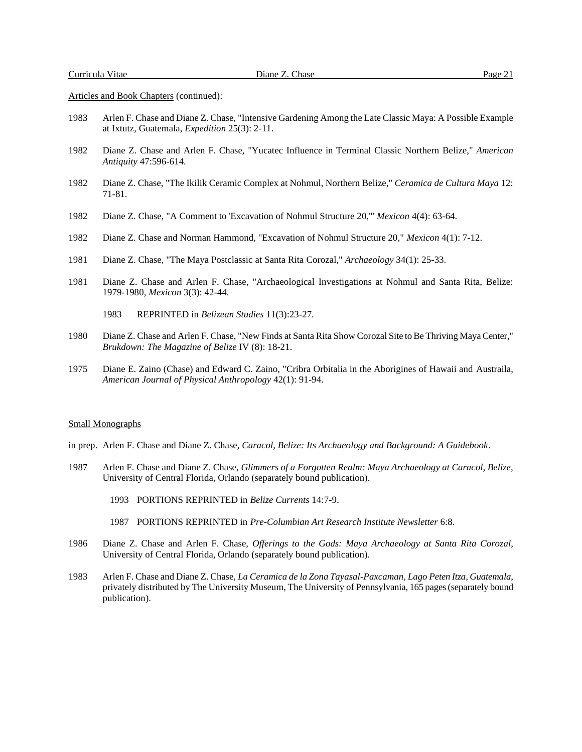- 1983 Arlen F. Chase and Diane Z. Chase, "Intensive Gardening Among the Late Classic Maya: A Possible Example at Ixtutz, Guatemala, *Expedition* 25(3): 2-11.
- 1982 Diane Z. Chase and Arlen F. Chase, "Yucatec Influence in Terminal Classic Northern Belize," *American Antiquity* 47:596-614.
- 1982 Diane Z. Chase, "The Ikilik Ceramic Complex at Nohmul, Northern Belize," *Ceramica de Cultura Maya* 12: 71-81.
- 1982 Diane Z. Chase, "A Comment to 'Excavation of Nohmul Structure 20,'" *Mexicon* 4(4): 63-64.
- 1982 Diane Z. Chase and Norman Hammond, "Excavation of Nohmul Structure 20," *Mexicon* 4(1): 7-12.
- 1981 Diane Z. Chase, "The Maya Postclassic at Santa Rita Corozal," *Archaeology* 34(1): 25-33.
- 1981 Diane Z. Chase and Arlen F. Chase, "Archaeological Investigations at Nohmul and Santa Rita, Belize: 1979-1980, *Mexicon* 3(3): 42-44.
	- 1983 REPRINTED in *Belizean Studies* 11(3):23-27.
- 1980 Diane Z. Chase and Arlen F. Chase, "New Finds at Santa Rita Show Corozal Site to Be Thriving Maya Center," *Brukdown: The Magazine of Belize* IV (8): 18-21.
- 1975 Diane E. Zaino (Chase) and Edward C. Zaino, "Cribra Orbitalia in the Aborigines of Hawaii and Austraila, *American Journal of Physical Anthropology* 42(1): 91-94.

#### Small Monographs

- in prep. Arlen F. Chase and Diane Z. Chase, *Caracol, Belize: Its Archaeology and Background: A Guidebook*.
- 1987 Arlen F. Chase and Diane Z. Chase, *Glimmers of a Forgotten Realm: Maya Archaeology at Caracol, Belize*, University of Central Florida, Orlando (separately bound publication).
	- 1993 PORTIONS REPRINTED in *Belize Currents* 14:7-9.
	- 1987 PORTIONS REPRINTED in *Pre-Columbian Art Research Institute Newsletter* 6:8.
- 1986 Diane Z. Chase and Arlen F. Chase, *Offerings to the Gods: Maya Archaeology at Santa Rita Corozal*, University of Central Florida, Orlando (separately bound publication).
- 1983 Arlen F. Chase and Diane Z. Chase, *La Ceramica de la Zona Tayasal-Paxcaman, Lago Peten Itza, Guatemala*, privately distributed by The University Museum, The University of Pennsylvania, 165 pages (separately bound publication).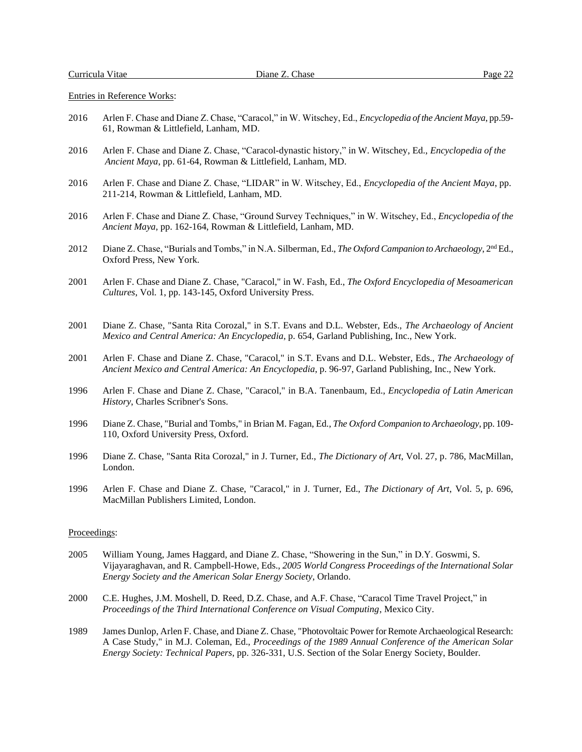Entries in Reference Works:

- 2016 Arlen F. Chase and Diane Z. Chase, "Caracol," in W. Witschey, Ed., *Encyclopedia of the Ancient Maya*, pp.59- 61, Rowman & Littlefield, Lanham, MD.
- 2016 Arlen F. Chase and Diane Z. Chase, "Caracol-dynastic history," in W. Witschey, Ed., *Encyclopedia of the Ancient Maya*, pp. 61-64, Rowman & Littlefield, Lanham, MD.
- 2016 Arlen F. Chase and Diane Z. Chase, "LIDAR" in W. Witschey, Ed., *Encyclopedia of the Ancient Maya*, pp. 211-214, Rowman & Littlefield, Lanham, MD.
- 2016 Arlen F. Chase and Diane Z. Chase, "Ground Survey Techniques," in W. Witschey, Ed., *Encyclopedia of the Ancient Maya*, pp. 162-164, Rowman & Littlefield, Lanham, MD.
- 2012 Diane Z. Chase, "Burials and Tombs," in N.A. Silberman, Ed., *The Oxford Campanion to Archaeology*, 2nd Ed., Oxford Press, New York.
- 2001 Arlen F. Chase and Diane Z. Chase, "Caracol," in W. Fash, Ed., *The Oxford Encyclopedia of Mesoamerican Cultures*, Vol. 1, pp. 143-145, Oxford University Press.
- 2001 Diane Z. Chase, "Santa Rita Corozal," in S.T. Evans and D.L. Webster, Eds., *The Archaeology of Ancient Mexico and Central America: An Encyclopedia*, p. 654, Garland Publishing, Inc., New York.
- 2001 Arlen F. Chase and Diane Z. Chase, "Caracol," in S.T. Evans and D.L. Webster, Eds., *The Archaeology of Ancient Mexico and Central America: An Encyclopedia*, p. 96-97, Garland Publishing, Inc., New York.
- 1996 Arlen F. Chase and Diane Z. Chase, "Caracol," in B.A. Tanenbaum, Ed., *Encyclopedia of Latin American History*, Charles Scribner's Sons.
- 1996 Diane Z. Chase, "Burial and Tombs," in Brian M. Fagan, Ed., *The Oxford Companion to Archaeology*, pp. 109- 110, Oxford University Press, Oxford.
- 1996 Diane Z. Chase, "Santa Rita Corozal," in J. Turner, Ed., *The Dictionary of Art*, Vol. 27, p. 786, MacMillan, London.
- 1996 Arlen F. Chase and Diane Z. Chase, "Caracol," in J. Turner, Ed., *The Dictionary of Art*, Vol. 5, p. 696, MacMillan Publishers Limited, London.

### Proceedings:

- 2005 William Young, James Haggard, and Diane Z. Chase, "Showering in the Sun," in D.Y. Goswmi, S. Vijayaraghavan, and R. Campbell-Howe, Eds., *2005 World Congress Proceedings of the International Solar Energy Society and the American Solar Energy Society*, Orlando.
- 2000 C.E. Hughes, J.M. Moshell, D. Reed, D.Z. Chase, and A.F. Chase, "Caracol Time Travel Project," in *Proceedings of the Third International Conference on Visual Computing*, Mexico City.
- 1989 James Dunlop, Arlen F. Chase, and Diane Z. Chase, "Photovoltaic Power for Remote Archaeological Research: A Case Study," in M.J. Coleman, Ed., *Proceedings of the 1989 Annual Conference of the American Solar Energy Society: Technical Papers*, pp. 326-331, U.S. Section of the Solar Energy Society, Boulder.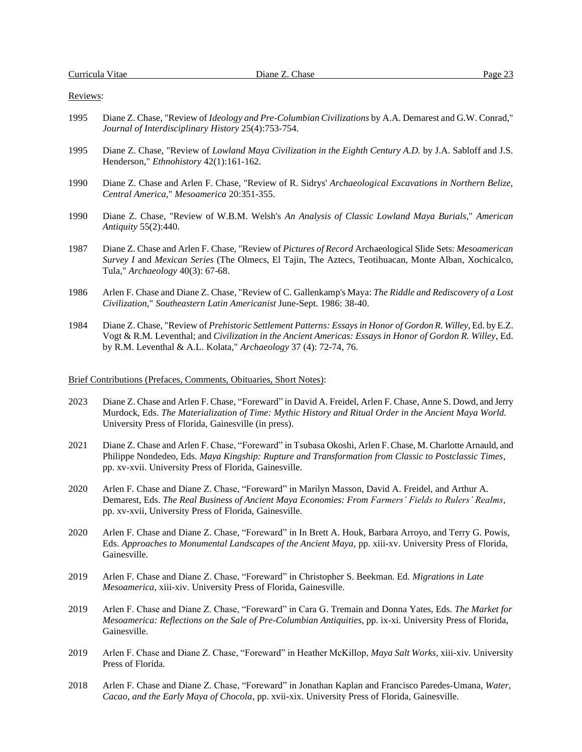#### Reviews:

- 1995 Diane Z. Chase, "Review of *Ideology and Pre-Columbian Civilizations* by A.A. Demarest and G.W. Conrad," *Journal of Interdisciplinary History* 25(4):753-754.
- 1995 Diane Z. Chase, "Review of *Lowland Maya Civilization in the Eighth Century A.D.* by J.A. Sabloff and J.S. Henderson," *Ethnohistory* 42(1):161-162.
- 1990 Diane Z. Chase and Arlen F. Chase, "Review of R. Sidrys' *Archaeological Excavations in Northern Belize, Central America*," *Mesoamerica* 20:351-355.
- 1990 Diane Z. Chase, "Review of W.B.M. Welsh's *An Analysis of Classic Lowland Maya Burials*," *American Antiquity* 55(2):440.
- 1987 Diane Z. Chase and Arlen F. Chase, "Review of *Pictures of Record* Archaeological Slide Sets: *Mesoamerican Survey I* and *Mexican Series* (The Olmecs, El Tajin, The Aztecs, Teotihuacan, Monte Alban, Xochicalco, Tula," *Archaeology* 40(3): 67-68.
- 1986 Arlen F. Chase and Diane Z. Chase, "Review of C. Gallenkamp's Maya: *The Riddle and Rediscovery of a Lost Civilization*," *Southeastern Latin Americanist* June-Sept. 1986: 38-40.
- 1984 Diane Z. Chase, "Review of *Prehistoric Settlement Patterns: Essays in Honor of Gordon R. Willey*, Ed. by E.Z. Vogt & R.M. Leventhal; and *Civilization in the Ancient Americas: Essays in Honor of Gordon R. Willey*, Ed. by R.M. Leventhal & A.L. Kolata," *Archaeology* 37 (4): 72-74, 76.

#### Brief Contributions (Prefaces, Comments, Obituaries, Short Notes):

- 2023 Diane Z. Chase and Arlen F. Chase, "Foreward" in David A. Freidel, Arlen F. Chase, Anne S. Dowd, and Jerry Murdock, Eds. *The Materialization of Time: Mythic History and Ritual Order in the Ancient Maya World.* University Press of Florida, Gainesville (in press).
- 2021 Diane Z. Chase and Arlen F. Chase, "Foreward" in Tsubasa Okoshi, Arlen F. Chase, M. Charlotte Arnauld, and Philippe Nondedeo, Eds. *Maya Kingship: Rupture and Transformation from Classic to Postclassic Times*, pp. xv-xvii. University Press of Florida, Gainesville.
- 2020 Arlen F. Chase and Diane Z. Chase, "Foreward" in Marilyn Masson, David A. Freidel, and Arthur A. Demarest, Eds. *The Real Business of Ancient Maya Economies: From Farmers' Fields to Rulers' Realms*, pp. xv-xvii, University Press of Florida, Gainesville.
- 2020 Arlen F. Chase and Diane Z. Chase, "Foreward" in In Brett A. Houk, Barbara Arroyo, and Terry G. Powis, Eds. *Approaches to Monumental Landscapes of the Ancient Maya,* pp. xiii-xv. University Press of Florida, Gainesville.
- 2019 Arlen F. Chase and Diane Z. Chase, "Foreward" in Christopher S. Beekman. Ed. *Migrations in Late Mesoamerica,* xiii-xiv*.* University Press of Florida, Gainesville.
- 2019 Arlen F. Chase and Diane Z. Chase, "Foreward" in Cara G. Tremain and Donna Yates, Eds. *The Market for Mesoamerica: Reflections on the Sale of Pre-Columbian Antiquities*, pp. ix-xi. University Press of Florida, Gainesville.
- 2019 Arlen F. Chase and Diane Z. Chase, "Foreward" in Heather McKillop, *Maya Salt Works,* xiii-xiv*.* University Press of Florida.
- 2018 Arlen F. Chase and Diane Z. Chase, "Foreward" in Jonathan Kaplan and Francisco Paredes-Umana, *Water, Cacao, and the Early Maya of Chocola*, pp. xvii-xix. University Press of Florida, Gainesville.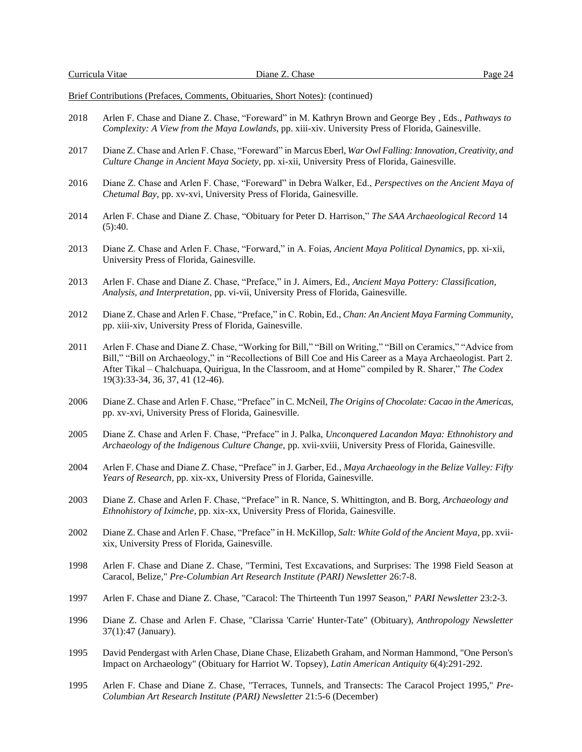Brief Contributions (Prefaces, Comments, Obituaries, Short Notes): (continued)

- 2018 Arlen F. Chase and Diane Z. Chase, "Foreward" in M. Kathryn Brown and George Bey , Eds., *Pathways to Complexity: A View from the Maya Lowlands*, pp. xiii-xiv. University Press of Florida, Gainesville.
- 2017 Diane Z. Chase and Arlen F. Chase, "Foreward" in Marcus Eberl, *War Owl Falling: Innovation, Creativity, and Culture Change in Ancient Maya Society*, pp. xi-xii, University Press of Florida, Gainesville.
- 2016 Diane Z. Chase and Arlen F. Chase, "Foreward" in Debra Walker, Ed., *Perspectives on the Ancient Maya of Chetumal Bay,* pp. xv-xvi, University Press of Florida, Gainesville.
- 2014 Arlen F. Chase and Diane Z. Chase, "Obituary for Peter D. Harrison," *The SAA Archaeological Record* 14  $(5):40.$
- 2013 Diane Z. Chase and Arlen F. Chase, "Forward," in A. Foias, *Ancient Maya Political Dynamics*, pp. xi-xii, University Press of Florida, Gainesville.
- 2013 Arlen F. Chase and Diane Z. Chase, "Preface," in J. Aimers, Ed., *Ancient Maya Pottery: Classification, Analysis, and Interpretation*, pp. vi-vii, University Press of Florida, Gainesville.
- 2012 Diane Z. Chase and Arlen F. Chase, "Preface," in C. Robin, Ed., *Chan: An Ancient Maya Farming Community*, pp. xiii-xiv, University Press of Florida, Gainesville.
- 2011 Arlen F. Chase and Diane Z. Chase, "Working for Bill," "Bill on Writing," "Bill on Ceramics," "Advice from Bill," "Bill on Archaeology," in "Recollections of Bill Coe and His Career as a Maya Archaeologist. Part 2. After Tikal – Chalchuapa, Quirigua, In the Classroom, and at Home" compiled by R. Sharer," *The Codex* 19(3):33-34, 36, 37, 41 (12-46).
- 2006 Diane Z. Chase and Arlen F. Chase, "Preface" in C. McNeil, *The Origins of Chocolate: Cacao in the Americas*, pp. xv-xvi, University Press of Florida, Gainesville.
- 2005 Diane Z. Chase and Arlen F. Chase, "Preface" in J. Palka, *Unconquered Lacandon Maya: Ethnohistory and Archaeology of the Indigenous Culture Change*, pp. xvii-xviii, University Press of Florida, Gainesville.
- 2004 Arlen F. Chase and Diane Z. Chase, "Preface" in J. Garber, Ed., *Maya Archaeology in the Belize Valley: Fifty Years of Research*, pp. xix-xx, University Press of Florida, Gainesville.
- 2003 Diane Z. Chase and Arlen F. Chase, "Preface" in R. Nance, S. Whittington, and B. Borg, *Archaeology and Ethnohistory of Iximche*, pp. xix-xx, University Press of Florida, Gainesville.
- 2002 Diane Z. Chase and Arlen F. Chase, "Preface" in H. McKillop, *Salt: White Gold of the Ancient Maya*, pp. xviixix, University Press of Florida, Gainesville.
- 1998 Arlen F. Chase and Diane Z. Chase, "Termini, Test Excavations, and Surprises: The 1998 Field Season at Caracol, Belize," *Pre-Columbian Art Research Institute (PARI) Newsletter* 26:7-8.
- 1997 Arlen F. Chase and Diane Z. Chase, "Caracol: The Thirteenth Tun 1997 Season," *PARI Newsletter* 23:2-3.
- 1996 Diane Z. Chase and Arlen F. Chase, "Clarissa 'Carrie' Hunter-Tate" (Obituary), *Anthropology Newsletter* 37(1):47 (January).
- 1995 David Pendergast with Arlen Chase, Diane Chase, Elizabeth Graham, and Norman Hammond, "One Person's Impact on Archaeology" (Obituary for Harriot W. Topsey), *Latin American Antiquity* 6(4):291-292.
- 1995 Arlen F. Chase and Diane Z. Chase, "Terraces, Tunnels, and Transects: The Caracol Project 1995," *Pre-Columbian Art Research Institute (PARI) Newsletter* 21:5-6 (December)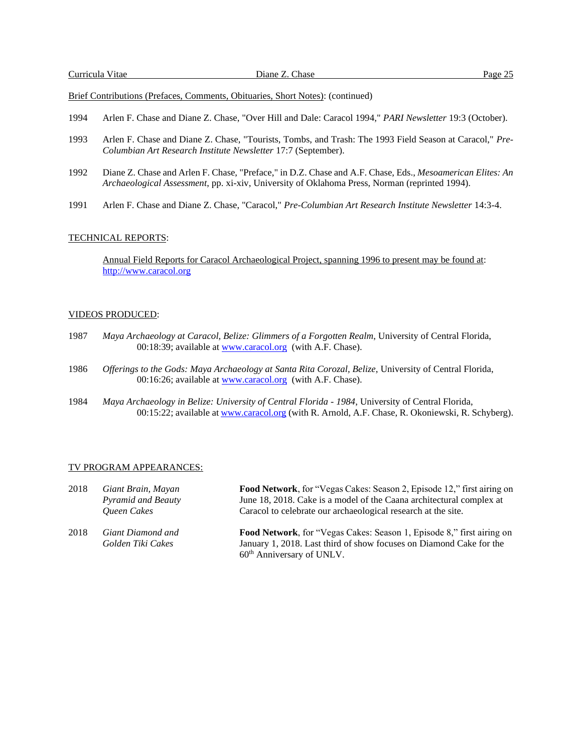Brief Contributions (Prefaces, Comments, Obituaries, Short Notes): (continued)

- 1994 Arlen F. Chase and Diane Z. Chase, "Over Hill and Dale: Caracol 1994," *PARI Newsletter* 19:3 (October).
- 1993 Arlen F. Chase and Diane Z. Chase, "Tourists, Tombs, and Trash: The 1993 Field Season at Caracol," *Pre-Columbian Art Research Institute Newsletter* 17:7 (September).
- 1992 Diane Z. Chase and Arlen F. Chase, "Preface," in D.Z. Chase and A.F. Chase, Eds., *Mesoamerican Elites: An Archaeological Assessment*, pp. xi-xiv, University of Oklahoma Press, Norman (reprinted 1994).
- 1991 Arlen F. Chase and Diane Z. Chase, "Caracol," *Pre-Columbian Art Research Institute Newsletter* 14:3-4.

#### TECHNICAL REPORTS:

Annual Field Reports for Caracol Archaeological Project, spanning 1996 to present may be found at: [http://www.caracol.org](http://www.caracol.org/)

## VIDEOS PRODUCED:

- 1987 *Maya Archaeology at Caracol, Belize: Glimmers of a Forgotten Realm*, University of Central Florida, 00:18:39; available at [www.caracol.org](http://www.caracol.org/) (with A.F. Chase).
- 1986 *Offerings to the Gods: Maya Archaeology at Santa Rita Corozal, Belize*, University of Central Florida, 00:16:26; available at [www.caracol.org](http://www.caracol.org/) (with A.F. Chase).
- 1984 *Maya Archaeology in Belize: University of Central Florida - 1984*, University of Central Florida, 00:15:22; available at [www.caracol.org](http://www.caracol.org/) (with R. Arnold, A.F. Chase, R. Okoniewski, R. Schyberg).

#### TV PROGRAM APPEARANCES:

| 2018 | Giant Brain, Mayan<br><b>Pyramid and Beauty</b><br><b>Oueen Cakes</b> | Food Network, for "Vegas Cakes: Season 2, Episode 12," first airing on<br>June 18, 2018. Cake is a model of the Caana architectural complex at<br>Caracol to celebrate our archaeological research at the site. |
|------|-----------------------------------------------------------------------|-----------------------------------------------------------------------------------------------------------------------------------------------------------------------------------------------------------------|
| 2018 | Giant Diamond and<br>Golden Tiki Cakes                                | Food Network, for "Vegas Cakes: Season 1, Episode 8," first airing on<br>January 1, 2018. Last third of show focuses on Diamond Cake for the                                                                    |

60th Anniversary of UNLV.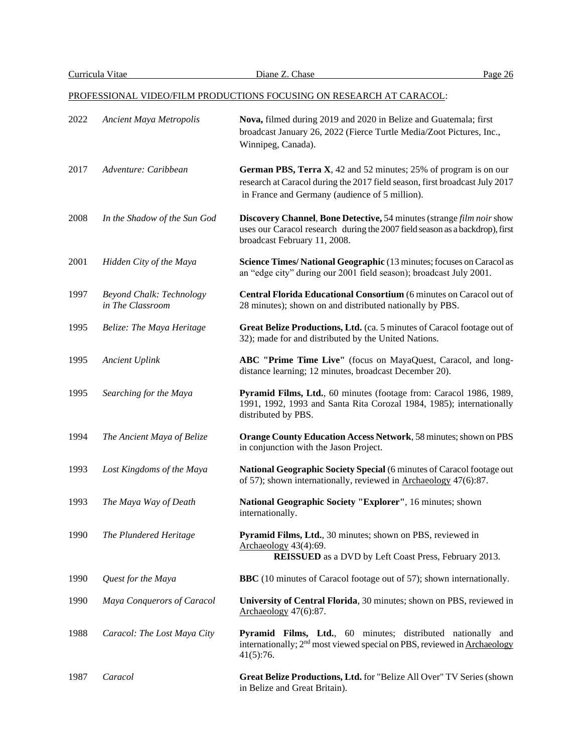## PROFESSIONAL VIDEO/FILM PRODUCTIONS FOCUSING ON RESEARCH AT CARACOL:

| 2022 | Ancient Maya Metropolis                      | Nova, filmed during 2019 and 2020 in Belize and Guatemala; first<br>broadcast January 26, 2022 (Fierce Turtle Media/Zoot Pictures, Inc.,<br>Winnipeg, Canada).                                    |
|------|----------------------------------------------|---------------------------------------------------------------------------------------------------------------------------------------------------------------------------------------------------|
| 2017 | Adventure: Caribbean                         | German PBS, Terra X, 42 and 52 minutes; 25% of program is on our<br>research at Caracol during the 2017 field season, first broadcast July 2017<br>in France and Germany (audience of 5 million). |
| 2008 | In the Shadow of the Sun God                 | Discovery Channel, Bone Detective, 54 minutes (strange film noir show<br>uses our Caracol research during the 2007 field season as a backdrop), first<br>broadcast February 11, 2008.             |
| 2001 | Hidden City of the Maya                      | Science Times/National Geographic (13 minutes; focuses on Caracol as<br>an "edge city" during our 2001 field season); broadcast July 2001.                                                        |
| 1997 | Beyond Chalk: Technology<br>in The Classroom | Central Florida Educational Consortium (6 minutes on Caracol out of<br>28 minutes); shown on and distributed nationally by PBS.                                                                   |
| 1995 | Belize: The Maya Heritage                    | Great Belize Productions, Ltd. (ca. 5 minutes of Caracol footage out of<br>32); made for and distributed by the United Nations.                                                                   |
| 1995 | <b>Ancient Uplink</b>                        | ABC "Prime Time Live" (focus on MayaQuest, Caracol, and long-<br>distance learning; 12 minutes, broadcast December 20).                                                                           |
| 1995 | Searching for the Maya                       | Pyramid Films, Ltd., 60 minutes (footage from: Caracol 1986, 1989,<br>1991, 1992, 1993 and Santa Rita Corozal 1984, 1985); internationally<br>distributed by PBS.                                 |
| 1994 | The Ancient Maya of Belize                   | Orange County Education Access Network, 58 minutes; shown on PBS<br>in conjunction with the Jason Project.                                                                                        |
| 1993 | Lost Kingdoms of the Maya                    | National Geographic Society Special (6 minutes of Caracol footage out<br>of 57); shown internationally, reviewed in Archaeology 47(6):87.                                                         |
| 1993 | The Maya Way of Death                        | National Geographic Society "Explorer", 16 minutes; shown<br>internationally.                                                                                                                     |
| 1990 | The Plundered Heritage                       | Pyramid Films, Ltd., 30 minutes; shown on PBS, reviewed in<br>Archaeology 43(4):69.<br><b>REISSUED</b> as a DVD by Left Coast Press, February 2013.                                               |
| 1990 | Quest for the Maya                           | <b>BBC</b> (10 minutes of Caracol footage out of 57); shown internationally.                                                                                                                      |
| 1990 | Maya Conquerors of Caracol                   | University of Central Florida, 30 minutes; shown on PBS, reviewed in<br>Archaeology $47(6)$ :87.                                                                                                  |
| 1988 | Caracol: The Lost Maya City                  | Pyramid Films, Ltd., 60 minutes; distributed nationally and<br>internationally; 2 <sup>nd</sup> most viewed special on PBS, reviewed in <b>Archaeology</b><br>41(5):76.                           |
| 1987 | Caracol                                      | Great Belize Productions, Ltd. for "Belize All Over" TV Series (shown<br>in Belize and Great Britain).                                                                                            |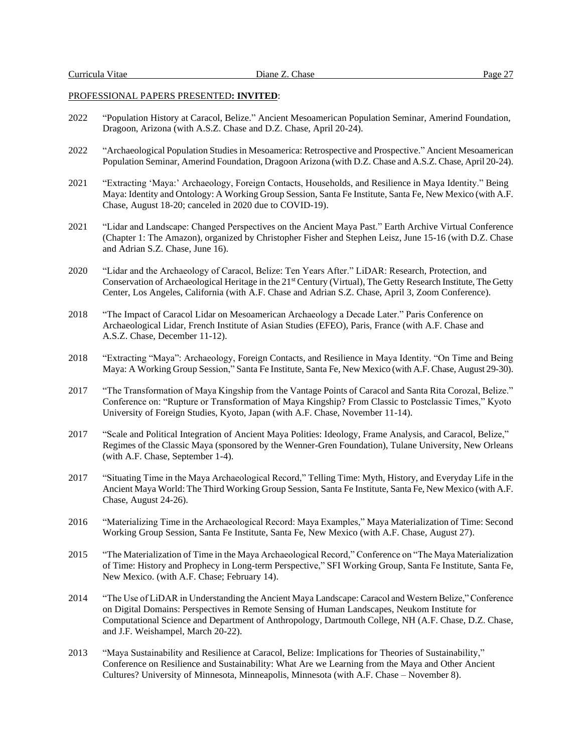## PROFESSIONAL PAPERS PRESENTED**: INVITED**:

- 2022 "Population History at Caracol, Belize." Ancient Mesoamerican Population Seminar, Amerind Foundation, Dragoon, Arizona (with A.S.Z. Chase and D.Z. Chase, April 20-24).
- 2022 "Archaeological Population Studies in Mesoamerica: Retrospective and Prospective." Ancient Mesoamerican Population Seminar, Amerind Foundation, Dragoon Arizona (with D.Z. Chase and A.S.Z. Chase, April 20-24).
- 2021 "Extracting 'Maya:' Archaeology, Foreign Contacts, Households, and Resilience in Maya Identity." Being Maya: Identity and Ontology: A Working Group Session, Santa Fe Institute, Santa Fe, New Mexico (with A.F. Chase, August 18-20; canceled in 2020 due to COVID-19).
- 2021 "Lidar and Landscape: Changed Perspectives on the Ancient Maya Past." Earth Archive Virtual Conference (Chapter 1: The Amazon), organized by Christopher Fisher and Stephen Leisz, June 15-16 (with D.Z. Chase and Adrian S.Z. Chase, June 16).
- 2020 "Lidar and the Archaeology of Caracol, Belize: Ten Years After." LiDAR: Research, Protection, and Conservation of Archaeological Heritage in the 21<sup>st</sup> Century (Virtual), The Getty Research Institute, The Getty Center, Los Angeles, California (with A.F. Chase and Adrian S.Z. Chase, April 3, Zoom Conference).
- 2018 "The Impact of Caracol Lidar on Mesoamerican Archaeology a Decade Later." Paris Conference on Archaeological Lidar, French Institute of Asian Studies (EFEO), Paris, France (with A.F. Chase and A.S.Z. Chase, December 11-12).
- 2018 "Extracting "Maya": Archaeology, Foreign Contacts, and Resilience in Maya Identity. "On Time and Being Maya: A Working Group Session," Santa Fe Institute, Santa Fe, New Mexico (with A.F. Chase, August 29-30).
- 2017 "The Transformation of Maya Kingship from the Vantage Points of Caracol and Santa Rita Corozal, Belize." Conference on: "Rupture or Transformation of Maya Kingship? From Classic to Postclassic Times," Kyoto University of Foreign Studies, Kyoto, Japan (with A.F. Chase, November 11-14).
- 2017 "Scale and Political Integration of Ancient Maya Polities: Ideology, Frame Analysis, and Caracol, Belize," Regimes of the Classic Maya (sponsored by the Wenner-Gren Foundation), Tulane University, New Orleans (with A.F. Chase, September 1-4).
- 2017 "Situating Time in the Maya Archaeological Record," Telling Time: Myth, History, and Everyday Life in the Ancient Maya World: The Third Working Group Session, Santa Fe Institute, Santa Fe, New Mexico (with A.F. Chase, August 24-26).
- 2016 "Materializing Time in the Archaeological Record: Maya Examples," Maya Materialization of Time: Second Working Group Session, Santa Fe Institute, Santa Fe, New Mexico (with A.F. Chase, August 27).
- 2015 "The Materialization of Time in the Maya Archaeological Record," Conference on "The Maya Materialization of Time: History and Prophecy in Long-term Perspective," SFI Working Group, Santa Fe Institute, Santa Fe, New Mexico. (with A.F. Chase; February 14).
- 2014 "The Use of LiDAR in Understanding the Ancient Maya Landscape: Caracol and Western Belize," Conference on Digital Domains: Perspectives in Remote Sensing of Human Landscapes, Neukom Institute for Computational Science and Department of Anthropology, Dartmouth College, NH (A.F. Chase, D.Z. Chase, and J.F. Weishampel, March 20-22).
- 2013 "Maya Sustainability and Resilience at Caracol, Belize: Implications for Theories of Sustainability," Conference on Resilience and Sustainability: What Are we Learning from the Maya and Other Ancient Cultures? University of Minnesota, Minneapolis, Minnesota (with A.F. Chase – November 8).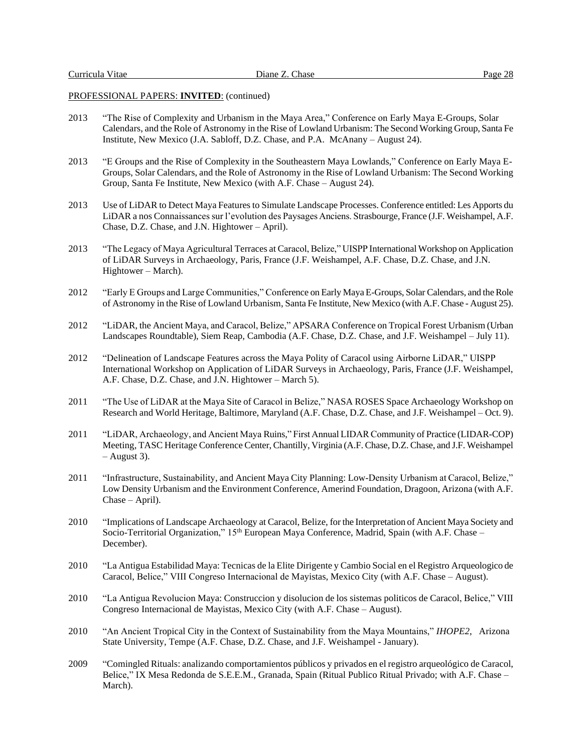## PROFESSIONAL PAPERS: **INVITED**: (continued)

- 2013 "The Rise of Complexity and Urbanism in the Maya Area," Conference on Early Maya E-Groups, Solar Calendars, and the Role of Astronomy in the Rise of Lowland Urbanism: The Second Working Group, Santa Fe Institute, New Mexico (J.A. Sabloff, D.Z. Chase, and P.A. McAnany – August 24).
- 2013 "E Groups and the Rise of Complexity in the Southeastern Maya Lowlands," Conference on Early Maya E-Groups, Solar Calendars, and the Role of Astronomy in the Rise of Lowland Urbanism: The Second Working Group, Santa Fe Institute, New Mexico (with A.F. Chase – August 24).
- 2013 Use of LiDAR to Detect Maya Features to Simulate Landscape Processes. Conference entitled: Les Apports du LiDAR a nos Connaissances sur l'evolution des Paysages Anciens. Strasbourge, France (J.F. Weishampel, A.F. Chase, D.Z. Chase, and J.N. Hightower – April).
- 2013 "The Legacy of Maya Agricultural Terraces at Caracol, Belize," UISPP International Workshop on Application of LiDAR Surveys in Archaeology, Paris, France (J.F. Weishampel, A.F. Chase, D.Z. Chase, and J.N. Hightower – March).
- 2012 "Early E Groups and Large Communities," Conference on Early Maya E-Groups, Solar Calendars, and theRole of Astronomy in the Rise of Lowland Urbanism, Santa Fe Institute, New Mexico (with A.F. Chase - August 25).
- 2012 "LiDAR, the Ancient Maya, and Caracol, Belize," APSARA Conference on Tropical Forest Urbanism (Urban Landscapes Roundtable), Siem Reap, Cambodia (A.F. Chase, D.Z. Chase, and J.F. Weishampel – July 11).
- 2012 "Delineation of Landscape Features across the Maya Polity of Caracol using Airborne LiDAR," UISPP International Workshop on Application of LiDAR Surveys in Archaeology, Paris, France (J.F. Weishampel, A.F. Chase, D.Z. Chase, and J.N. Hightower – March 5).
- 2011 "The Use of LiDAR at the Maya Site of Caracol in Belize," NASA ROSES Space Archaeology Workshop on Research and World Heritage, Baltimore, Maryland (A.F. Chase, D.Z. Chase, and J.F. Weishampel – Oct. 9).
- 2011 "LiDAR, Archaeology, and Ancient Maya Ruins," First Annual LIDAR Community of Practice (LIDAR-COP) Meeting, TASC Heritage Conference Center, Chantilly, Virginia (A.F. Chase, D.Z. Chase, and J.F. Weishampel – August 3).
- 2011 "Infrastructure, Sustainability, and Ancient Maya City Planning: Low-Density Urbanism at Caracol, Belize," Low Density Urbanism and the Environment Conference, Amerind Foundation, Dragoon, Arizona (with A.F. Chase – April).
- 2010 "Implications of Landscape Archaeology at Caracol, Belize, for the Interpretation of Ancient Maya Society and Socio-Territorial Organization,"  $15<sup>th</sup>$  European Maya Conference, Madrid, Spain (with A.F. Chase – December).
- 2010 "La Antigua Estabilidad Maya: Tecnicas de la Elite Dirigente y Cambio Social en el Registro Arqueologico de Caracol, Belice," VIII Congreso Internacional de Mayistas, Mexico City (with A.F. Chase – August).
- 2010 "La Antigua Revolucion Maya: Construccion y disolucion de los sistemas politicos de Caracol, Belice," VIII Congreso Internacional de Mayistas, Mexico City (with A.F. Chase – August).
- 2010 "An Ancient Tropical City in the Context of Sustainability from the Maya Mountains," *IHOPE2*, Arizona State University, Tempe (A.F. Chase, D.Z. Chase, and J.F. Weishampel - January).
- 2009 "Comingled Rituals: analizando comportamientos públicos y privados en el registro arqueológico de Caracol, Belice," IX Mesa Redonda de S.E.E.M., Granada, Spain (Ritual Publico Ritual Privado; with A.F. Chase – March).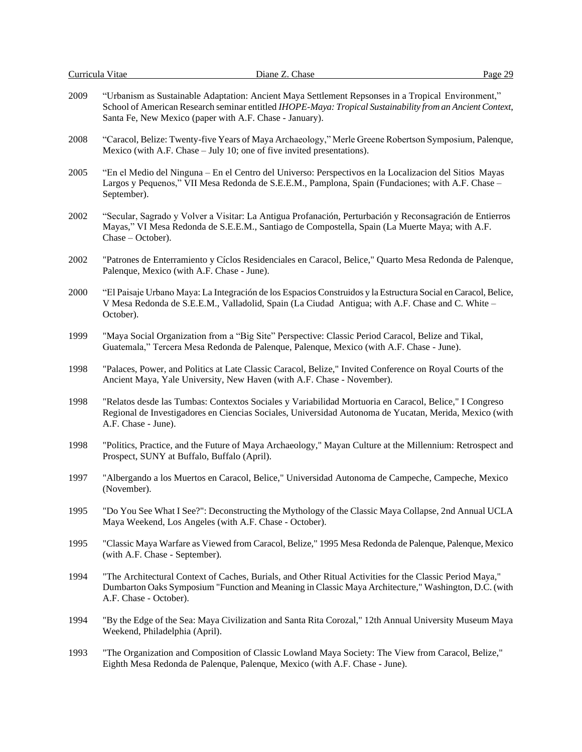| 2009 | "Urbanism as Sustainable Adaptation: Ancient Maya Settlement Repsonses in a Tropical Environment,"<br>School of American Research seminar entitled IHOPE-Maya: Tropical Sustainability from an Ancient Context,<br>Santa Fe, New Mexico (paper with A.F. Chase - January). |
|------|----------------------------------------------------------------------------------------------------------------------------------------------------------------------------------------------------------------------------------------------------------------------------|
| 2008 | "Caracol, Belize: Twenty-five Years of Maya Archaeology," Merle Greene Robertson Symposium, Palenque,<br>Mexico (with A.F. Chase – July 10; one of five invited presentations).                                                                                            |
| 2005 | "En el Medio del Ninguna – En el Centro del Universo: Perspectivos en la Localizacion del Sitios Mayas<br>Largos y Pequenos," VII Mesa Redonda de S.E.E.M., Pamplona, Spain (Fundaciones; with A.F. Chase –<br>September).                                                 |
| 2002 | "Secular, Sagrado y Volver a Visitar: La Antigua Profanación, Perturbación y Reconsagración de Entierros<br>Mayas," VI Mesa Redonda de S.E.E.M., Santiago de Compostella, Spain (La Muerte Maya; with A.F.<br>Chase – October).                                            |
| 2002 | "Patrones de Enterramiento y Cíclos Residenciales en Caracol, Belice," Quarto Mesa Redonda de Palenque,<br>Palenque, Mexico (with A.F. Chase - June).                                                                                                                      |
| 2000 | "El Paisaje Urbano Maya: La Integración de los Espacios Construidos y la Estructura Social en Caracol, Belice,<br>V Mesa Redonda de S.E.E.M., Valladolid, Spain (La Ciudad Antigua; with A.F. Chase and C. White -<br>October).                                            |
| 1999 | "Maya Social Organization from a "Big Site" Perspective: Classic Period Caracol, Belize and Tikal,<br>Guatemala," Tercera Mesa Redonda de Palenque, Palenque, Mexico (with A.F. Chase - June).                                                                             |
| 1998 | "Palaces, Power, and Politics at Late Classic Caracol, Belize," Invited Conference on Royal Courts of the<br>Ancient Maya, Yale University, New Haven (with A.F. Chase - November).                                                                                        |
| 1998 | "Relatos desde las Tumbas: Contextos Sociales y Variabilidad Mortuoria en Caracol, Belice," I Congreso<br>Regional de Investigadores en Ciencias Sociales, Universidad Autonoma de Yucatan, Merida, Mexico (with<br>A.F. Chase - June).                                    |
| 1998 | "Politics, Practice, and the Future of Maya Archaeology," Mayan Culture at the Millennium: Retrospect and<br>Prospect, SUNY at Buffalo, Buffalo (April).                                                                                                                   |
| 1997 | "Albergando a los Muertos en Caracol, Belice," Universidad Autonoma de Campeche, Campeche, Mexico<br>(November).                                                                                                                                                           |
| 1995 | "Do You See What I See?": Deconstructing the Mythology of the Classic Maya Collapse, 2nd Annual UCLA<br>Maya Weekend, Los Angeles (with A.F. Chase - October).                                                                                                             |
| 1995 | "Classic Maya Warfare as Viewed from Caracol, Belize," 1995 Mesa Redonda de Palenque, Palenque, Mexico<br>(with A.F. Chase - September).                                                                                                                                   |
| 1994 | "The Architectural Context of Caches, Burials, and Other Ritual Activities for the Classic Period Maya,"<br>Dumbarton Oaks Symposium "Function and Meaning in Classic Maya Architecture," Washington, D.C. (with<br>A.F. Chase - October).                                 |
| 1994 | "By the Edge of the Sea: Maya Civilization and Santa Rita Corozal," 12th Annual University Museum Maya<br>Weekend, Philadelphia (April).                                                                                                                                   |
| 1993 | "The Organization and Composition of Classic Lowland Maya Society: The View from Caracol, Belize,"<br>Eighth Mesa Redonda de Palenque, Palenque, Mexico (with A.F. Chase - June).                                                                                          |
|      |                                                                                                                                                                                                                                                                            |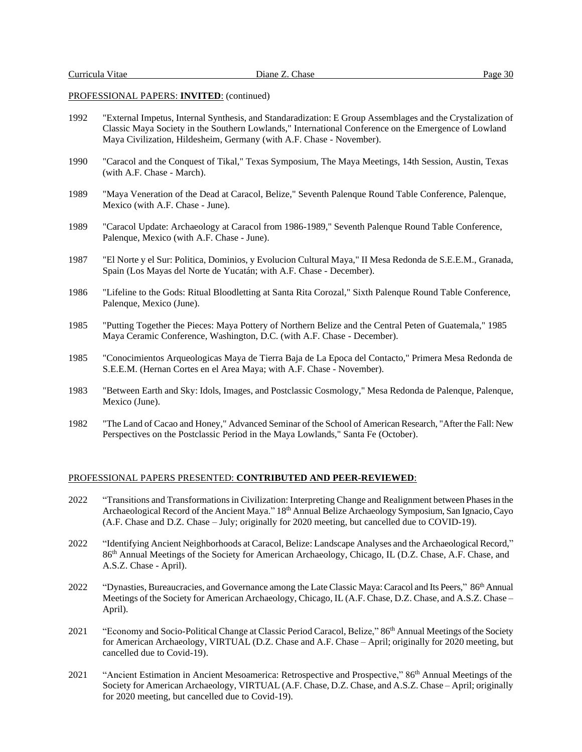## PROFESSIONAL PAPERS: **INVITED**: (continued)

- 1992 "External Impetus, Internal Synthesis, and Standaradization: E Group Assemblages and the Crystalization of Classic Maya Society in the Southern Lowlands," International Conference on the Emergence of Lowland Maya Civilization, Hildesheim, Germany (with A.F. Chase - November).
- 1990 "Caracol and the Conquest of Tikal," Texas Symposium, The Maya Meetings, 14th Session, Austin, Texas (with A.F. Chase - March).
- 1989 "Maya Veneration of the Dead at Caracol, Belize," Seventh Palenque Round Table Conference, Palenque, Mexico (with A.F. Chase - June).
- 1989 "Caracol Update: Archaeology at Caracol from 1986-1989," Seventh Palenque Round Table Conference, Palenque, Mexico (with A.F. Chase - June).
- 1987 "El Norte y el Sur: Politica, Dominios, y Evolucion Cultural Maya," II Mesa Redonda de S.E.E.M., Granada, Spain (Los Mayas del Norte de Yucatán; with A.F. Chase - December).
- 1986 "Lifeline to the Gods: Ritual Bloodletting at Santa Rita Corozal," Sixth Palenque Round Table Conference, Palenque, Mexico (June).
- 1985 "Putting Together the Pieces: Maya Pottery of Northern Belize and the Central Peten of Guatemala," 1985 Maya Ceramic Conference, Washington, D.C. (with A.F. Chase - December).
- 1985 "Conocimientos Arqueologicas Maya de Tierra Baja de La Epoca del Contacto," Primera Mesa Redonda de S.E.E.M. (Hernan Cortes en el Area Maya; with A.F. Chase - November).
- 1983 "Between Earth and Sky: Idols, Images, and Postclassic Cosmology," Mesa Redonda de Palenque, Palenque, Mexico (June).
- 1982 "The Land of Cacao and Honey," Advanced Seminar of the School of American Research, "After the Fall: New Perspectives on the Postclassic Period in the Maya Lowlands," Santa Fe (October).

#### PROFESSIONAL PAPERS PRESENTED: **CONTRIBUTED AND PEER-REVIEWED**:

- 2022 "Transitions and Transformations in Civilization: Interpreting Change and Realignment between Phases in the Archaeological Record of the Ancient Maya." 18<sup>th</sup> Annual Belize Archaeology Symposium, San Ignacio, Cayo (A.F. Chase and D.Z. Chase – July; originally for 2020 meeting, but cancelled due to COVID-19).
- 2022 "Identifying Ancient Neighborhoods at Caracol, Belize: Landscape Analyses and the Archaeological Record," 86 th Annual Meetings of the Society for American Archaeology, Chicago, IL (D.Z. Chase, A.F. Chase, and A.S.Z. Chase - April).
- 2022 "Dynasties, Bureaucracies, and Governance among the Late Classic Maya: Caracol and Its Peers," 86<sup>th</sup> Annual Meetings of the Society for American Archaeology, Chicago, IL (A.F. Chase, D.Z. Chase, and A.S.Z. Chase – April).
- 2021 "Economy and Socio-Political Change at Classic Period Caracol, Belize," 86<sup>th</sup> Annual Meetings of the Society for American Archaeology, VIRTUAL (D.Z. Chase and A.F. Chase – April; originally for 2020 meeting, but cancelled due to Covid-19).
- 2021 "Ancient Estimation in Ancient Mesoamerica: Retrospective and Prospective," 86<sup>th</sup> Annual Meetings of the Society for American Archaeology, VIRTUAL (A.F. Chase, D.Z. Chase, and A.S.Z. Chase – April; originally for 2020 meeting, but cancelled due to Covid-19).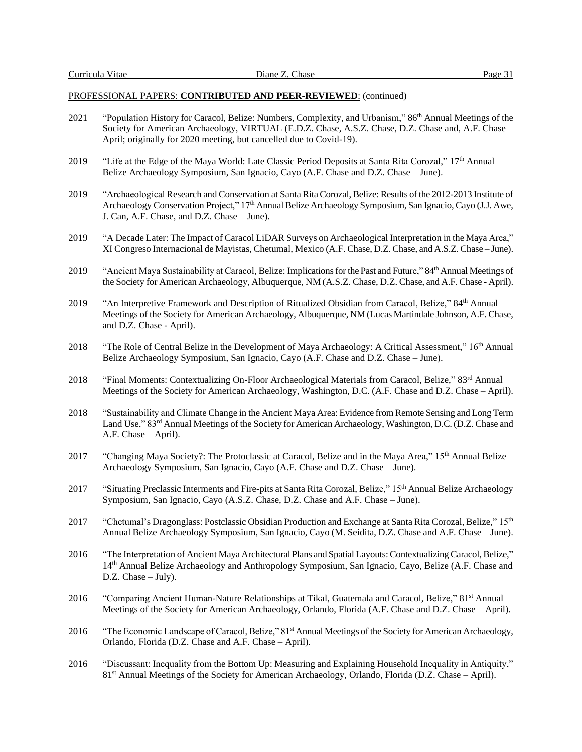- 2021 "Population History for Caracol, Belize: Numbers, Complexity, and Urbanism," 86<sup>th</sup> Annual Meetings of the Society for American Archaeology, VIRTUAL (E.D.Z. Chase, A.S.Z. Chase, D.Z. Chase and, A.F. Chase – April; originally for 2020 meeting, but cancelled due to Covid-19).
- 2019 "Life at the Edge of the Maya World: Late Classic Period Deposits at Santa Rita Corozal," 17th Annual Belize Archaeology Symposium, San Ignacio, Cayo (A.F. Chase and D.Z. Chase – June).
- 2019 "Archaeological Research and Conservation at Santa Rita Corozal, Belize: Results of the 2012-2013 Institute of Archaeology Conservation Project," 17<sup>th</sup> Annual Belize Archaeology Symposium, San Ignacio, Cayo (J.J. Awe, J. Can, A.F. Chase, and D.Z. Chase – June).
- 2019 "A Decade Later: The Impact of Caracol LiDAR Surveys on Archaeological Interpretation in the Maya Area," XI Congreso Internacional de Mayistas, Chetumal, Mexico (A.F. Chase, D.Z. Chase, and A.S.Z. Chase – June).
- 2019 "Ancient Maya Sustainability at Caracol, Belize: Implications for the Past and Future," 84<sup>th</sup> Annual Meetings of the Society for American Archaeology, Albuquerque, NM (A.S.Z. Chase, D.Z. Chase, and A.F. Chase - April).
- 2019 "An Interpretive Framework and Description of Ritualized Obsidian from Caracol, Belize," 84<sup>th</sup> Annual Meetings of the Society for American Archaeology, Albuquerque, NM (Lucas Martindale Johnson, A.F. Chase, and D.Z. Chase - April).
- 2018 "The Role of Central Belize in the Development of Maya Archaeology: A Critical Assessment," 16<sup>th</sup> Annual Belize Archaeology Symposium, San Ignacio, Cayo (A.F. Chase and D.Z. Chase – June).
- 2018 "Final Moments: Contextualizing On-Floor Archaeological Materials from Caracol, Belize," 83rd Annual Meetings of the Society for American Archaeology, Washington, D.C. (A.F. Chase and D.Z. Chase – April).
- 2018 "Sustainability and Climate Change in the Ancient Maya Area: Evidence from Remote Sensing and Long Term Land Use," 83rd Annual Meetings of the Society for American Archaeology, Washington, D.C. (D.Z. Chase and A.F. Chase – April).
- 2017 "Changing Maya Society?: The Protoclassic at Caracol, Belize and in the Maya Area," 15<sup>th</sup> Annual Belize Archaeology Symposium, San Ignacio, Cayo (A.F. Chase and D.Z. Chase – June).
- 2017 "Situating Preclassic Interments and Fire-pits at Santa Rita Corozal, Belize," 15th Annual Belize Archaeology Symposium, San Ignacio, Cayo (A.S.Z. Chase, D.Z. Chase and A.F. Chase – June).
- 2017 "Chetumal's Dragonglass: Postclassic Obsidian Production and Exchange at Santa Rita Corozal, Belize," 15<sup>th</sup> Annual Belize Archaeology Symposium, San Ignacio, Cayo (M. Seidita, D.Z. Chase and A.F. Chase – June).
- 2016 "The Interpretation of Ancient Maya Architectural Plans and Spatial Layouts: Contextualizing Caracol, Belize," 14th Annual Belize Archaeology and Anthropology Symposium, San Ignacio, Cayo, Belize (A.F. Chase and D.Z. Chase – July).
- 2016 "Comparing Ancient Human-Nature Relationships at Tikal, Guatemala and Caracol, Belize," 81st Annual Meetings of the Society for American Archaeology, Orlando, Florida (A.F. Chase and D.Z. Chase – April).
- 2016 "The Economic Landscape of Caracol, Belize," 81<sup>st</sup> Annual Meetings of the Society for American Archaeology, Orlando, Florida (D.Z. Chase and A.F. Chase – April).
- 2016 "Discussant: Inequality from the Bottom Up: Measuring and Explaining Household Inequality in Antiquity," 81st Annual Meetings of the Society for American Archaeology, Orlando, Florida (D.Z. Chase – April).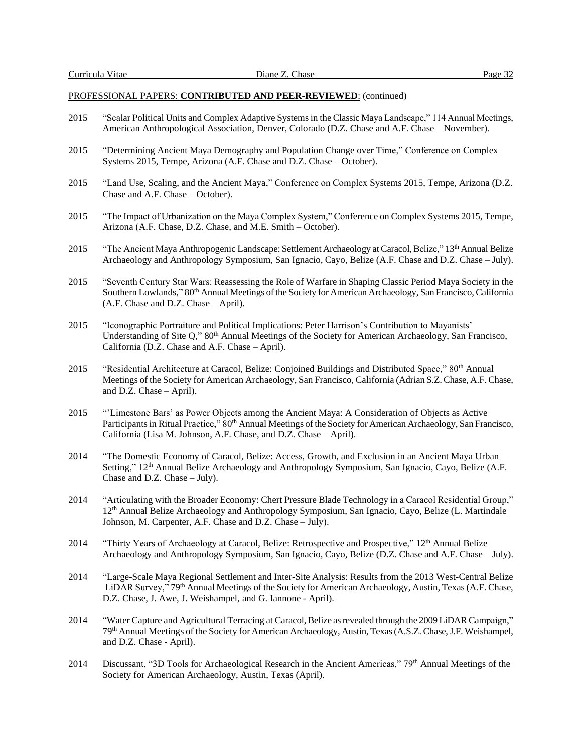- 2015 "Scalar Political Units and Complex Adaptive Systems in the Classic Maya Landscape," 114 Annual Meetings, American Anthropological Association, Denver, Colorado (D.Z. Chase and A.F. Chase – November).
- 2015 "Determining Ancient Maya Demography and Population Change over Time," Conference on Complex Systems 2015, Tempe, Arizona (A.F. Chase and D.Z. Chase – October).
- 2015 "Land Use, Scaling, and the Ancient Maya," Conference on Complex Systems 2015, Tempe, Arizona (D.Z. Chase and A.F. Chase – October).
- 2015 "The Impact of Urbanization on the Maya Complex System," Conference on Complex Systems 2015, Tempe, Arizona (A.F. Chase, D.Z. Chase, and M.E. Smith – October).
- 2015 "The Ancient Maya Anthropogenic Landscape: Settlement Archaeology at Caracol, Belize," 13th Annual Belize Archaeology and Anthropology Symposium, San Ignacio, Cayo, Belize (A.F. Chase and D.Z. Chase – July).
- 2015 "Seventh Century Star Wars: Reassessing the Role of Warfare in Shaping Classic Period Maya Society in the Southern Lowlands," 80<sup>th</sup> Annual Meetings of the Society for American Archaeology, San Francisco, California (A.F. Chase and D.Z. Chase – April).
- 2015 "Iconographic Portraiture and Political Implications: Peter Harrison's Contribution to Mayanists' Understanding of Site Q," 80<sup>th</sup> Annual Meetings of the Society for American Archaeology, San Francisco, California (D.Z. Chase and A.F. Chase – April).
- 2015 "Residential Architecture at Caracol, Belize: Conjoined Buildings and Distributed Space," 80<sup>th</sup> Annual Meetings of the Society for American Archaeology, San Francisco, California (Adrian S.Z. Chase, A.F. Chase, and D.Z. Chase – April).
- 2015 "'Limestone Bars' as Power Objects among the Ancient Maya: A Consideration of Objects as Active Participants in Ritual Practice," 80<sup>th</sup> Annual Meetings of the Society for American Archaeology, San Francisco, California (Lisa M. Johnson, A.F. Chase, and D.Z. Chase – April).
- 2014 "The Domestic Economy of Caracol, Belize: Access, Growth, and Exclusion in an Ancient Maya Urban Setting," 12<sup>th</sup> Annual Belize Archaeology and Anthropology Symposium, San Ignacio, Cayo, Belize (A.F. Chase and D.Z. Chase – July).
- 2014 "Articulating with the Broader Economy: Chert Pressure Blade Technology in a Caracol Residential Group," 12th Annual Belize Archaeology and Anthropology Symposium, San Ignacio, Cayo, Belize (L. Martindale Johnson, M. Carpenter, A.F. Chase and D.Z. Chase – July).
- 2014 "Thirty Years of Archaeology at Caracol, Belize: Retrospective and Prospective," 12<sup>th</sup> Annual Belize Archaeology and Anthropology Symposium, San Ignacio, Cayo, Belize (D.Z. Chase and A.F. Chase – July).
- 2014 "Large-Scale Maya Regional Settlement and Inter-Site Analysis: Results from the 2013 West-Central Belize LiDAR Survey," 79<sup>th</sup> Annual Meetings of the Society for American Archaeology, Austin, Texas (A.F. Chase, D.Z. Chase, J. Awe, J. Weishampel, and G. Iannone - April).
- 2014 "Water Capture and Agricultural Terracing at Caracol, Belize as revealed through the 2009 LiDAR Campaign," 79th Annual Meetings of the Society for American Archaeology, Austin, Texas (A.S.Z. Chase, J.F. Weishampel, and D.Z. Chase - April).
- 2014 Discussant, "3D Tools for Archaeological Research in the Ancient Americas," 79<sup>th</sup> Annual Meetings of the Society for American Archaeology, Austin, Texas (April).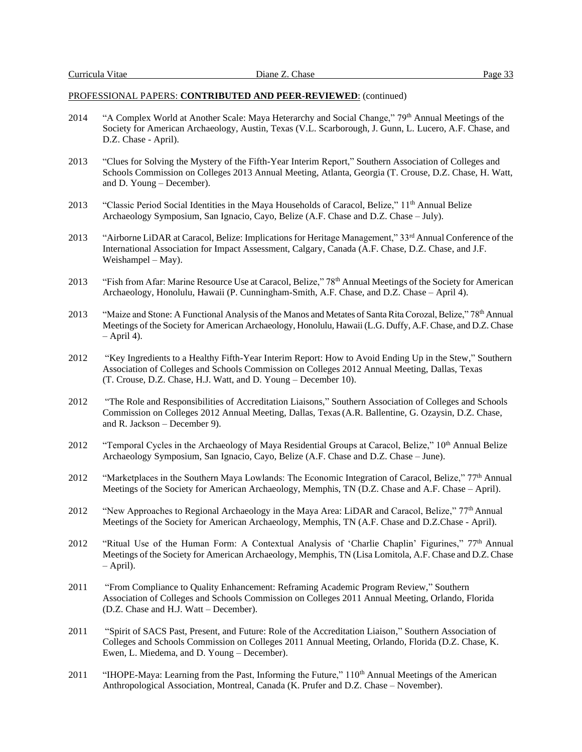- 2014 "A Complex World at Another Scale: Maya Heterarchy and Social Change," 79<sup>th</sup> Annual Meetings of the Society for American Archaeology, Austin, Texas (V.L. Scarborough, J. Gunn, L. Lucero, A.F. Chase, and D.Z. Chase - April).
- 2013 "Clues for Solving the Mystery of the Fifth-Year Interim Report," Southern Association of Colleges and Schools Commission on Colleges 2013 Annual Meeting, Atlanta, Georgia (T. Crouse, D.Z. Chase, H. Watt, and D. Young – December).
- 2013 "Classic Period Social Identities in the Maya Households of Caracol, Belize," 11<sup>th</sup> Annual Belize Archaeology Symposium, San Ignacio, Cayo, Belize (A.F. Chase and D.Z. Chase – July).
- 2013 "Airborne LiDAR at Caracol, Belize: Implications for Heritage Management," 33rd Annual Conference of the International Association for Impact Assessment, Calgary, Canada (A.F. Chase, D.Z. Chase, and J.F. Weishampel – May).
- 2013 "Fish from Afar: Marine Resource Use at Caracol, Belize," 78<sup>th</sup> Annual Meetings of the Society for American Archaeology, Honolulu, Hawaii (P. Cunningham-Smith, A.F. Chase, and D.Z. Chase – April 4).
- 2013 "Maize and Stone: A Functional Analysis of the Manos and Metates of Santa Rita Corozal, Belize," 78<sup>th</sup> Annual Meetings of the Society for American Archaeology, Honolulu, Hawaii (L.G. Duffy, A.F. Chase, and D.Z. Chase  $-$  April 4).
- 2012 "Key Ingredients to a Healthy Fifth-Year Interim Report: How to Avoid Ending Up in the Stew," Southern Association of Colleges and Schools Commission on Colleges 2012 Annual Meeting, Dallas, Texas (T. Crouse, D.Z. Chase, H.J. Watt, and D. Young – December 10).
- 2012 "The Role and Responsibilities of Accreditation Liaisons," Southern Association of Colleges and Schools Commission on Colleges 2012 Annual Meeting, Dallas, Texas(A.R. Ballentine, G. Ozaysin, D.Z. Chase, and R. Jackson – December 9).
- 2012 "Temporal Cycles in the Archaeology of Maya Residential Groups at Caracol, Belize," 10<sup>th</sup> Annual Belize Archaeology Symposium, San Ignacio, Cayo, Belize (A.F. Chase and D.Z. Chase – June).
- 2012 "Marketplaces in the Southern Maya Lowlands: The Economic Integration of Caracol, Belize," 77<sup>th</sup> Annual Meetings of the Society for American Archaeology, Memphis, TN (D.Z. Chase and A.F. Chase – April).
- 2012 "New Approaches to Regional Archaeology in the Maya Area: LiDAR and Caracol, Belize," 77<sup>th</sup> Annual Meetings of the Society for American Archaeology, Memphis, TN (A.F. Chase and D.Z.Chase - April).
- 2012 "Ritual Use of the Human Form: A Contextual Analysis of 'Charlie Chaplin' Figurines," 77th Annual Meetings of the Society for American Archaeology, Memphis, TN (Lisa Lomitola, A.F. Chase and D.Z. Chase – April).
- 2011 "From Compliance to Quality Enhancement: Reframing Academic Program Review," Southern Association of Colleges and Schools Commission on Colleges 2011 Annual Meeting, Orlando, Florida (D.Z. Chase and H.J. Watt – December).
- 2011 "Spirit of SACS Past, Present, and Future: Role of the Accreditation Liaison," Southern Association of Colleges and Schools Commission on Colleges 2011 Annual Meeting, Orlando, Florida (D.Z. Chase, K. Ewen, L. Miedema, and D. Young – December).
- 2011 "IHOPE-Maya: Learning from the Past, Informing the Future," 110<sup>th</sup> Annual Meetings of the American Anthropological Association, Montreal, Canada (K. Prufer and D.Z. Chase – November).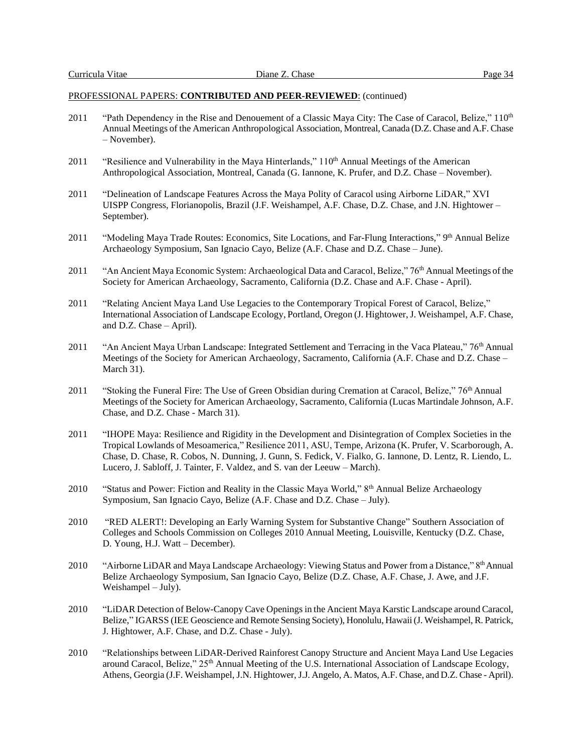- 2011 "Path Dependency in the Rise and Denouement of a Classic Maya City: The Case of Caracol, Belize," 110<sup>th</sup> Annual Meetings of the American Anthropological Association, Montreal, Canada (D.Z. Chase and A.F. Chase – November).
- 2011 "Resilience and Vulnerability in the Maya Hinterlands," 110<sup>th</sup> Annual Meetings of the American Anthropological Association, Montreal, Canada (G. Iannone, K. Prufer, and D.Z. Chase – November).
- 2011 "Delineation of Landscape Features Across the Maya Polity of Caracol using Airborne LiDAR," XVI UISPP Congress, Florianopolis, Brazil (J.F. Weishampel, A.F. Chase, D.Z. Chase, and J.N. Hightower – September).
- 2011 "Modeling Maya Trade Routes: Economics, Site Locations, and Far-Flung Interactions," 9th Annual Belize Archaeology Symposium, San Ignacio Cayo, Belize (A.F. Chase and D.Z. Chase – June).
- 2011 "An Ancient Maya Economic System: Archaeological Data and Caracol, Belize," 76<sup>th</sup> Annual Meetings of the Society for American Archaeology, Sacramento, California (D.Z. Chase and A.F. Chase - April).
- 2011 "Relating Ancient Maya Land Use Legacies to the Contemporary Tropical Forest of Caracol, Belize," International Association of Landscape Ecology, Portland, Oregon (J. Hightower, J. Weishampel, A.F. Chase, and D.Z. Chase – April).
- 2011 "An Ancient Maya Urban Landscape: Integrated Settlement and Terracing in the Vaca Plateau," 76<sup>th</sup> Annual Meetings of the Society for American Archaeology, Sacramento, California (A.F. Chase and D.Z. Chase – March 31).
- 2011 "Stoking the Funeral Fire: The Use of Green Obsidian during Cremation at Caracol, Belize," 76<sup>th</sup> Annual Meetings of the Society for American Archaeology, Sacramento, California (Lucas Martindale Johnson, A.F. Chase, and D.Z. Chase - March 31).
- 2011 "IHOPE Maya: Resilience and Rigidity in the Development and Disintegration of Complex Societies in the Tropical Lowlands of Mesoamerica," Resilience 2011, ASU, Tempe, Arizona (K. Prufer, V. Scarborough, A. Chase, D. Chase, R. Cobos, N. Dunning, J. Gunn, S. Fedick, V. Fialko, G. Iannone, D. Lentz, R. Liendo, L. Lucero, J. Sabloff, J. Tainter, F. Valdez, and S. van der Leeuw – March).
- 2010 "Status and Power: Fiction and Reality in the Classic Maya World," 8<sup>th</sup> Annual Belize Archaeology Symposium, San Ignacio Cayo, Belize (A.F. Chase and D.Z. Chase – July).
- 2010 "RED ALERT!: Developing an Early Warning System for Substantive Change" Southern Association of Colleges and Schools Commission on Colleges 2010 Annual Meeting, Louisville, Kentucky (D.Z. Chase, D. Young, H.J. Watt – December).
- 2010 "Airborne LiDAR and Maya Landscape Archaeology: Viewing Status and Power from a Distance," 8<sup>th</sup> Annual Belize Archaeology Symposium, San Ignacio Cayo, Belize (D.Z. Chase, A.F. Chase, J. Awe, and J.F. Weishampel – July).
- 2010 "LiDAR Detection of Below-Canopy Cave Openings in the Ancient Maya Karstic Landscape around Caracol, Belize," IGARSS (IEE Geoscience and Remote Sensing Society), Honolulu, Hawaii (J. Weishampel, R. Patrick, J. Hightower, A.F. Chase, and D.Z. Chase - July).
- 2010 "Relationships between LiDAR-Derived Rainforest Canopy Structure and Ancient Maya Land Use Legacies around Caracol, Belize," 25<sup>th</sup> Annual Meeting of the U.S. International Association of Landscape Ecology, Athens, Georgia (J.F. Weishampel, J.N. Hightower, J.J. Angelo, A. Matos, A.F. Chase, and D.Z. Chase - April).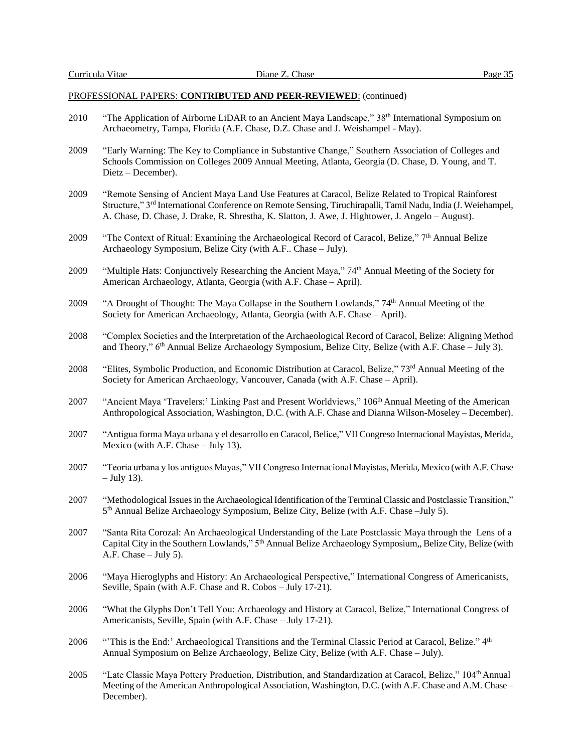- 2010 "The Application of Airborne LiDAR to an Ancient Maya Landscape," 38<sup>th</sup> International Symposium on Archaeometry, Tampa, Florida (A.F. Chase, D.Z. Chase and J. Weishampel - May).
- 2009 "Early Warning: The Key to Compliance in Substantive Change," Southern Association of Colleges and Schools Commission on Colleges 2009 Annual Meeting, Atlanta, Georgia (D. Chase, D. Young, and T. Dietz – December).
- 2009 "Remote Sensing of Ancient Maya Land Use Features at Caracol, Belize Related to Tropical Rainforest Structure," 3rd International Conference on Remote Sensing, Tiruchirapalli, Tamil Nadu, India (J. Weiehampel, A. Chase, D. Chase, J. Drake, R. Shrestha, K. Slatton, J. Awe, J. Hightower, J. Angelo – August).
- 2009 "The Context of Ritual: Examining the Archaeological Record of Caracol, Belize,"  $7<sup>th</sup>$  Annual Belize Archaeology Symposium, Belize City (with A.F.. Chase – July).
- 2009 "Multiple Hats: Conjunctively Researching the Ancient Maya," 74<sup>th</sup> Annual Meeting of the Society for American Archaeology, Atlanta, Georgia (with A.F. Chase – April).
- 2009 "A Drought of Thought: The Maya Collapse in the Southern Lowlands," 74th Annual Meeting of the Society for American Archaeology, Atlanta, Georgia (with A.F. Chase – April).
- 2008 "Complex Societies and the Interpretation of the Archaeological Record of Caracol, Belize: Aligning Method and Theory," 6<sup>th</sup> Annual Belize Archaeology Symposium, Belize City, Belize (with A.F. Chase – July 3).
- 2008 "Elites, Symbolic Production, and Economic Distribution at Caracol, Belize," 73rd Annual Meeting of the Society for American Archaeology, Vancouver, Canada (with A.F. Chase – April).
- 2007 "Ancient Maya 'Travelers:' Linking Past and Present Worldviews," 106<sup>th</sup> Annual Meeting of the American Anthropological Association, Washington, D.C. (with A.F. Chase and Dianna Wilson-Moseley – December).
- 2007 "Antigua forma Maya urbana y el desarrollo en Caracol, Belice," VII Congreso Internacional Mayistas, Merida, Mexico (with A.F. Chase – July 13).
- 2007 "Teoria urbana y los antiguos Mayas," VII Congreso Internacional Mayistas, Merida, Mexico (with A.F. Chase – July 13).
- 2007 "Methodological Issues in the Archaeological Identification of the Terminal Classic and Postclassic Transition," 5 th Annual Belize Archaeology Symposium, Belize City, Belize (with A.F. Chase –July 5).
- 2007 "Santa Rita Corozal: An Archaeological Understanding of the Late Postclassic Maya through the Lens of a Capital City in the Southern Lowlands," 5<sup>th</sup> Annual Belize Archaeology Symposium,, Belize City, Belize (with A.F. Chase – July 5).
- 2006 "Maya Hieroglyphs and History: An Archaeological Perspective," International Congress of Americanists, Seville, Spain (with A.F. Chase and R. Cobos – July 17-21).
- 2006 "What the Glyphs Don't Tell You: Archaeology and History at Caracol, Belize," International Congress of Americanists, Seville, Spain (with A.F. Chase – July 17-21).
- 2006 "'This is the End:' Archaeological Transitions and the Terminal Classic Period at Caracol, Belize." 4<sup>th</sup> Annual Symposium on Belize Archaeology, Belize City, Belize (with A.F. Chase – July).
- 2005 "Late Classic Maya Pottery Production, Distribution, and Standardization at Caracol, Belize," 104<sup>th</sup> Annual Meeting of the American Anthropological Association, Washington, D.C. (with A.F. Chase and A.M. Chase – December).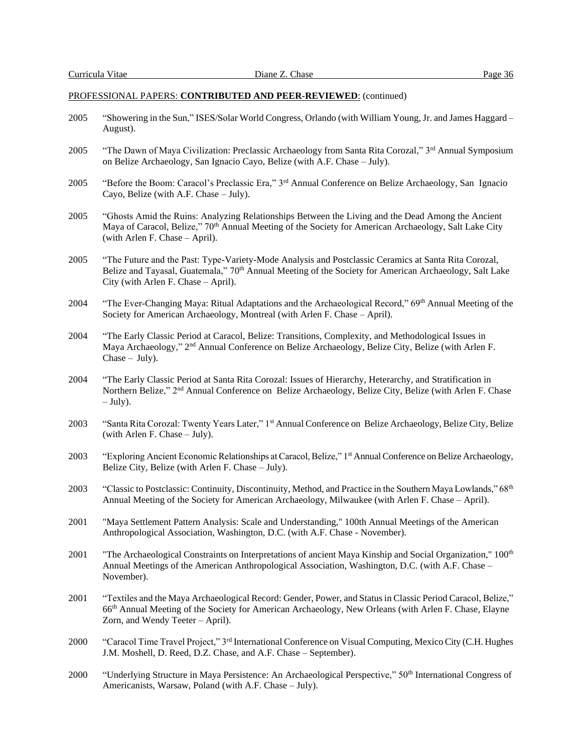- 2005 "Showering in the Sun," ISES/Solar World Congress, Orlando (with William Young, Jr. and James Haggard August).
- 2005 "The Dawn of Maya Civilization: Preclassic Archaeology from Santa Rita Corozal," 3rd Annual Symposium on Belize Archaeology, San Ignacio Cayo, Belize (with A.F. Chase – July).
- 2005 "Before the Boom: Caracol's Preclassic Era," 3rd Annual Conference on Belize Archaeology, San Ignacio Cayo, Belize (with A.F. Chase – July).
- 2005 "Ghosts Amid the Ruins: Analyzing Relationships Between the Living and the Dead Among the Ancient Maya of Caracol, Belize," 70<sup>th</sup> Annual Meeting of the Society for American Archaeology, Salt Lake City (with Arlen F. Chase – April).
- 2005 "The Future and the Past: Type-Variety-Mode Analysis and Postclassic Ceramics at Santa Rita Corozal, Belize and Tayasal, Guatemala," 70<sup>th</sup> Annual Meeting of the Society for American Archaeology, Salt Lake City (with Arlen F. Chase – April).
- 2004 "The Ever-Changing Maya: Ritual Adaptations and the Archaeological Record," 69<sup>th</sup> Annual Meeting of the Society for American Archaeology, Montreal (with Arlen F. Chase – April).
- 2004 "The Early Classic Period at Caracol, Belize: Transitions, Complexity, and Methodological Issues in Maya Archaeology," 2<sup>nd</sup> Annual Conference on Belize Archaeology, Belize City, Belize (with Arlen F.  $Chase - July)$ .
- 2004 "The Early Classic Period at Santa Rita Corozal: Issues of Hierarchy, Heterarchy, and Stratification in Northern Belize," 2<sup>nd</sup> Annual Conference on Belize Archaeology, Belize City, Belize (with Arlen F. Chase  $-$  July).
- 2003 "Santa Rita Corozal: Twenty Years Later," 1st Annual Conference on Belize Archaeology, Belize City, Belize (with Arlen F. Chase – July).
- 2003 "Exploring Ancient Economic Relationships at Caracol, Belize," 1st Annual Conference on Belize Archaeology, Belize City, Belize (with Arlen F. Chase – July).
- 2003 "Classic to Postclassic: Continuity, Discontinuity, Method, and Practice in the Southern Maya Lowlands," 68<sup>th</sup> Annual Meeting of the Society for American Archaeology, Milwaukee (with Arlen F. Chase – April).
- 2001 "Maya Settlement Pattern Analysis: Scale and Understanding," 100th Annual Meetings of the American Anthropological Association, Washington, D.C. (with A.F. Chase - November).
- 2001 "The Archaeological Constraints on Interpretations of ancient Maya Kinship and Social Organization,"  $100<sup>th</sup>$ Annual Meetings of the American Anthropological Association, Washington, D.C. (with A.F. Chase – November).
- 2001 "Textiles and the Maya Archaeological Record: Gender, Power, and Status in Classic Period Caracol, Belize," 66th Annual Meeting of the Society for American Archaeology, New Orleans (with Arlen F. Chase, Elayne Zorn, and Wendy Teeter – April).
- 2000 "Caracol Time Travel Project," 3rd International Conference on Visual Computing, Mexico City (C.H. Hughes J.M. Moshell, D. Reed, D.Z. Chase, and A.F. Chase – September).
- 2000 "Underlying Structure in Maya Persistence: An Archaeological Perspective," 50<sup>th</sup> International Congress of Americanists, Warsaw, Poland (with A.F. Chase – July).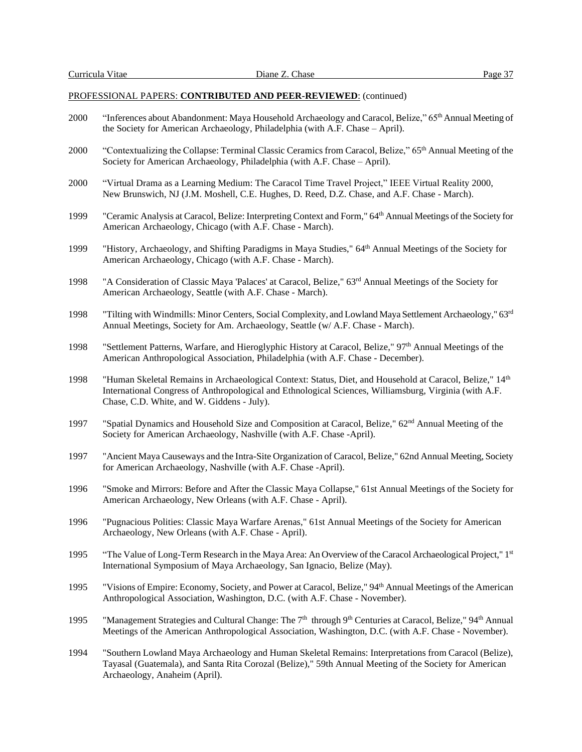- 2000 "Inferences about Abandonment: Maya Household Archaeology and Caracol, Belize," 65th Annual Meeting of the Society for American Archaeology, Philadelphia (with A.F. Chase – April).
- 2000 "Contextualizing the Collapse: Terminal Classic Ceramics from Caracol, Belize," 65<sup>th</sup> Annual Meeting of the Society for American Archaeology, Philadelphia (with A.F. Chase – April).
- 2000 "Virtual Drama as a Learning Medium: The Caracol Time Travel Project," IEEE Virtual Reality 2000, New Brunswich, NJ (J.M. Moshell, C.E. Hughes, D. Reed, D.Z. Chase, and A.F. Chase - March).
- 1999 "Ceramic Analysis at Caracol, Belize: Interpreting Context and Form," 64th Annual Meetings of the Society for American Archaeology, Chicago (with A.F. Chase - March).
- 1999 "History, Archaeology, and Shifting Paradigms in Maya Studies," 64<sup>th</sup> Annual Meetings of the Society for American Archaeology, Chicago (with A.F. Chase - March).
- 1998 "A Consideration of Classic Maya 'Palaces' at Caracol, Belize," 63rd Annual Meetings of the Society for American Archaeology, Seattle (with A.F. Chase - March).
- 1998 "Tilting with Windmills: Minor Centers, Social Complexity, and Lowland Maya Settlement Archaeology," 63rd Annual Meetings, Society for Am. Archaeology, Seattle (w/ A.F. Chase - March).
- 1998 "Settlement Patterns, Warfare, and Hieroglyphic History at Caracol, Belize," 97th Annual Meetings of the American Anthropological Association, Philadelphia (with A.F. Chase - December).
- 1998 "Human Skeletal Remains in Archaeological Context: Status, Diet, and Household at Caracol, Belize," 14<sup>th</sup> International Congress of Anthropological and Ethnological Sciences, Williamsburg, Virginia (with A.F. Chase, C.D. White, and W. Giddens - July).
- 1997 "Spatial Dynamics and Household Size and Composition at Caracol, Belize," 62nd Annual Meeting of the Society for American Archaeology, Nashville (with A.F. Chase -April).
- 1997 "Ancient Maya Causeways and the Intra-Site Organization of Caracol, Belize," 62nd Annual Meeting, Society for American Archaeology, Nashville (with A.F. Chase -April).
- 1996 "Smoke and Mirrors: Before and After the Classic Maya Collapse," 61st Annual Meetings of the Society for American Archaeology, New Orleans (with A.F. Chase - April).
- 1996 "Pugnacious Polities: Classic Maya Warfare Arenas," 61st Annual Meetings of the Society for American Archaeology, New Orleans (with A.F. Chase - April).
- 1995 "The Value of Long-Term Research in the Maya Area: An Overview of the Caracol Archaeological Project," 1st International Symposium of Maya Archaeology, San Ignacio, Belize (May).
- 1995 "Visions of Empire: Economy, Society, and Power at Caracol, Belize," 94th Annual Meetings of the American Anthropological Association, Washington, D.C. (with A.F. Chase - November).
- 1995 "Management Strategies and Cultural Change: The  $7<sup>th</sup>$  through  $9<sup>th</sup>$  Centuries at Caracol, Belize,"  $94<sup>th</sup>$  Annual Meetings of the American Anthropological Association, Washington, D.C. (with A.F. Chase - November).
- 1994 "Southern Lowland Maya Archaeology and Human Skeletal Remains: Interpretations from Caracol (Belize), Tayasal (Guatemala), and Santa Rita Corozal (Belize)," 59th Annual Meeting of the Society for American Archaeology, Anaheim (April).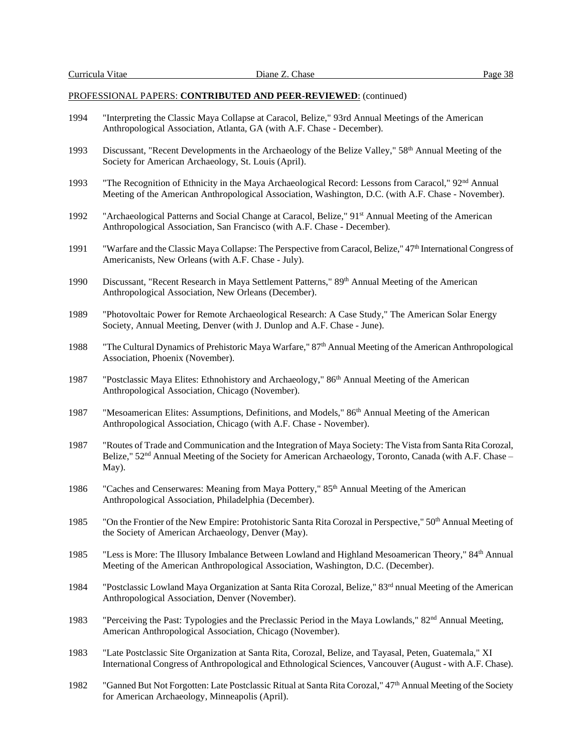- 1994 "Interpreting the Classic Maya Collapse at Caracol, Belize," 93rd Annual Meetings of the American Anthropological Association, Atlanta, GA (with A.F. Chase - December).
- 1993 Discussant, "Recent Developments in the Archaeology of the Belize Valley," 58<sup>th</sup> Annual Meeting of the Society for American Archaeology, St. Louis (April).
- 1993 "The Recognition of Ethnicity in the Maya Archaeological Record: Lessons from Caracol," 92<sup>nd</sup> Annual Meeting of the American Anthropological Association, Washington, D.C. (with A.F. Chase - November).
- 1992 "Archaeological Patterns and Social Change at Caracol, Belize," 91<sup>st</sup> Annual Meeting of the American Anthropological Association, San Francisco (with A.F. Chase - December).
- 1991 "Warfare and the Classic Maya Collapse: The Perspective from Caracol, Belize," 47<sup>th</sup> International Congress of Americanists, New Orleans (with A.F. Chase - July).
- 1990 Discussant, "Recent Research in Maya Settlement Patterns," 89<sup>th</sup> Annual Meeting of the American Anthropological Association, New Orleans (December).
- 1989 "Photovoltaic Power for Remote Archaeological Research: A Case Study," The American Solar Energy Society, Annual Meeting, Denver (with J. Dunlop and A.F. Chase - June).
- 1988 "The Cultural Dynamics of Prehistoric Maya Warfare," 87th Annual Meeting of the American Anthropological Association, Phoenix (November).
- 1987 "Postclassic Maya Elites: Ethnohistory and Archaeology," 86<sup>th</sup> Annual Meeting of the American Anthropological Association, Chicago (November).
- 1987 "Mesoamerican Elites: Assumptions, Definitions, and Models," 86<sup>th</sup> Annual Meeting of the American Anthropological Association, Chicago (with A.F. Chase - November).
- 1987 "Routes of Trade and Communication and the Integration of Maya Society: The Vista from Santa Rita Corozal, Belize,"  $52<sup>nd</sup>$  Annual Meeting of the Society for American Archaeology, Toronto, Canada (with A.F. Chase – May).
- 1986 "Caches and Censerwares: Meaning from Maya Pottery," 85<sup>th</sup> Annual Meeting of the American Anthropological Association, Philadelphia (December).
- 1985 "On the Frontier of the New Empire: Protohistoric Santa Rita Corozal in Perspective," 50<sup>th</sup> Annual Meeting of the Society of American Archaeology, Denver (May).
- 1985 "Less is More: The Illusory Imbalance Between Lowland and Highland Mesoamerican Theory," 84th Annual Meeting of the American Anthropological Association, Washington, D.C. (December).
- 1984 "Postclassic Lowland Maya Organization at Santa Rita Corozal, Belize," 83rd nnual Meeting of the American Anthropological Association, Denver (November).
- 1983 "Perceiving the Past: Typologies and the Preclassic Period in the Maya Lowlands," 82nd Annual Meeting, American Anthropological Association, Chicago (November).
- 1983 "Late Postclassic Site Organization at Santa Rita, Corozal, Belize, and Tayasal, Peten, Guatemala," XI International Congress of Anthropological and Ethnological Sciences, Vancouver (August - with A.F. Chase).
- 1982 "Ganned But Not Forgotten: Late Postclassic Ritual at Santa Rita Corozal," 47<sup>th</sup> Annual Meeting of the Society for American Archaeology, Minneapolis (April).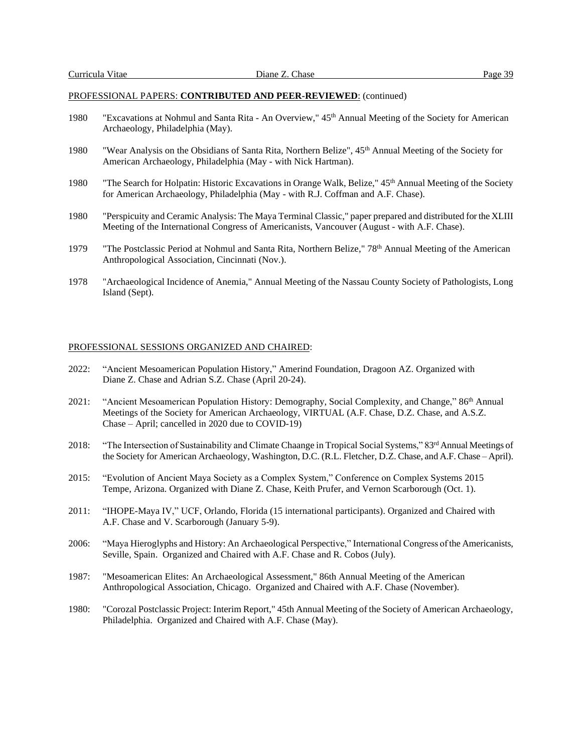- 1980 "Excavations at Nohmul and Santa Rita An Overview," 45th Annual Meeting of the Society for American Archaeology, Philadelphia (May).
- 1980 "Wear Analysis on the Obsidians of Santa Rita, Northern Belize", 45<sup>th</sup> Annual Meeting of the Society for American Archaeology, Philadelphia (May - with Nick Hartman).
- 1980 "The Search for Holpatin: Historic Excavations in Orange Walk, Belize," 45<sup>th</sup> Annual Meeting of the Society for American Archaeology, Philadelphia (May - with R.J. Coffman and A.F. Chase).
- 1980 "Perspicuity and Ceramic Analysis: The Maya Terminal Classic," paper prepared and distributed for the XLIII Meeting of the International Congress of Americanists, Vancouver (August - with A.F. Chase).
- 1979 "The Postclassic Period at Nohmul and Santa Rita, Northern Belize," 78<sup>th</sup> Annual Meeting of the American Anthropological Association, Cincinnati (Nov.).
- 1978 "Archaeological Incidence of Anemia," Annual Meeting of the Nassau County Society of Pathologists, Long Island (Sept).

## PROFESSIONAL SESSIONS ORGANIZED AND CHAIRED:

- 2022: "Ancient Mesoamerican Population History," Amerind Foundation, Dragoon AZ. Organized with Diane Z. Chase and Adrian S.Z. Chase (April 20-24).
- 2021: "Ancient Mesoamerican Population History: Demography, Social Complexity, and Change," 86<sup>th</sup> Annual Meetings of the Society for American Archaeology, VIRTUAL (A.F. Chase, D.Z. Chase, and A.S.Z. Chase – April; cancelled in 2020 due to COVID-19)
- 2018: "The Intersection of Sustainability and Climate Chaange in Tropical Social Systems," 83<sup>rd</sup> Annual Meetings of the Society for American Archaeology, Washington, D.C. (R.L. Fletcher, D.Z. Chase, and A.F. Chase – April).
- 2015: "Evolution of Ancient Maya Society as a Complex System," Conference on Complex Systems 2015 Tempe, Arizona. Organized with Diane Z. Chase, Keith Prufer, and Vernon Scarborough (Oct. 1).
- 2011: "IHOPE-Maya IV," UCF, Orlando, Florida (15 international participants). Organized and Chaired with A.F. Chase and V. Scarborough (January 5-9).
- 2006: "Maya Hieroglyphs and History: An Archaeological Perspective," International Congress of the Americanists, Seville, Spain. Organized and Chaired with A.F. Chase and R. Cobos (July).
- 1987: "Mesoamerican Elites: An Archaeological Assessment," 86th Annual Meeting of the American Anthropological Association, Chicago. Organized and Chaired with A.F. Chase (November).
- 1980: "Corozal Postclassic Project: Interim Report," 45th Annual Meeting of the Society of American Archaeology, Philadelphia. Organized and Chaired with A.F. Chase (May).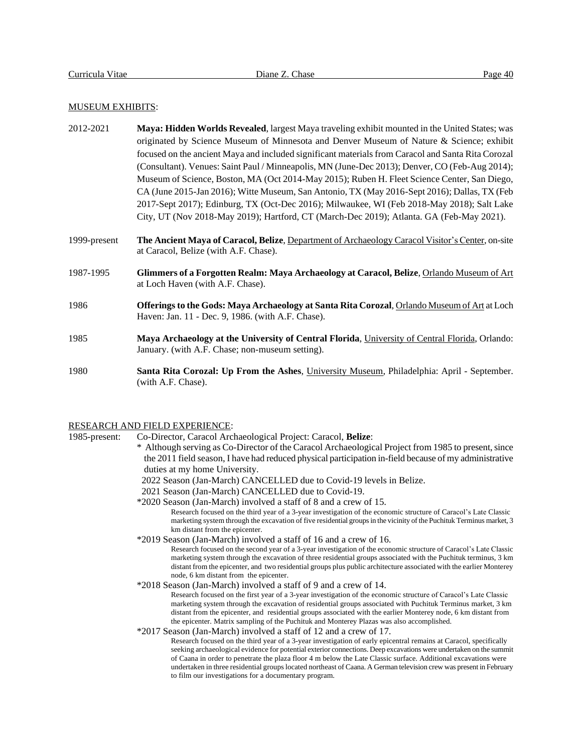## MUSEUM EXHIBITS:

- 2012-2021 **Maya: Hidden Worlds Revealed**, largest Maya traveling exhibit mounted in the United States; was originated by Science Museum of Minnesota and Denver Museum of Nature & Science; exhibit focused on the ancient Maya and included significant materials from Caracol and Santa Rita Corozal (Consultant). Venues: Saint Paul / Minneapolis, MN (June-Dec 2013); Denver, CO (Feb-Aug 2014); Museum of Science, Boston, MA (Oct 2014-May 2015); Ruben H. Fleet Science Center, San Diego, CA (June 2015-Jan 2016); Witte Museum, San Antonio, TX (May 2016-Sept 2016); Dallas, TX (Feb 2017-Sept 2017); Edinburg, TX (Oct-Dec 2016); Milwaukee, WI (Feb 2018-May 2018); Salt Lake City, UT (Nov 2018-May 2019); Hartford, CT (March-Dec 2019); Atlanta. GA (Feb-May 2021).
- 1999-present **The Ancient Maya of Caracol, Belize**, Department of Archaeology Caracol Visitor's Center, on-site at Caracol, Belize (with A.F. Chase).
- 1987-1995 **Glimmers of a Forgotten Realm: Maya Archaeology at Caracol, Belize**, Orlando Museum of Art at Loch Haven (with A.F. Chase).
- 1986 **Offerings to the Gods: Maya Archaeology at Santa Rita Corozal**, Orlando Museum of Art at Loch Haven: Jan. 11 - Dec. 9, 1986. (with A.F. Chase).
- 1985 **Maya Archaeology at the University of Central Florida**, University of Central Florida, Orlando: January. (with A.F. Chase; non-museum setting).
- 1980 **Santa Rita Corozal: Up From the Ashes**, University Museum, Philadelphia: April September. (with A.F. Chase).

## RESEARCH AND FIELD EXPERIENCE:

1985-present: Co-Director, Caracol Archaeological Project: Caracol, **Belize**:

- \* Although serving as Co-Director of the Caracol Archaeological Project from 1985 to present, since the 2011 field season, I have had reduced physical participation in-field because of my administrative duties at my home University.
	- 2022 Season (Jan-March) CANCELLED due to Covid-19 levels in Belize.
	- 2021 Season (Jan-March) CANCELLED due to Covid-19.
- \*2020 Season (Jan-March) involved a staff of 8 and a crew of 15.

Research focused on the third year of a 3-year investigation of the economic structure of Caracol's Late Classic marketing system through the excavation of five residential groupsin the vicinity of the Puchituk Terminus market, 3 km distant from the epicenter.

\*2019 Season (Jan-March) involved a staff of 16 and a crew of 16.

Research focused on the second year of a 3-year investigation of the economic structure of Caracol's Late Classic marketing system through the excavation of three residential groups associated with the Puchituk terminus, 3 km distant from the epicenter, and two residential groups plus public architecture associated with the earlier Monterey node, 6 km distant from the epicenter.

\*2018 Season (Jan-March) involved a staff of 9 and a crew of 14.

Research focused on the first year of a 3-year investigation of the economic structure of Caracol's Late Classic marketing system through the excavation of residential groups associated with Puchituk Terminus market, 3 km distant from the epicenter, and residential groups associated with the earlier Monterey node, 6 km distant from the epicenter. Matrix sampling of the Puchituk and Monterey Plazas was also accomplished.

\*2017 Season (Jan-March) involved a staff of 12 and a crew of 17.

Research focused on the third year of a 3-year investigation of early epicentral remains at Caracol, specifically seeking archaeological evidence for potential exterior connections. Deep excavations were undertaken on the summit of Caana in order to penetrate the plaza floor 4 m below the Late Classic surface. Additional excavations were undertaken in three residential groups located northeast of Caana. A German television crew was present in February to film our investigations for a documentary program.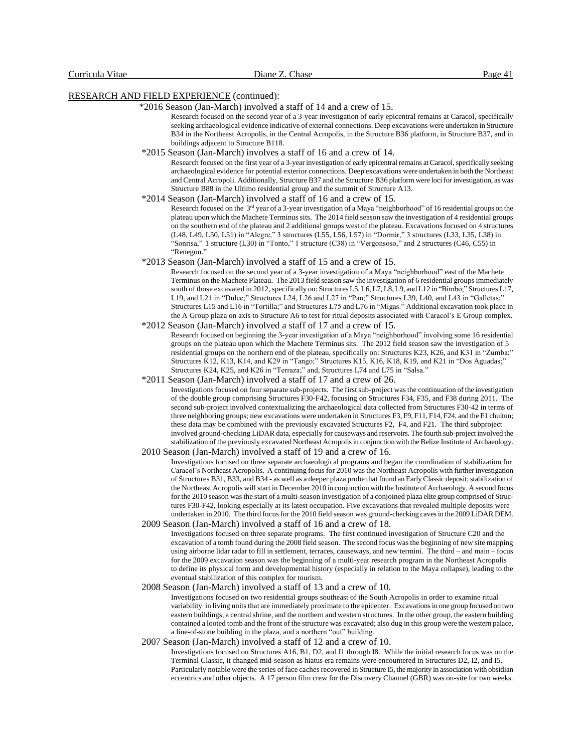\*2016 Season (Jan-March) involved a staff of 14 and a crew of 15.

Research focused on the second year of a 3-year investigation of early epicentral remains at Caracol, specifically seeking archaeological evidence indicative of external connections. Deep excavations were undertaken in Structure B34 in the Northeast Acropolis, in the Central Acropolis, in the Structure B36 platform, in Structure B37, and in buildings adjacent to Structure B118.

\*2015 Season (Jan-March) involves a staff of 16 and a crew of 14.

Research focused on the first year of a 3-year investigation of early epicentral remains atCaracol, specifically seeking archaeological evidence for potential exterior connections. Deep excavations were undertaken in both the Northeast and Central Acropoli. Additionally, Structure B37 and the Structure B36 platform were locifor investigation, as was Structure B88 in the Ultimo residential group and the summit of Structure A13.

\*2014 Season (Jan-March) involved a staff of 16 and a crew of 15.

Research focused on the 3<sup>rd</sup> year of a 3-year investigation of a Maya "neighborhood" of 16 residential groups on the plateau upon which the Machete Terminus sits. The 2014 field season saw the investigation of 4 residential groups on the southern end of the plateau and 2 additional groups west of the plateau. Excavations focused on 4 structures (L48, L49, L50, L51) in "Alegre," 3 structures (L55, L56, L57) in "Dormir," 3 structures (L33, L35, L38) in "Sonrisa," 1 structure (L30) in "Tonto," 1 structure (C38) in "Vergonsoso," and 2 structures (C46, C55) in "Renegon."

\*2013 Season (Jan-March) involved a staff of 15 and a crew of 15.

Research focused on the second year of a 3-year investigation of a Maya "neighborhood" east of the Machete Terminus on the Machete Plateau. The 2013 field season saw the investigation of 6 residential groups immediately south of those excavated in 2012, specifically on: Structures L5, L6, L7, L8, L9, and L12 in "Bimbo;" Structures L17, L19, and L21 in "Dulce;" Structures L24, L26 and L27 in "Pan;" Structures L39, L40, and L43 in "Galletas;" Structures L15 and L16 in "Tortilla;" and Structures L75 and L76 in "Migas." Additional excavation took place in the A Group plaza on axis to Structure A6 to test for ritual deposits associated with Caracol's E Group complex.

 \*2012 Season (Jan-March) involved a staff of 17 and a crew of 15. Research focused on beginning the 3-year investigation of a Maya "neighborhood" involving some 16 residential groups on the plateau upon which the Machete Terminus sits. The 2012 field season saw the investigation of 5 residential groups on the northern end of the plateau, specifically on: Structures K23, K26, and K31 in "Zumba;" Structures K12, K13, K14, and K29 in "Tango;" Structures K15, K16, K18, K19, and K21 in "Dos Aguadas;" Structures K24, K25, and K26 in "Terraza;" and, Structures L74 and L75 in "Salsa."

 \*2011 Season (Jan-March) involved a staff of 17 and a crew of 26. Investigations focused on four separate sub-projects. The first sub-project was the continuation of the investigation of the double group comprising Structures F30-F42, focusing on Structures F34, F35, and F38 during 2011. The second sub-project involved contextualizing the archaeological data collected from Structures F30-42 in terms of three neighboring groups; new excavations were undertaken in Structures F3, F9, F11, F14, F24, and the F1 chultun; these data may be combined with the previously excavated Structures F2, F4, and F21. The third subproject involved ground-checking LiDAR data, especially for causeways and reservoirs. The fourth sub-project involved the stabilization of the previously excavated Northeast Acropolisin conjunction with the Belize Institute of Archaeology.

#### 2010 Season (Jan-March) involved a staff of 19 and a crew of 16.

Investigations focused on three separate archaeological programs and began the coordination of stabilization for Caracol's Northeast Acropolis. A continuing focus for 2010 was the Northeast Acropolis with further investigation of Structures B31, B33, and B34 - as well as a deeper plaza probe that found an Early Classic deposit; stabilization of the Northeast Acropolis will start in December 2010 in conjunction with the Institute of Archaeology. A second focus for the 2010 season was the start of a multi-season investigation of a conjoined plaza elite group comprised of Structures F30-F42, looking especially at its latest occupation. Five excavations that revealed multiple deposits were undertaken in 2010. The third focus for the 2010 field season was ground-checking caves in the 2009 LiDAR DEM. 2009 Season (Jan-March) involved a staff of 16 and a crew of 18.

Investigations focused on three separate programs. The first continued investigation of Structure C20 and the excavation of a tomb found during the 2008 field season. The second focus was the beginning of new site mapping using airborne lidar radar to fill in settlement, terraces, causeways, and new termini. The third – and main – focus for the 2009 excavation season was the beginning of a multi-year research program in the Northeast Acropolis to define its physical form and developmental history (especially in relation to the Maya collapse), leading to the eventual stabilization of this complex for tourism.

#### 2008 Season (Jan-March) involved a staff of 13 and a crew of 10.

Investigations focused on two residential groups southeast of the South Acropolis in order to examine ritual variability in living units that are immediately proximate to the epicenter. Excavations in one group focused on two eastern buildings, a central shrine, and the northern and western structures. In the other group, the eastern building contained a looted tomb and the front of the structure was excavated; also dug in this group were the western palace, a line-of-stone building in the plaza, and a northern "out" building.

#### 2007 Season (Jan-March) involved a staff of 12 and a crew of 10.

Investigations focused on Structures A16, B1, D2, and I1 through I8. While the initial research focus was on the Terminal Classic, it changed mid-season as hiatus era remains were encountered in Structures D2, I2, and I5. Particularly notable were the series of face caches recovered in Structure I5, the majority in association with obsidian eccentrics and other objects. A 17 person film crew for the Discovery Channel (GBR) was on-site for two weeks.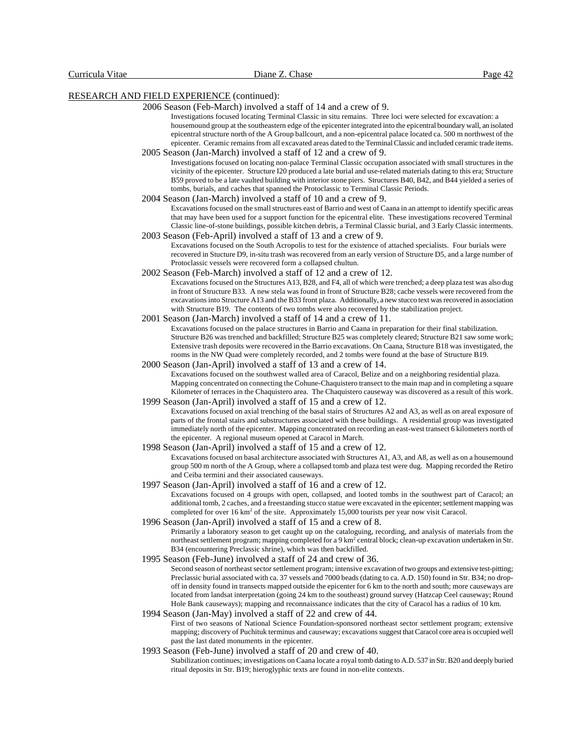#### 2006 Season (Feb-March) involved a staff of 14 and a crew of 9.

Investigations focused locating Terminal Classic in situ remains. Three loci were selected for excavation: a housemound group at the southeastern edge of the epicenter integrated into the epicentral boundary wall, an isolated epicentral structure north of the A Group ballcourt, and a non-epicentral palace located ca. 500 m northwest of the epicenter. Ceramic remains from all excavated areas dated to the Terminal Classic and included ceramic trade items.

## 2005 Season (Jan-March) involved a staff of 12 and a crew of 9.

Investigations focused on locating non-palace Terminal Classic occupation associated with small structures in the vicinity of the epicenter. Structure I20 produced a late burial and use-related materials dating to this era; Structure B59 proved to be a late vaulted building with interior stone piers. Structures B40, B42, and B44 yielded a series of tombs, burials, and caches that spanned the Protoclassic to Terminal Classic Periods.

2004 Season (Jan-March) involved a staff of 10 and a crew of 9.

Excavations focused on the small structures east of Barrio and west of Caana in an attempt to identify specific areas that may have been used for a support function for the epicentral elite. These investigations recovered Terminal Classic line-of-stone buildings, possible kitchen debris, a Terminal Classic burial, and 3 Early Classic interments. 2003 Season (Feb-April) involved a staff of 13 and a crew of 9.

Excavations focused on the South Acropolis to test for the existence of attached specialists. Four burials were recovered in Stucture D9, in-situ trash was recovered from an early version of Structure D5, and a large number of Protoclassic vessels were recovered form a collapsed chultun.

- 2002 Season (Feb-March) involved a staff of 12 and a crew of 12. Excavations focused on the Structures A13, B28, and F4, all of which were trenched; a deep plaza test was also dug in front of Structure B33. A new stela was found in front of Structure B28; cache vessels were recovered from the excavations into Structure A13 and the B33 front plaza. Additionally, a new stucco text was recovered in association with Structure B19. The contents of two tombs were also recovered by the stabilization project.
- 2001 Season (Jan-March) involved a staff of 14 and a crew of 11. Excavations focused on the palace structures in Barrio and Caana in preparation for their final stabilization. Structure B26 was trenched and backfilled; Structure B25 was completely cleared; Structure B21 saw some work; Extensive trash deposits were recovered in the Barrio excavations. On Caana, Structure B18 was investigated, the rooms in the NW Quad were completely recorded, and 2 tombs were found at the base of Structure B19.

 2000 Season (Jan-April) involved a staff of 13 and a crew of 14. Excavations focused on the southwest walled area of Caracol, Belize and on a neighboring residential plaza. Mapping concentrated on connecting the Cohune-Chaquistero transect to the main map and in completing a square Kilometer of terraces in the Chaquistero area. The Chaquistero causeway was discovered as a result of this work.

 1999 Season (Jan-April) involved a staff of 15 and a crew of 12. Excavations focused on axial trenching of the basal stairs of Structures A2 and A3, as well as on areal exposure of parts of the frontal stairs and substructures associated with these buildings. A residential group was investigated immediately north of the epicenter. Mapping concentrated on recording an east-west transect 6 kilometers north of the epicenter. A regional museum opened at Caracol in March.

- 1998 Season (Jan-April) involved a staff of 15 and a crew of 12. Excavations focused on basal architecture associated with Structures A1, A3, and A8, as well as on a housemound group 500 m north of the A Group, where a collapsed tomb and plaza test were dug. Mapping recorded the Retiro and Ceiba termini and their associated causeways.
- 1997 Season (Jan-April) involved a staff of 16 and a crew of 12. Excavations focused on 4 groups with open, collapsed, and looted tombs in the southwest part of Caracol; an additional tomb, 2 caches, and a freestanding stucco statue were excavated in the epicenter; settlement mapping was completed for over 16 km<sup>2</sup> of the site. Approximately 15,000 tourists per year now visit Caracol.
- 1996 Season (Jan-April) involved a staff of 15 and a crew of 8. Primarily a laboratory season to get caught up on the cataloguing, recording, and analysis of materials from the northeast settlement program; mapping completed for a 9 km<sup>2</sup> central block; clean-up excavation undertaken in Str. B34 (encountering Preclassic shrine), which was then backfilled.
- 1995 Season (Feb-June) involved a staff of 24 and crew of 36.

Second season of northeast sector settlement program; intensive excavation of two groups and extensive test-pitting; Preclassic burial associated with ca. 37 vessels and 7000 beads (dating to ca. A.D. 150) found in Str. B34; no dropoff in density found in transects mapped outside the epicenter for 6 km to the north and south; more causeways are located from landsat interpretation (going 24 km to the southeast) ground survey (Hatzcap Ceel causeway; Round Hole Bank causeways); mapping and reconnaissance indicates that the city of Caracol has a radius of 10 km.

- 1994 Season (Jan-May) involved a staff of 22 and crew of 44. First of two seasons of National Science Foundation-sponsored northeast sector settlement program; extensive mapping; discovery of Puchituk terminus and causeway; excavations suggest that Caracol core area is occupied well past the last dated monuments in the epicenter.
- 1993 Season (Feb-June) involved a staff of 20 and crew of 40.
	- Stabilization continues; investigations on Caana locate a royal tomb dating to A.D. 537 in Str. B20 and deeply buried ritual deposits in Str. B19; hieroglyphic texts are found in non-elite contexts.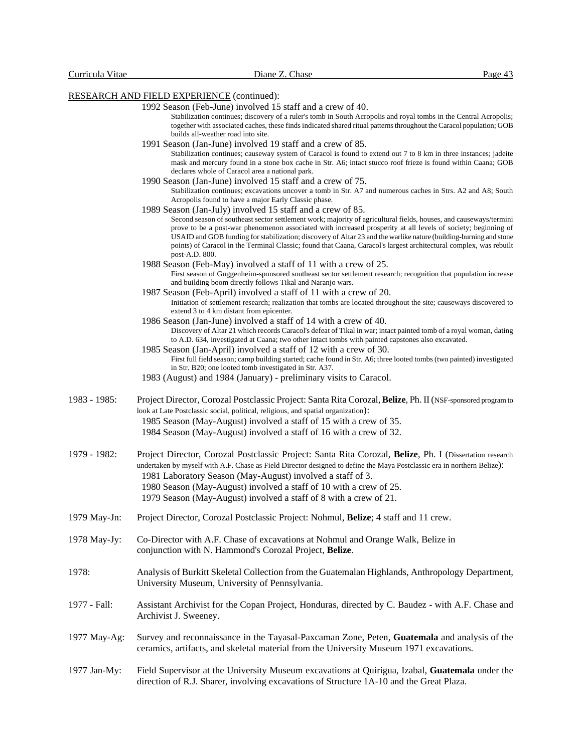Stabilization continues; discovery of a ruler's tomb in South Acropolis and royal tombs in the Central Acropolis; together with associated caches, these finds indicated shared ritual patterns throughout the Caracol population; GOB builds all-weather road into site.

- 1991 Season (Jan-June) involved 19 staff and a crew of 85. Stabilization continues; causeway system of Caracol is found to extend out 7 to 8 km in three instances; jadeite mask and mercury found in a stone box cache in Str. A6; intact stucco roof frieze is found within Caana; GOB declares whole of Caracol area a national park.
- 1990 Season (Jan-June) involved 15 staff and a crew of 75. Stabilization continues; excavations uncover a tomb in Str. A7 and numerous caches in Strs. A2 and A8; South Acropolis found to have a major Early Classic phase.
- 1989 Season (Jan-July) involved 15 staff and a crew of 85. Second season of southeast sector settlement work; majority of agricultural fields, houses, and causeways/termini prove to be a post-war phenomenon associated with increased prosperity at all levels of society; beginning of USAID and GOB funding for stabilization; discovery of Altar 23 and the warlike nature (building-burning and stone points) of Caracol in the Terminal Classic; found that Caana, Caracol's largest architectural complex, was rebuilt post-A.D. 800.
- 1988 Season (Feb-May) involved a staff of 11 with a crew of 25. First season of Guggenheim-sponsored southeast sector settlement research; recognition that population increase and building boom directly follows Tikal and Naranjo wars.
- 1987 Season (Feb-April) involved a staff of 11 with a crew of 20. Initiation of settlement research; realization that tombs are located throughout the site; causeways discovered to extend 3 to 4 km distant from epicenter.
- 1986 Season (Jan-June) involved a staff of 14 with a crew of 40. Discovery of Altar 21 which records Caracol's defeat of Tikal in war; intact painted tomb of a royal woman, dating to A.D. 634, investigated at Caana; two other intact tombs with painted capstones also excavated.
- 1985 Season (Jan-April) involved a staff of 12 with a crew of 30. First full field season; camp building started; cache found in Str. A6; three looted tombs (two painted) investigated in Str. B20; one looted tomb investigated in Str. A37.
- 1983 (August) and 1984 (January) preliminary visits to Caracol.
- 1983 1985: Project Director, Corozal Postclassic Project: Santa Rita Corozal, **Belize**, Ph. II (NSF-sponsored program to look at Late Postclassic social, political, religious, and spatial organization): 1985 Season (May-August) involved a staff of 15 with a crew of 35.
	- 1984 Season (May-August) involved a staff of 16 with a crew of 32.
- 1979 1982: Project Director, Corozal Postclassic Project: Santa Rita Corozal, **Belize**, Ph. I (Dissertation research undertaken by myself with A.F. Chase as Field Director designed to define the Maya Postclassic era in northern Belize):
	- 1981 Laboratory Season (May-August) involved a staff of 3.
	- 1980 Season (May-August) involved a staff of 10 with a crew of 25.
	- 1979 Season (May-August) involved a staff of 8 with a crew of 21.
- 1979 May-Jn: Project Director, Corozal Postclassic Project: Nohmul, **Belize**; 4 staff and 11 crew.
- 1978 May-Jy: Co-Director with A.F. Chase of excavations at Nohmul and Orange Walk, Belize in conjunction with N. Hammond's Corozal Project, **Belize**.
- 1978: Analysis of Burkitt Skeletal Collection from the Guatemalan Highlands, Anthropology Department, University Museum, University of Pennsylvania.
- 1977 Fall: Assistant Archivist for the Copan Project, Honduras, directed by C. Baudez with A.F. Chase and Archivist J. Sweeney.
- 1977 May-Ag: Survey and reconnaissance in the Tayasal-Paxcaman Zone, Peten, **Guatemala** and analysis of the ceramics, artifacts, and skeletal material from the University Museum 1971 excavations.
- 1977 Jan-My: Field Supervisor at the University Museum excavations at Quirigua, Izabal, **Guatemala** under the direction of R.J. Sharer, involving excavations of Structure 1A-10 and the Great Plaza.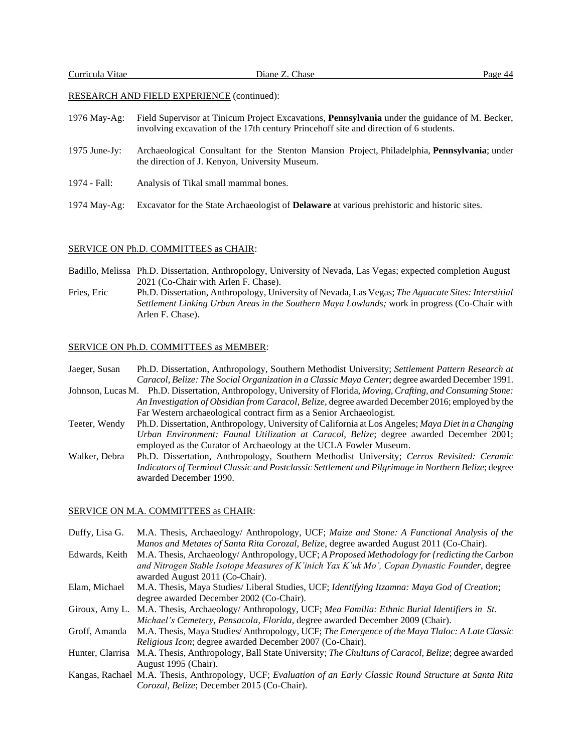- 1976 May-Ag: Field Supervisor at Tinicum Project Excavations, **Pennsylvania** under the guidance of M. Becker, involving excavation of the 17th century Princehoff site and direction of 6 students.
- 1975 June-Jy: Archaeological Consultant for the Stenton Mansion Project, Philadelphia, **Pennsylvania**; under the direction of J. Kenyon, University Museum.
- 1974 Fall: Analysis of Tikal small mammal bones.
- 1974 May-Ag: Excavator for the State Archaeologist of **Delaware** at various prehistoric and historic sites.

#### SERVICE ON Ph.D. COMMITTEES as CHAIR:

Badillo, Melissa Ph.D. Dissertation, Anthropology, University of Nevada, Las Vegas; expected completion August 2021 (Co-Chair with Arlen F. Chase).

Fries, Eric Ph.D. Dissertation, Anthropology, University of Nevada, Las Vegas; *The Aguacate Sites: Interstitial Settlement Linking Urban Areas in the Southern Maya Lowlands;* work in progress (Co-Chair with Arlen F. Chase).

## SERVICE ON Ph.D. COMMITTEES as MEMBER:

Jaeger, Susan Ph.D. Dissertation, Anthropology, Southern Methodist University; *Settlement Pattern Research at Caracol, Belize: The Social Organization in a Classic Maya Center*; degree awarded December 1991.

Johnson, Lucas M. Ph.D. Dissertation, Anthropology, University of Florida, *Moving, Crafting, and Consuming Stone: An Investigation of Obsidian from Caracol, Belize*, degree awarded December 2016; employed by the Far Western archaeological contract firm as a Senior Archaeologist.

- Teeter, Wendy Ph.D. Dissertation, Anthropology, University of California at Los Angeles; *Maya Diet in a Changing Urban Environment: Faunal Utilization at Caracol, Belize*; degree awarded December 2001; employed as the Curator of Archaeology at the UCLA Fowler Museum.
- Walker, Debra Ph.D. Dissertation, Anthropology, Southern Methodist University; *Cerros Revisited: Ceramic Indicators of Terminal Classic and Postclassic Settlement and Pilgrimage in Northern Belize*; degree awarded December 1990.

## SERVICE ON M.A. COMMITTEES as CHAIR:

| Duffy, Lisa G. | M.A. Thesis, Archaeology/ Anthropology, UCF; Maize and Stone: A Functional Analysis of the                          |
|----------------|---------------------------------------------------------------------------------------------------------------------|
|                | Manos and Metates of Santa Rita Corozal, Belize, degree awarded August 2011 (Co-Chair).                             |
| Edwards, Keith | M.A. Thesis, Archaeology/Anthropology, UCF; A Proposed Methodology for (redicting the Carbon                        |
|                | and Nitrogen Stable Isotope Measures of K'inich Yax K'uk Mo', Copan Dynastic Founder, degree                        |
|                | awarded August 2011 (Co-Chair).                                                                                     |
| Elam, Michael  | M.A. Thesis, Maya Studies/ Liberal Studies, UCF; Identifying Itzamna: Maya God of Creation;                         |
|                | degree awarded December 2002 (Co-Chair).                                                                            |
|                | Giroux, Amy L. M.A. Thesis, Archaeology/ Anthropology, UCF; Mea Familia: Ethnic Burial Identifiers in St.           |
|                | Michael's Cemetery, Pensacola, Florida, degree awarded December 2009 (Chair).                                       |
| Groff, Amanda  | M.A. Thesis, Maya Studies/Anthropology, UCF; The Emergence of the Maya Tlaloc: A Late Classic                       |
|                | Religious Icon; degree awarded December 2007 (Co-Chair).                                                            |
|                | Hunter, Clarrisa M.A. Thesis, Anthropology, Ball State University; The Chultuns of Caracol, Belize; degree awarded  |
|                | August 1995 (Chair).                                                                                                |
|                | Kangas, Rachael M.A. Thesis, Anthropology, UCF: <i>Evaluation of an Early Classic Round Structure at Santa Rita</i> |

Kangas, Rachael M.A. Thesis, Anthropology, UCF; *Evaluation of an Early Classic Round Structure at Santa Rita Corozal, Belize*; December 2015 (Co-Chair).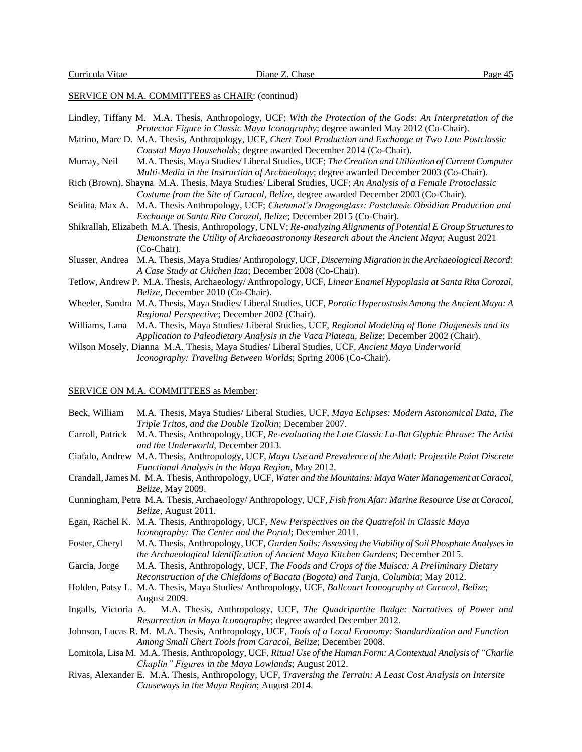## SERVICE ON M.A. COMMITTEES as CHAIR: (continud)

|                | Lindley, Tiffany M. M.A. Thesis, Anthropology, UCF; With the Protection of the Gods: An Interpretation of the     |
|----------------|-------------------------------------------------------------------------------------------------------------------|
|                | Protector Figure in Classic Maya Iconography; degree awarded May 2012 (Co-Chair).                                 |
|                | Marino, Marc D. M.A. Thesis, Anthropology, UCF, Chert Tool Production and Exchange at Two Late Postclassic        |
|                | Coastal Maya Households; degree awarded December 2014 (Co-Chair).                                                 |
| Murray, Neil   | M.A. Thesis, Maya Studies/Liberal Studies, UCF; The Creation and Utilization of Current Computer                  |
|                | Multi-Media in the Instruction of Archaeology; degree awarded December 2003 (Co-Chair).                           |
|                | Rich (Brown), Shayna M.A. Thesis, Maya Studies/ Liberal Studies, UCF; An Analysis of a Female Protoclassic        |
|                | Costume from the Site of Caracol, Belize, degree awarded December 2003 (Co-Chair).                                |
|                | Seidita, Max A. M.A. Thesis Anthropology, UCF; Chetumal's Dragonglass: Postclassic Obsidian Production and        |
|                | Exchange at Santa Rita Corozal, Belize; December 2015 (Co-Chair).                                                 |
|                | Shikrallah, Elizabeth M.A. Thesis, Anthropology, UNLV; Re-analyzing Alignments of Potential E Group Structures to |
|                | Demonstrate the Utility of Archaeoastronomy Research about the Ancient Maya; August 2021                          |
|                | (Co-Chair).                                                                                                       |
|                | Slusser, Andrea M.A. Thesis, Maya Studies/Anthropology, UCF, Discerning Migration in the Archaeological Record:   |
|                | A Case Study at Chichen Itza; December 2008 (Co-Chair).                                                           |
|                | Tetlow, Andrew P. M.A. Thesis, Archaeology/Anthropology, UCF, Linear Enamel Hypoplasia at Santa Rita Corozal,     |
|                | <i>Belize</i> , December 2010 (Co-Chair).                                                                         |
|                | Wheeler, Sandra M.A. Thesis, Maya Studies/Liberal Studies, UCF, Porotic Hyperostosis Among the Ancient Maya: A    |
|                | Regional Perspective; December 2002 (Chair).                                                                      |
| Williams, Lana | M.A. Thesis, Maya Studies/ Liberal Studies, UCF, Regional Modeling of Bone Diagenesis and its                     |
|                | Application to Paleodietary Analysis in the Vaca Plateau, Belize; December 2002 (Chair).                          |
|                | Wilson Mosely, Dianna M.A. Thesis, Maya Studies/ Liberal Studies, UCF, Ancient Maya Underworld                    |
|                | Iconography: Traveling Between Worlds; Spring 2006 (Co-Chair).                                                    |

## SERVICE ON M.A. COMMITTEES as Member:

| Beck, William    | M.A. Thesis, Maya Studies/ Liberal Studies, UCF, Maya Eclipses: Modern Astonomical Data, The                      |
|------------------|-------------------------------------------------------------------------------------------------------------------|
|                  | Triple Tritos, and the Double Tzolkin; December 2007.                                                             |
| Carroll, Patrick | M.A. Thesis, Anthropology, UCF, Re-evaluating the Late Classic Lu-Bat Glyphic Phrase: The Artist                  |
|                  | and the Underworld, December 2013.                                                                                |
|                  | Ciafalo, Andrew M.A. Thesis, Anthropology, UCF, Maya Use and Prevalence of the Atlatl: Projectile Point Discrete  |
|                  | Functional Analysis in the Maya Region, May 2012.                                                                 |
|                  | Crandall, James M. M.A. Thesis, Anthropology, UCF, Water and the Mountains: Maya Water Management at Caracol,     |
|                  | Belize, May 2009.                                                                                                 |
|                  | Cunningham, Petra M.A. Thesis, Archaeology/Anthropology, UCF, Fish from Afar: Marine Resource Use at Caracol,     |
|                  | <i>Belize</i> , August 2011.                                                                                      |
|                  | Egan, Rachel K. M.A. Thesis, Anthropology, UCF, New Perspectives on the Quatrefoil in Classic Maya                |
|                  | Iconography: The Center and the Portal; December 2011.                                                            |
| Foster, Cheryl   | M.A. Thesis, Anthropology, UCF, Garden Soils: Assessing the Viability of Soil Phosphate Analyses in               |
|                  | the Archaeological Identification of Ancient Maya Kitchen Gardens; December 2015.                                 |
| Garcia, Jorge    | M.A. Thesis, Anthropology, UCF, The Foods and Crops of the Muisca: A Preliminary Dietary                          |
|                  | Reconstruction of the Chiefdoms of Bacata (Bogota) and Tunja, Columbia; May 2012.                                 |
|                  | Holden, Patsy L. M.A. Thesis, Maya Studies/ Anthropology, UCF, Ballcourt Iconography at Caracol, Belize;          |
|                  | <b>August 2009.</b>                                                                                               |
|                  | Ingalls, Victoria A. M.A. Thesis, Anthropology, UCF, The Quadripartite Badge: Narratives of Power and             |
|                  | Resurrection in Maya Iconography; degree awarded December 2012.                                                   |
|                  | Johnson, Lucas R. M. M.A. Thesis, Anthropology, UCF, Tools of a Local Economy: Standardization and Function       |
|                  | Among Small Chert Tools from Caracol, Belize; December 2008.                                                      |
|                  | Lomitola, Lisa M. M.A. Thesis, Anthropology, UCF, Ritual Use of the Human Form: A Contextual Analysis of "Charlie |

- *Chaplin" Figures in the Maya Lowlands*; August 2012. Rivas, Alexander E. M.A. Thesis, Anthropology, UCF, *Traversing the Terrain: A Least Cost Analysis on Intersite*
- *Causeways in the Maya Region*; August 2014.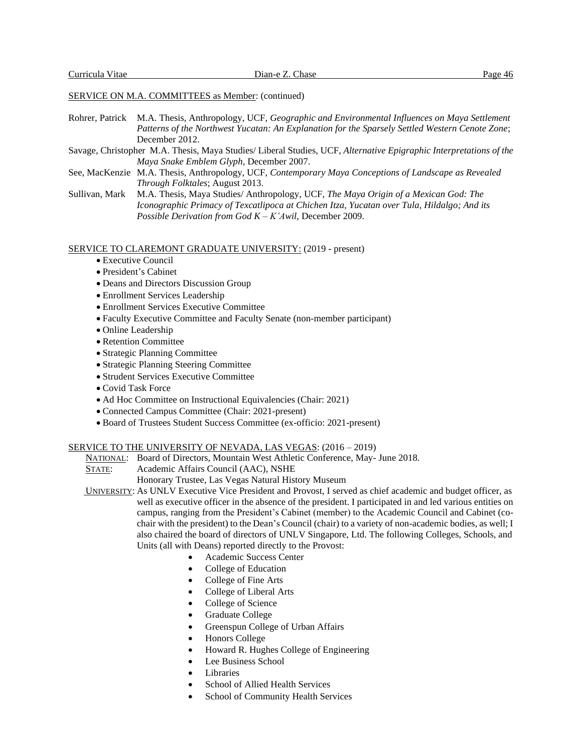## SERVICE ON M.A. COMMITTEES as Member: (continued)

- Rohrer, Patrick M.A. Thesis, Anthropology, UCF, *Geographic and Environmental Influences on Maya Settlement Patterns of the Northwest Yucatan: An Explanation for the Sparsely Settled Western Cenote Zone*; December 2012.
- Savage, Christopher M.A. Thesis, Maya Studies/ Liberal Studies, UCF, *Alternative Epigraphic Interpretations of the Maya Snake Emblem Glyph*, December 2007.
- See, MacKenzie M.A. Thesis, Anthropology, UCF, *Contemporary Maya Conceptions of Landscape as Revealed Through Folktales*; August 2013.
- Sullivan, Mark M.A. Thesis, Maya Studies/ Anthropology, UCF, *The Maya Origin of a Mexican God: The Iconographic Primacy of Texcatlipoca at Chichen Itza, Yucatan over Tula, Hildalgo; And its Possible Derivation from God K – K'Awil*, December 2009.

#### SERVICE TO CLAREMONT GRADUATE UNIVERSITY: (2019 - present)

- Executive Council
- President's Cabinet
- Deans and Directors Discussion Group
- Enrollment Services Leadership
- Enrollment Services Executive Committee
- Faculty Executive Committee and Faculty Senate (non-member participant)
- Online Leadership
- Retention Committee
- Strategic Planning Committee
- Strategic Planning Steering Committee
- Strudent Services Executive Committee
- Covid Task Force
- Ad Hoc Committee on Instructional Equivalencies (Chair: 2021)
- Connected Campus Committee (Chair: 2021-present)
- Board of Trustees Student Success Committee (ex-officio: 2021-present)

#### SERVICE TO THE UNIVERSITY OF NEVADA, LAS VEGAS: (2016 – 2019)

- NATIONAL: Board of Directors, Mountain West Athletic Conference, May- June 2018.
- STATE: Academic Affairs Council (AAC), NSHE
	- Honorary Trustee, Las Vegas Natural History Museum
- UNIVERSITY: As UNLV Executive Vice President and Provost, I served as chief academic and budget officer, as well as executive officer in the absence of the president. I participated in and led various entities on campus, ranging from the President's Cabinet (member) to the Academic Council and Cabinet (cochair with the president) to the Dean's Council (chair) to a variety of non-academic bodies, as well; I also chaired the board of directors of UNLV Singapore, Ltd. The following Colleges, Schools, and Units (all with Deans) reported directly to the Provost:
	- Academic Success Center
	- College of Education
	- College of Fine Arts
	- College of Liberal Arts
	- College of Science
	- Graduate College
	- Greenspun College of Urban Affairs
	- Honors College
	- Howard R. Hughes College of Engineering
	- Lee Business School
	- Libraries
	- School of Allied Health Services
	- School of Community Health Services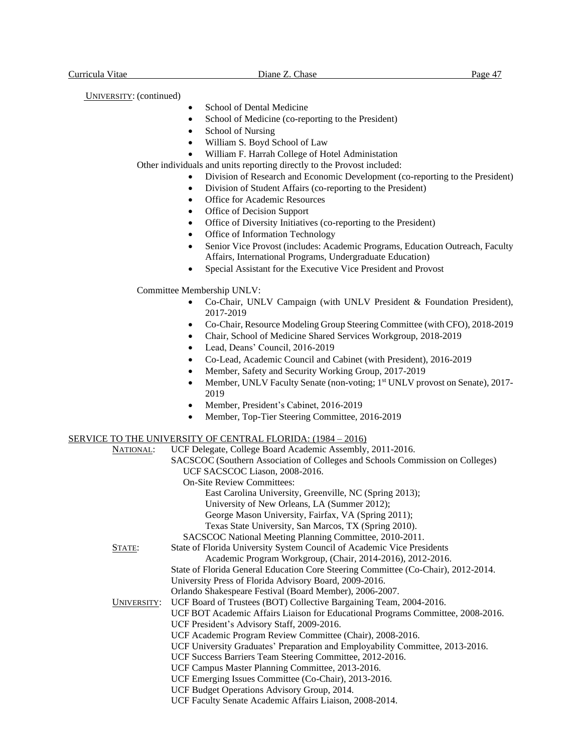UNIVERSITY: (continued)

- School of Dental Medicine
- School of Medicine (co-reporting to the President)
- School of Nursing
- William S. Boyd School of Law
- William F. Harrah College of Hotel Administation

Other individuals and units reporting directly to the Provost included:

- Division of Research and Economic Development (co-reporting to the President)
- Division of Student Affairs (co-reporting to the President)
- Office for Academic Resources
- Office of Decision Support
- Office of Diversity Initiatives (co-reporting to the President)
- Office of Information Technology
- Senior Vice Provost (includes: Academic Programs, Education Outreach, Faculty Affairs, International Programs, Undergraduate Education)
- Special Assistant for the Executive Vice President and Provost

Committee Membership UNLV:

- Co-Chair, UNLV Campaign (with UNLV President & Foundation President), 2017-2019
- Co-Chair, Resource Modeling Group Steering Committee (with CFO), 2018-2019
- Chair, School of Medicine Shared Services Workgroup, 2018-2019
- Lead, Deans' Council, 2016-2019
- Co-Lead, Academic Council and Cabinet (with President), 2016-2019
- Member, Safety and Security Working Group, 2017-2019
- Member, UNLV Faculty Senate (non-voting; 1<sup>st</sup> UNLV provost on Senate), 2017-2019
- Member, President's Cabinet, 2016-2019
- Member, Top-Tier Steering Committee, 2016-2019

## SERVICE TO THE UNIVERSITY OF CENTRAL FLORIDA: (1984 – 2016)

| NATIONAL:   | UCF Delegate, College Board Academic Assembly, 2011-2016.                         |
|-------------|-----------------------------------------------------------------------------------|
|             | SACSCOC (Southern Association of Colleges and Schools Commission on Colleges)     |
|             | UCF SACSCOC Liason, 2008-2016.                                                    |
|             | <b>On-Site Review Committees:</b>                                                 |
|             | East Carolina University, Greenville, NC (Spring 2013);                           |
|             | University of New Orleans, LA (Summer 2012);                                      |
|             | George Mason University, Fairfax, VA (Spring 2011);                               |
|             | Texas State University, San Marcos, TX (Spring 2010).                             |
|             | SACSCOC National Meeting Planning Committee, 2010-2011.                           |
| STATE:      | State of Florida University System Council of Academic Vice Presidents            |
|             | Academic Program Workgroup, (Chair, 2014-2016), 2012-2016.                        |
|             | State of Florida General Education Core Steering Committee (Co-Chair), 2012-2014. |
|             | University Press of Florida Advisory Board, 2009-2016.                            |
|             | Orlando Shakespeare Festival (Board Member), 2006-2007.                           |
| UNIVERSITY: | UCF Board of Trustees (BOT) Collective Bargaining Team, 2004-2016.                |
|             | UCF BOT Academic Affairs Liaison for Educational Programs Committee, 2008-2016.   |
|             | UCF President's Advisory Staff, 2009-2016.                                        |
|             | UCF Academic Program Review Committee (Chair), 2008-2016.                         |
|             | UCF University Graduates' Preparation and Employability Committee, 2013-2016.     |
|             | UCF Success Barriers Team Steering Committee, 2012-2016.                          |
|             | UCF Campus Master Planning Committee, 2013-2016.                                  |
|             | UCF Emerging Issues Committee (Co-Chair), 2013-2016.                              |
|             | UCF Budget Operations Advisory Group, 2014.                                       |
|             | UCF Faculty Senate Academic Affairs Liaison, 2008-2014.                           |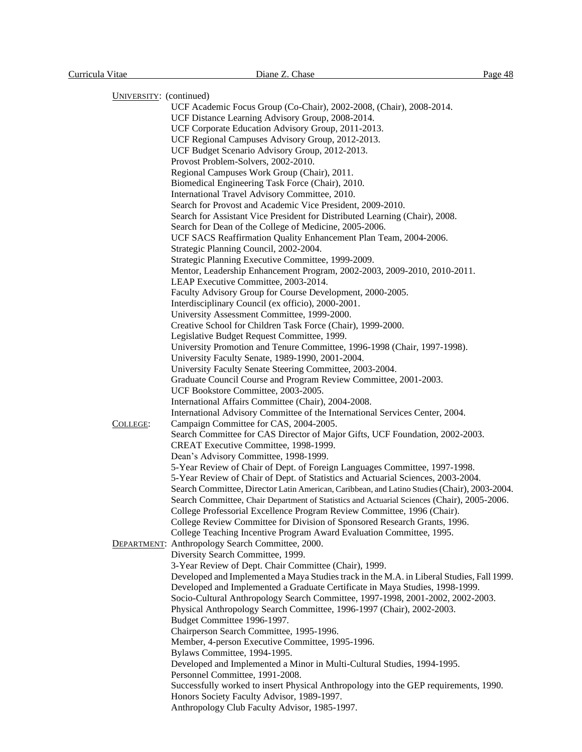| UNIVERSITY: (continued) |  |
|-------------------------|--|
|                         |  |

| $UNIVERSIII.$ (CONTINUELY |                                                                                              |
|---------------------------|----------------------------------------------------------------------------------------------|
|                           | UCF Academic Focus Group (Co-Chair), 2002-2008, (Chair), 2008-2014.                          |
|                           | UCF Distance Learning Advisory Group, 2008-2014.                                             |
|                           | UCF Corporate Education Advisory Group, 2011-2013.                                           |
|                           | UCF Regional Campuses Advisory Group, 2012-2013.                                             |
|                           | UCF Budget Scenario Advisory Group, 2012-2013.                                               |
|                           | Provost Problem-Solvers, 2002-2010.                                                          |
|                           | Regional Campuses Work Group (Chair), 2011.                                                  |
|                           | Biomedical Engineering Task Force (Chair), 2010.                                             |
|                           | International Travel Advisory Committee, 2010.                                               |
|                           | Search for Provost and Academic Vice President, 2009-2010.                                   |
|                           | Search for Assistant Vice President for Distributed Learning (Chair), 2008.                  |
|                           | Search for Dean of the College of Medicine, 2005-2006.                                       |
|                           | UCF SACS Reaffirmation Quality Enhancement Plan Team, 2004-2006.                             |
|                           | Strategic Planning Council, 2002-2004.                                                       |
|                           | Strategic Planning Executive Committee, 1999-2009.                                           |
|                           | Mentor, Leadership Enhancement Program, 2002-2003, 2009-2010, 2010-2011.                     |
|                           | LEAP Executive Committee, 2003-2014.                                                         |
|                           | Faculty Advisory Group for Course Development, 2000-2005.                                    |
|                           | Interdisciplinary Council (ex officio), 2000-2001.                                           |
|                           | University Assessment Committee, 1999-2000.                                                  |
|                           | Creative School for Children Task Force (Chair), 1999-2000.                                  |
|                           |                                                                                              |
|                           | Legislative Budget Request Committee, 1999.                                                  |
|                           | University Promotion and Tenure Committee, 1996-1998 (Chair, 1997-1998).                     |
|                           | University Faculty Senate, 1989-1990, 2001-2004.                                             |
|                           | University Faculty Senate Steering Committee, 2003-2004.                                     |
|                           | Graduate Council Course and Program Review Committee, 2001-2003.                             |
|                           | UCF Bookstore Committee, 2003-2005.                                                          |
|                           | International Affairs Committee (Chair), 2004-2008.                                          |
|                           | International Advisory Committee of the International Services Center, 2004.                 |
| COLLEGE:                  | Campaign Committee for CAS, 2004-2005.                                                       |
|                           | Search Committee for CAS Director of Major Gifts, UCF Foundation, 2002-2003.                 |
|                           | CREAT Executive Committee, 1998-1999.                                                        |
|                           | Dean's Advisory Committee, 1998-1999.                                                        |
|                           | 5-Year Review of Chair of Dept. of Foreign Languages Committee, 1997-1998.                   |
|                           | 5-Year Review of Chair of Dept. of Statistics and Actuarial Sciences, 2003-2004.             |
|                           | Search Committee, Director Latin American, Caribbean, and Latino Studies (Chair), 2003-2004. |
|                           | Search Committee, Chair Department of Statistics and Actuarial Sciences (Chair), 2005-2006.  |
|                           | College Professorial Excellence Program Review Committee, 1996 (Chair).                      |
|                           | College Review Committee for Division of Sponsored Research Grants, 1996.                    |
|                           | College Teaching Incentive Program Award Evaluation Committee, 1995.                         |
|                           | <b>DEPARTMENT:</b> Anthropology Search Committee, 2000.                                      |
|                           | Diversity Search Committee, 1999.                                                            |
|                           | 3-Year Review of Dept. Chair Committee (Chair), 1999.                                        |
|                           | Developed and Implemented a Maya Studies track in the M.A. in Liberal Studies, Fall 1999.    |
|                           |                                                                                              |
|                           |                                                                                              |
|                           | Developed and Implemented a Graduate Certificate in Maya Studies, 1998-1999.                 |
|                           | Socio-Cultural Anthropology Search Committee, 1997-1998, 2001-2002, 2002-2003.               |
|                           | Physical Anthropology Search Committee, 1996-1997 (Chair), 2002-2003.                        |
|                           | Budget Committee 1996-1997.                                                                  |
|                           | Chairperson Search Committee, 1995-1996.                                                     |
|                           | Member, 4-person Executive Committee, 1995-1996.                                             |
|                           | Bylaws Committee, 1994-1995.                                                                 |
|                           | Developed and Implemented a Minor in Multi-Cultural Studies, 1994-1995.                      |
|                           | Personnel Committee, 1991-2008.                                                              |
|                           | Successfully worked to insert Physical Anthropology into the GEP requirements, 1990.         |
|                           | Honors Society Faculty Advisor, 1989-1997.<br>Anthropology Club Faculty Advisor, 1985-1997.  |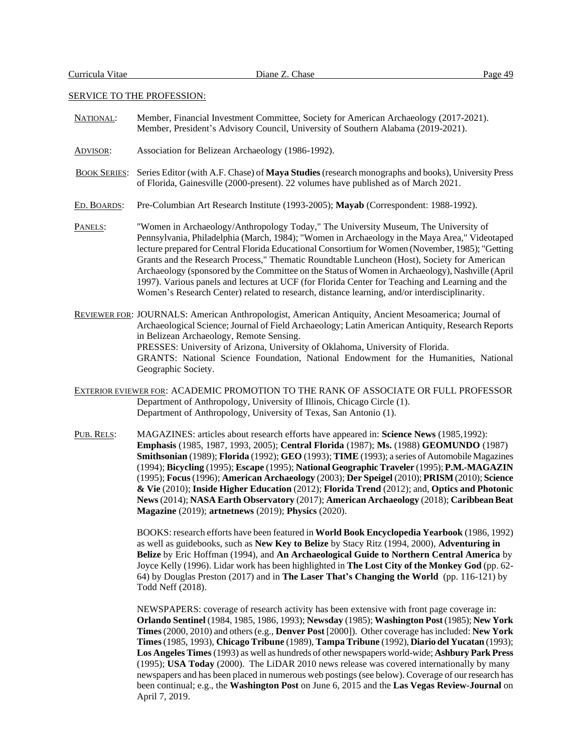## SERVICE TO THE PROFESSION:

| NATIONAL:           | Member, Financial Investment Committee, Society for American Archaeology (2017-2021).<br>Member, President's Advisory Council, University of Southern Alabama (2019-2021).                                                                                                                                                                                                                                                                                                                                                                                                                                                                                                                     |
|---------------------|------------------------------------------------------------------------------------------------------------------------------------------------------------------------------------------------------------------------------------------------------------------------------------------------------------------------------------------------------------------------------------------------------------------------------------------------------------------------------------------------------------------------------------------------------------------------------------------------------------------------------------------------------------------------------------------------|
| ADVISOR:            | Association for Belizean Archaeology (1986-1992).                                                                                                                                                                                                                                                                                                                                                                                                                                                                                                                                                                                                                                              |
| <b>BOOK SERIES:</b> | Series Editor (with A.F. Chase) of Maya Studies (research monographs and books), University Press<br>of Florida, Gainesville (2000-present). 22 volumes have published as of March 2021.                                                                                                                                                                                                                                                                                                                                                                                                                                                                                                       |
| ED. BOARDS:         | Pre-Columbian Art Research Institute (1993-2005); Mayab (Correspondent: 1988-1992).                                                                                                                                                                                                                                                                                                                                                                                                                                                                                                                                                                                                            |
| PANELS:             | "Women in Archaeology/Anthropology Today," The University Museum, The University of<br>Pennsylvania, Philadelphia (March, 1984); "Women in Archaeology in the Maya Area," Videotaped<br>lecture prepared for Central Florida Educational Consortium for Women (November, 1985); "Getting<br>Grants and the Research Process," Thematic Roundtable Luncheon (Host), Society for American<br>Archaeology (sponsored by the Committee on the Status of Women in Archaeology), Nashville (April<br>1997). Various panels and lectures at UCF (for Florida Center for Teaching and Learning and the<br>Women's Research Center) related to research, distance learning, and/or interdisciplinarity. |
|                     | REVIEWER FOR: JOURNALS: American Anthropologist, American Antiquity, Ancient Mesoamerica; Journal of<br>Archaeological Science; Journal of Field Archaeology; Latin American Antiquity, Research Reports<br>in Belizean Archaeology, Remote Sensing.<br>PRESSES: University of Arizona, University of Oklahoma, University of Florida.<br>GRANTS: National Science Foundation, National Endowment for the Humanities, National<br>Geographic Society.                                                                                                                                                                                                                                          |
|                     | EXTERIOR EVIEWER FOR: ACADEMIC PROMOTION TO THE RANK OF ASSOCIATE OR FULL PROFESSOR<br>Department of Anthropology, University of Illinois, Chicago Circle (1).<br>Department of Anthropology, University of Texas, San Antonio (1).                                                                                                                                                                                                                                                                                                                                                                                                                                                            |

 PUB. RELS: MAGAZINES: articles about research efforts have appeared in: **Science News** (1985,1992): **Emphasis** (1985, 1987, 1993, 2005); **Central Florida** (1987); **Ms.** (1988) **GEOMUNDO** (1987) **Smithsonian** (1989); **Florida** (1992); **GEO** (1993); **TIME** (1993); a series of Automobile Magazines (1994); **Bicycling** (1995); **Escape** (1995); **National Geographic Traveler** (1995); **P.M.-MAGAZIN** (1995); **Focus**(1996); **American Archaeology** (2003); **Der Speigel** (2010); **PRISM** (2010); **Science & Vie** (2010); **Inside Higher Education** (2012); **Florida Trend** (2012); and, **Optics and Photonic News**(2014); **NASA Earth Observatory** (2017); **American Archaeology** (2018); **Caribbean Beat Magazine** (2019); **artnetnews** (2019); **Physics** (2020).

> BOOKS: research efforts have been featured in **World Book Encyclopedia Yearbook** (1986, 1992) as well as guidebooks, such as **New Key to Belize** by Stacy Ritz (1994, 2000), **Adventuring in Belize** by Eric Hoffman (1994), and **An Archaeological Guide to Northern Central America** by Joyce Kelly (1996). Lidar work has been highlighted in **The Lost City of the Monkey God** (pp. 62- 64) by Douglas Preston (2017) and in **The Laser That's Changing the World** (pp. 116-121) by Todd Neff (2018).

> NEWSPAPERS: coverage of research activity has been extensive with front page coverage in: **Orlando Sentinel** (1984, 1985, 1986, 1993); **Newsday** (1985); **Washington Post** (1985); **New York Times**(2000, 2010) and others (e.g., **Denver Post** [2000]). Other coverage hasincluded: **New York Times**(1985, 1993), **Chicago Tribune** (1989), **Tampa Tribune** (1992), **Diario del Yucatan** (1993); **Los Angeles Times** (1993) as well as hundreds of other newspapers world-wide; **Ashbury Park Press** (1995); **USA Today** (2000). The LiDAR 2010 news release was covered internationally by many newspapers and has been placed in numerous web postings (see below). Coverage of our research has been continual; e.g., the **Washington Post** on June 6, 2015 and the **Las Vegas Review-Journal** on April 7, 2019.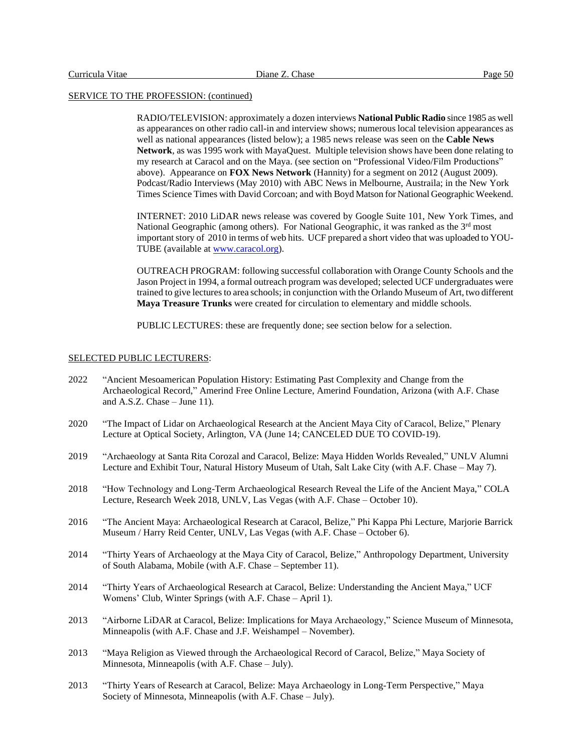#### SERVICE TO THE PROFESSION: (continued)

RADIO/TELEVISION: approximately a dozen interviews **National Public Radio** since 1985 as well as appearances on other radio call-in and interview shows; numerous local television appearances as well as national appearances (listed below); a 1985 news release was seen on the **Cable News Network**, as was 1995 work with MayaQuest. Multiple television shows have been done relating to my research at Caracol and on the Maya. (see section on "Professional Video/Film Productions" above). Appearance on **FOX News Network** (Hannity) for a segment on 2012 (August 2009). Podcast/Radio Interviews (May 2010) with ABC News in Melbourne, Austraila; in the New York Times Science Times with David Corcoan; and with Boyd Matson for National Geographic Weekend.

INTERNET: 2010 LiDAR news release was covered by Google Suite 101, New York Times, and National Geographic (among others). For National Geographic, it was ranked as the 3rd most important story of 2010 in terms of web hits. UCF prepared a short video that was uploaded to YOU-TUBE (available at [www.caracol.org\)](http://www.caracol.org/).

OUTREACH PROGRAM: following successful collaboration with Orange County Schools and the Jason Project in 1994, a formal outreach program was developed; selected UCF undergraduates were trained to give lectures to area schools; in conjunction with the Orlando Museum of Art, two different **Maya Treasure Trunks** were created for circulation to elementary and middle schools.

PUBLIC LECTURES: these are frequently done; see section below for a selection.

## SELECTED PUBLIC LECTURERS:

- 2022 "Ancient Mesoamerican Population History: Estimating Past Complexity and Change from the Archaeological Record," Amerind Free Online Lecture, Amerind Foundation, Arizona (with A.F. Chase and A.S.Z. Chase – June 11).
- 2020 "The Impact of Lidar on Archaeological Research at the Ancient Maya City of Caracol, Belize," Plenary Lecture at Optical Society, Arlington, VA (June 14; CANCELED DUE TO COVID-19).
- 2019 "Archaeology at Santa Rita Corozal and Caracol, Belize: Maya Hidden Worlds Revealed," UNLV Alumni Lecture and Exhibit Tour, Natural History Museum of Utah, Salt Lake City (with A.F. Chase – May 7).
- 2018 "How Technology and Long-Term Archaeological Research Reveal the Life of the Ancient Maya," COLA Lecture, Research Week 2018, UNLV, Las Vegas (with A.F. Chase – October 10).
- 2016 "The Ancient Maya: Archaeological Research at Caracol, Belize," Phi Kappa Phi Lecture, Marjorie Barrick Museum / Harry Reid Center, UNLV, Las Vegas (with A.F. Chase – October 6).
- 2014 "Thirty Years of Archaeology at the Maya City of Caracol, Belize," Anthropology Department, University of South Alabama, Mobile (with A.F. Chase – September 11).
- 2014 "Thirty Years of Archaeological Research at Caracol, Belize: Understanding the Ancient Maya," UCF Womens' Club, Winter Springs (with A.F. Chase – April 1).
- 2013 "Airborne LiDAR at Caracol, Belize: Implications for Maya Archaeology," Science Museum of Minnesota, Minneapolis (with A.F. Chase and J.F. Weishampel – November).
- 2013 "Maya Religion as Viewed through the Archaeological Record of Caracol, Belize," Maya Society of Minnesota, Minneapolis (with A.F. Chase – July).
- 2013 "Thirty Years of Research at Caracol, Belize: Maya Archaeology in Long-Term Perspective," Maya Society of Minnesota, Minneapolis (with A.F. Chase – July).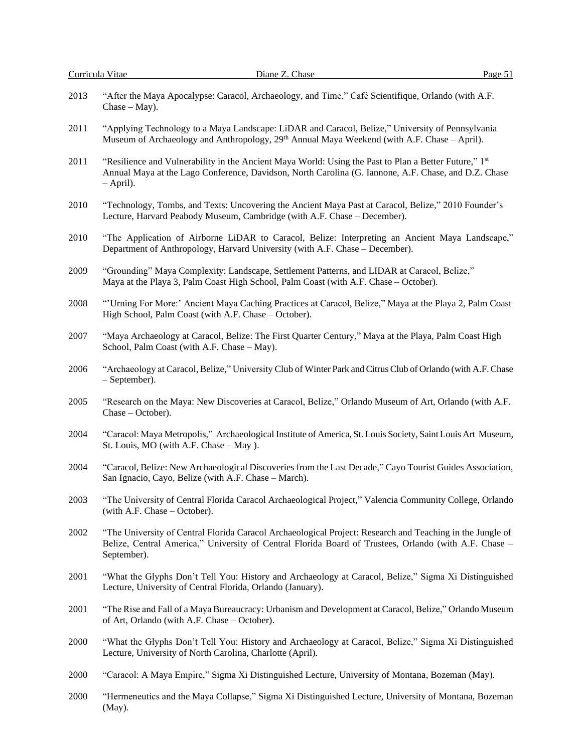(May).

| 2013 | "After the Maya Apocalypse: Caracol, Archaeology, and Time," Café Scientifique, Orlando (with A.F.<br>$Chase-May)$ .                                                                                                              |
|------|-----------------------------------------------------------------------------------------------------------------------------------------------------------------------------------------------------------------------------------|
| 2011 | "Applying Technology to a Maya Landscape: LiDAR and Caracol, Belize," University of Pennsylvania<br>Museum of Archaeology and Anthropology, 29th Annual Maya Weekend (with A.F. Chase – April).                                   |
| 2011 | "Resilience and Vulnerability in the Ancient Maya World: Using the Past to Plan a Better Future," 1st<br>Annual Maya at the Lago Conference, Davidson, North Carolina (G. Iannone, A.F. Chase, and D.Z. Chase<br>$-$ April).      |
| 2010 | "Technology, Tombs, and Texts: Uncovering the Ancient Maya Past at Caracol, Belize," 2010 Founder's<br>Lecture, Harvard Peabody Museum, Cambridge (with A.F. Chase - December).                                                   |
| 2010 | "The Application of Airborne LiDAR to Caracol, Belize: Interpreting an Ancient Maya Landscape,"<br>Department of Anthropology, Harvard University (with A.F. Chase - December).                                                   |
| 2009 | "Grounding" Maya Complexity: Landscape, Settlement Patterns, and LIDAR at Caracol, Belize,"<br>Maya at the Playa 3, Palm Coast High School, Palm Coast (with A.F. Chase – October).                                               |
| 2008 | "'Urning For More:' Ancient Maya Caching Practices at Caracol, Belize," Maya at the Playa 2, Palm Coast<br>High School, Palm Coast (with A.F. Chase - October).                                                                   |
| 2007 | "Maya Archaeology at Caracol, Belize: The First Quarter Century," Maya at the Playa, Palm Coast High<br>School, Palm Coast (with A.F. Chase - May).                                                                               |
| 2006 | "Archaeology at Caracol, Belize," University Club of Winter Park and Citrus Club of Orlando (with A.F. Chase<br>- September).                                                                                                     |
| 2005 | "Research on the Maya: New Discoveries at Caracol, Belize," Orlando Museum of Art, Orlando (with A.F.<br>Chase – October).                                                                                                        |
| 2004 | "Caracol: Maya Metropolis," Archaeological Institute of America, St. Louis Society, Saint Louis Art Museum,<br>St. Louis, MO (with A.F. Chase - May).                                                                             |
| 2004 | "Caracol, Belize: New Archaeological Discoveries from the Last Decade," Cayo Tourist Guides Association,<br>San Ignacio, Cayo, Belize (with A.F. Chase - March).                                                                  |
| 2003 | "The University of Central Florida Caracol Archaeological Project," Valencia Community College, Orlando<br>(with A.F. Chase – October).                                                                                           |
| 2002 | "The University of Central Florida Caracol Archaeological Project: Research and Teaching in the Jungle of<br>Belize, Central America," University of Central Florida Board of Trustees, Orlando (with A.F. Chase -<br>September). |
| 2001 | "What the Glyphs Don't Tell You: History and Archaeology at Caracol, Belize," Sigma Xi Distinguished<br>Lecture, University of Central Florida, Orlando (January).                                                                |
| 2001 | "The Rise and Fall of a Maya Bureaucracy: Urbanism and Development at Caracol, Belize," Orlando Museum<br>of Art, Orlando (with A.F. Chase - October).                                                                            |
| 2000 | "What the Glyphs Don't Tell You: History and Archaeology at Caracol, Belize," Sigma Xi Distinguished<br>Lecture, University of North Carolina, Charlotte (April).                                                                 |
| 2000 | "Caracol: A Maya Empire," Sigma Xi Distinguished Lecture, University of Montana, Bozeman (May).                                                                                                                                   |
| 2000 | "Hermeneutics and the Maya Collapse," Sigma Xi Distinguished Lecture, University of Montana, Bozeman                                                                                                                              |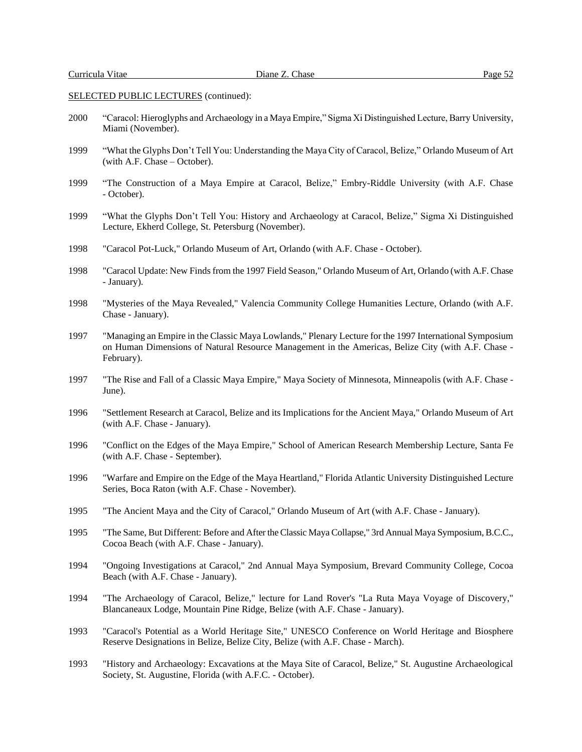## SELECTED PUBLIC LECTURES (continued):

- 2000 "Caracol: Hieroglyphs and Archaeology in a Maya Empire," Sigma Xi Distinguished Lecture, Barry University, Miami (November).
- 1999 "What the Glyphs Don't Tell You: Understanding the Maya City of Caracol, Belize," Orlando Museum of Art (with A.F. Chase – October).
- 1999 "The Construction of a Maya Empire at Caracol, Belize," Embry-Riddle University (with A.F. Chase - October).
- 1999 "What the Glyphs Don't Tell You: History and Archaeology at Caracol, Belize," Sigma Xi Distinguished Lecture, Ekherd College, St. Petersburg (November).
- 1998 "Caracol Pot-Luck," Orlando Museum of Art, Orlando (with A.F. Chase October).
- 1998 "Caracol Update: New Findsfrom the 1997 Field Season," Orlando Museum of Art, Orlando (with A.F. Chase - January).
- 1998 "Mysteries of the Maya Revealed," Valencia Community College Humanities Lecture, Orlando (with A.F. Chase - January).
- 1997 "Managing an Empire in the Classic Maya Lowlands," Plenary Lecture for the 1997 International Symposium on Human Dimensions of Natural Resource Management in the Americas, Belize City (with A.F. Chase - February).
- 1997 "The Rise and Fall of a Classic Maya Empire," Maya Society of Minnesota, Minneapolis (with A.F. Chase June).
- 1996 "Settlement Research at Caracol, Belize and its Implications for the Ancient Maya," Orlando Museum of Art (with A.F. Chase - January).
- 1996 "Conflict on the Edges of the Maya Empire," School of American Research Membership Lecture, Santa Fe (with A.F. Chase - September).
- 1996 "Warfare and Empire on the Edge of the Maya Heartland," Florida Atlantic University Distinguished Lecture Series, Boca Raton (with A.F. Chase - November).
- 1995 "The Ancient Maya and the City of Caracol," Orlando Museum of Art (with A.F. Chase January).
- 1995 "The Same, But Different: Before and After the Classic Maya Collapse," 3rd Annual Maya Symposium, B.C.C., Cocoa Beach (with A.F. Chase - January).
- 1994 "Ongoing Investigations at Caracol," 2nd Annual Maya Symposium, Brevard Community College, Cocoa Beach (with A.F. Chase - January).
- 1994 "The Archaeology of Caracol, Belize," lecture for Land Rover's "La Ruta Maya Voyage of Discovery," Blancaneaux Lodge, Mountain Pine Ridge, Belize (with A.F. Chase - January).
- 1993 "Caracol's Potential as a World Heritage Site," UNESCO Conference on World Heritage and Biosphere Reserve Designations in Belize, Belize City, Belize (with A.F. Chase - March).
- 1993 "History and Archaeology: Excavations at the Maya Site of Caracol, Belize," St. Augustine Archaeological Society, St. Augustine, Florida (with A.F.C. - October).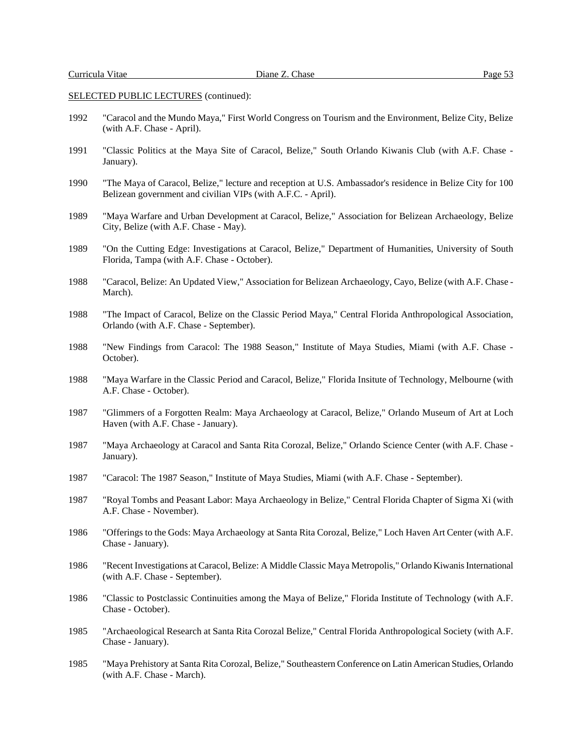## SELECTED PUBLIC LECTURES (continued):

- 1992 "Caracol and the Mundo Maya," First World Congress on Tourism and the Environment, Belize City, Belize (with A.F. Chase - April).
- 1991 "Classic Politics at the Maya Site of Caracol, Belize," South Orlando Kiwanis Club (with A.F. Chase January).
- 1990 "The Maya of Caracol, Belize," lecture and reception at U.S. Ambassador's residence in Belize City for 100 Belizean government and civilian VIPs (with A.F.C. - April).
- 1989 "Maya Warfare and Urban Development at Caracol, Belize," Association for Belizean Archaeology, Belize City, Belize (with A.F. Chase - May).
- 1989 "On the Cutting Edge: Investigations at Caracol, Belize," Department of Humanities, University of South Florida, Tampa (with A.F. Chase - October).
- 1988 "Caracol, Belize: An Updated View," Association for Belizean Archaeology, Cayo, Belize (with A.F. Chase March).
- 1988 "The Impact of Caracol, Belize on the Classic Period Maya," Central Florida Anthropological Association, Orlando (with A.F. Chase - September).
- 1988 "New Findings from Caracol: The 1988 Season," Institute of Maya Studies, Miami (with A.F. Chase October).
- 1988 "Maya Warfare in the Classic Period and Caracol, Belize," Florida Insitute of Technology, Melbourne (with A.F. Chase - October).
- 1987 "Glimmers of a Forgotten Realm: Maya Archaeology at Caracol, Belize," Orlando Museum of Art at Loch Haven (with A.F. Chase - January).
- 1987 "Maya Archaeology at Caracol and Santa Rita Corozal, Belize," Orlando Science Center (with A.F. Chase January).
- 1987 "Caracol: The 1987 Season," Institute of Maya Studies, Miami (with A.F. Chase September).
- 1987 "Royal Tombs and Peasant Labor: Maya Archaeology in Belize," Central Florida Chapter of Sigma Xi (with A.F. Chase - November).
- 1986 "Offerings to the Gods: Maya Archaeology at Santa Rita Corozal, Belize," Loch Haven Art Center (with A.F. Chase - January).
- 1986 "Recent Investigations at Caracol, Belize: A Middle Classic Maya Metropolis," Orlando KiwanisInternational (with A.F. Chase - September).
- 1986 "Classic to Postclassic Continuities among the Maya of Belize," Florida Institute of Technology (with A.F. Chase - October).
- 1985 "Archaeological Research at Santa Rita Corozal Belize," Central Florida Anthropological Society (with A.F. Chase - January).
- 1985 "Maya Prehistory at Santa Rita Corozal, Belize," Southeastern Conference on Latin American Studies, Orlando (with A.F. Chase - March).